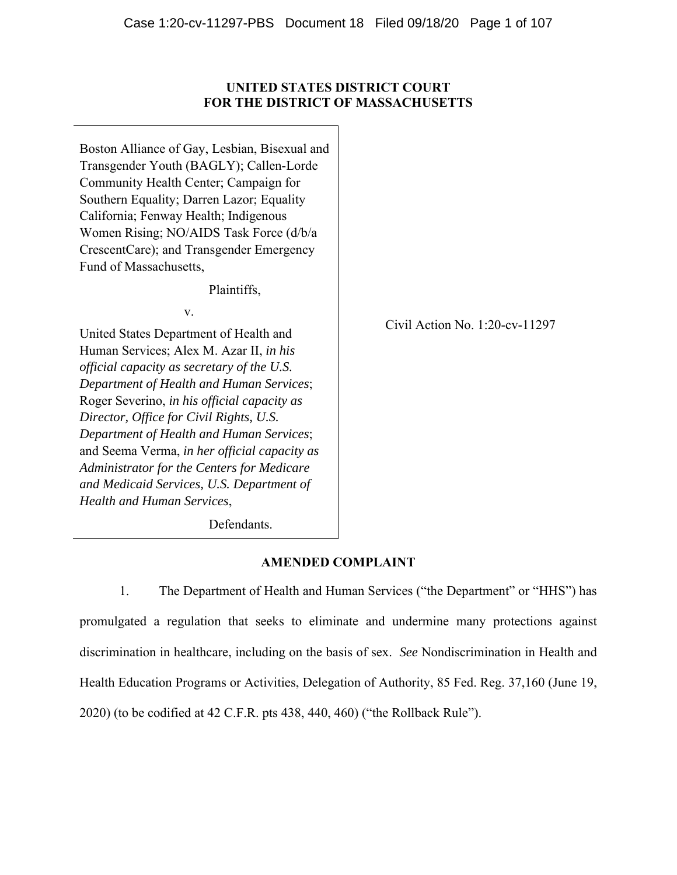## **UNITED STATES DISTRICT COURT FOR THE DISTRICT OF MASSACHUSETTS**

Boston Alliance of Gay, Lesbian, Bisexual and Transgender Youth (BAGLY); Callen-Lorde Community Health Center; Campaign for Southern Equality; Darren Lazor; Equality California; Fenway Health; Indigenous Women Rising; NO/AIDS Task Force (d/b/a CrescentCare); and Transgender Emergency Fund of Massachusetts,

Plaintiffs,

v.

United States Department of Health and Human Services; Alex M. Azar II, *in his official capacity as secretary of the U.S. Department of Health and Human Services*; Roger Severino, *in his official capacity as Director, Office for Civil Rights, U.S. Department of Health and Human Services*; and Seema Verma, *in her official capacity as Administrator for the Centers for Medicare and Medicaid Services, U.S. Department of Health and Human Services*,

Civil Action No. 1:20-cv-11297

Defendants.

# **AMENDED COMPLAINT**

1. The Department of Health and Human Services ("the Department" or "HHS") has promulgated a regulation that seeks to eliminate and undermine many protections against discrimination in healthcare, including on the basis of sex. *See* Nondiscrimination in Health and Health Education Programs or Activities, Delegation of Authority, 85 Fed. Reg. 37,160 (June 19, 2020) (to be codified at 42 C.F.R. pts 438, 440, 460) ("the Rollback Rule").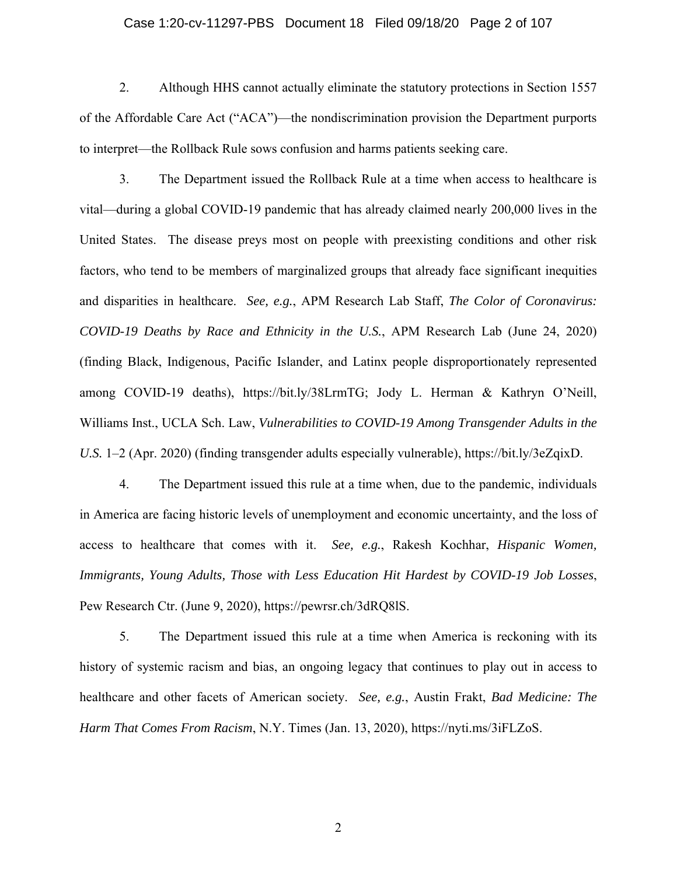#### Case 1:20-cv-11297-PBS Document 18 Filed 09/18/20 Page 2 of 107

2. Although HHS cannot actually eliminate the statutory protections in Section 1557 of the Affordable Care Act ("ACA")—the nondiscrimination provision the Department purports to interpret—the Rollback Rule sows confusion and harms patients seeking care.

3. The Department issued the Rollback Rule at a time when access to healthcare is vital—during a global COVID-19 pandemic that has already claimed nearly 200,000 lives in the United States. The disease preys most on people with preexisting conditions and other risk factors, who tend to be members of marginalized groups that already face significant inequities and disparities in healthcare. *See, e.g.*, APM Research Lab Staff, *The Color of Coronavirus: COVID-19 Deaths by Race and Ethnicity in the U.S.*, APM Research Lab (June 24, 2020) (finding Black, Indigenous, Pacific Islander, and Latinx people disproportionately represented among COVID-19 deaths), https://bit.ly/38LrmTG; Jody L. Herman & Kathryn O'Neill, Williams Inst., UCLA Sch. Law, *Vulnerabilities to COVID-19 Among Transgender Adults in the U.S.* 1–2 (Apr. 2020) (finding transgender adults especially vulnerable), https://bit.ly/3eZqixD.

4. The Department issued this rule at a time when, due to the pandemic, individuals in America are facing historic levels of unemployment and economic uncertainty, and the loss of access to healthcare that comes with it. *See, e.g.*, Rakesh Kochhar, *Hispanic Women, Immigrants, Young Adults, Those with Less Education Hit Hardest by COVID-19 Job Losses*, Pew Research Ctr. (June 9, 2020), https://pewrsr.ch/3dRQ8lS.

5. The Department issued this rule at a time when America is reckoning with its history of systemic racism and bias, an ongoing legacy that continues to play out in access to healthcare and other facets of American society. *See, e.g.*, Austin Frakt, *Bad Medicine: The Harm That Comes From Racism*, N.Y. Times (Jan. 13, 2020), https://nyti.ms/3iFLZoS.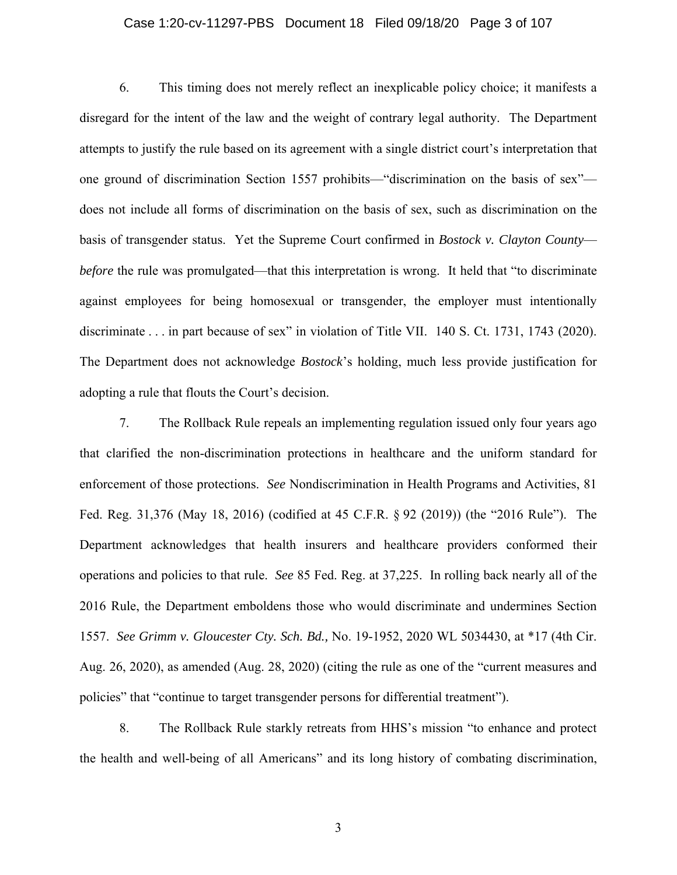#### Case 1:20-cv-11297-PBS Document 18 Filed 09/18/20 Page 3 of 107

6. This timing does not merely reflect an inexplicable policy choice; it manifests a disregard for the intent of the law and the weight of contrary legal authority. The Department attempts to justify the rule based on its agreement with a single district court's interpretation that one ground of discrimination Section 1557 prohibits—"discrimination on the basis of sex" does not include all forms of discrimination on the basis of sex, such as discrimination on the basis of transgender status. Yet the Supreme Court confirmed in *Bostock v. Clayton County before* the rule was promulgated—that this interpretation is wrong. It held that "to discriminate" against employees for being homosexual or transgender, the employer must intentionally discriminate . . . in part because of sex" in violation of Title VII. 140 S. Ct. 1731, 1743 (2020). The Department does not acknowledge *Bostock*'s holding, much less provide justification for adopting a rule that flouts the Court's decision.

7. The Rollback Rule repeals an implementing regulation issued only four years ago that clarified the non-discrimination protections in healthcare and the uniform standard for enforcement of those protections. *See* Nondiscrimination in Health Programs and Activities, 81 Fed. Reg. 31,376 (May 18, 2016) (codified at 45 C.F.R. § 92 (2019)) (the "2016 Rule"). The Department acknowledges that health insurers and healthcare providers conformed their operations and policies to that rule. *See* 85 Fed. Reg. at 37,225. In rolling back nearly all of the 2016 Rule, the Department emboldens those who would discriminate and undermines Section 1557. *See Grimm v. Gloucester Cty. Sch. Bd.,* No. 19-1952, 2020 WL 5034430, at \*17 (4th Cir. Aug. 26, 2020), as amended (Aug. 28, 2020) (citing the rule as one of the "current measures and policies" that "continue to target transgender persons for differential treatment").

8. The Rollback Rule starkly retreats from HHS's mission "to enhance and protect the health and well-being of all Americans" and its long history of combating discrimination,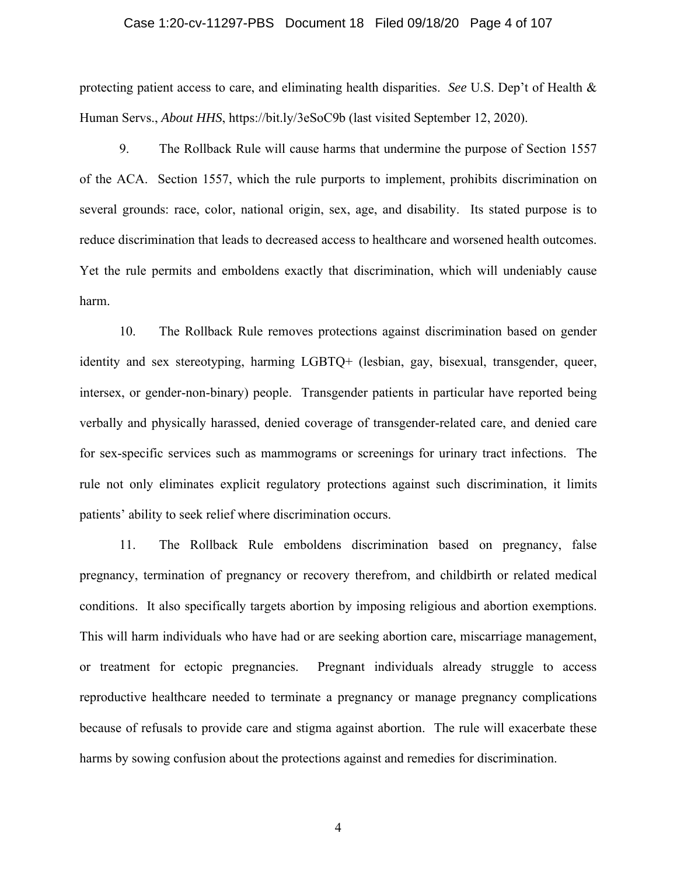#### Case 1:20-cv-11297-PBS Document 18 Filed 09/18/20 Page 4 of 107

protecting patient access to care, and eliminating health disparities. *See* U.S. Dep't of Health & Human Servs., *About HHS*, https://bit.ly/3eSoC9b (last visited September 12, 2020).

9. The Rollback Rule will cause harms that undermine the purpose of Section 1557 of the ACA. Section 1557, which the rule purports to implement, prohibits discrimination on several grounds: race, color, national origin, sex, age, and disability. Its stated purpose is to reduce discrimination that leads to decreased access to healthcare and worsened health outcomes. Yet the rule permits and emboldens exactly that discrimination, which will undeniably cause harm.

10. The Rollback Rule removes protections against discrimination based on gender identity and sex stereotyping, harming LGBTQ+ (lesbian, gay, bisexual, transgender, queer, intersex, or gender-non-binary) people. Transgender patients in particular have reported being verbally and physically harassed, denied coverage of transgender-related care, and denied care for sex-specific services such as mammograms or screenings for urinary tract infections. The rule not only eliminates explicit regulatory protections against such discrimination, it limits patients' ability to seek relief where discrimination occurs.

11. The Rollback Rule emboldens discrimination based on pregnancy, false pregnancy, termination of pregnancy or recovery therefrom, and childbirth or related medical conditions. It also specifically targets abortion by imposing religious and abortion exemptions. This will harm individuals who have had or are seeking abortion care, miscarriage management, or treatment for ectopic pregnancies. Pregnant individuals already struggle to access reproductive healthcare needed to terminate a pregnancy or manage pregnancy complications because of refusals to provide care and stigma against abortion. The rule will exacerbate these harms by sowing confusion about the protections against and remedies for discrimination.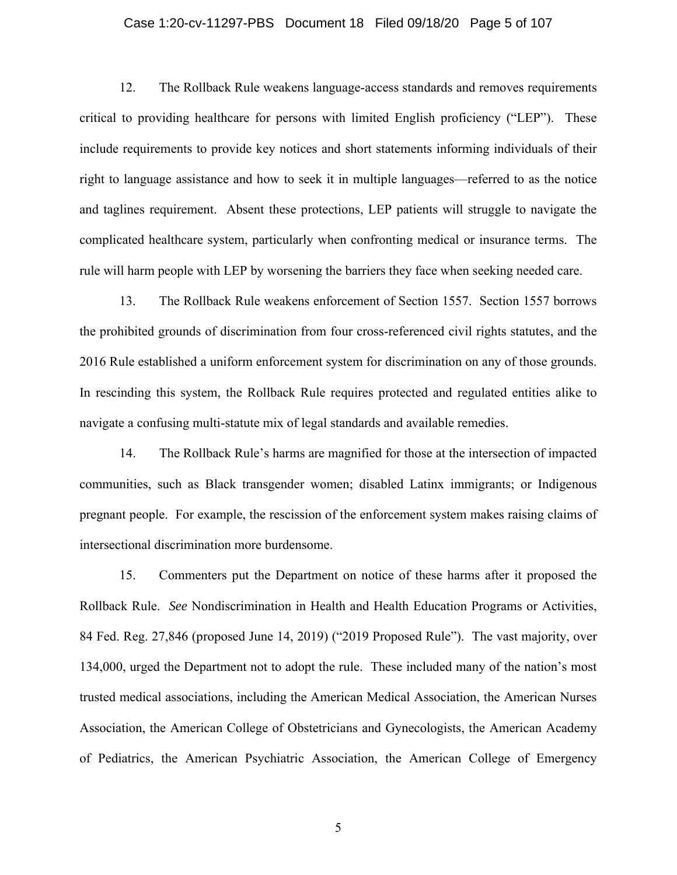#### Case 1:20-cv-11297-PBS Document 18 Filed 09/18/20 Page 5 of 107

12. The Rollback Rule weakens language-access standards and removes requirements critical to providing healthcare for persons with limited English proficiency ("LEP"). These include requirements to provide key notices and short statements informing individuals of their right to language assistance and how to seek it in multiple languages—referred to as the notice and taglines requirement. Absent these protections, LEP patients will struggle to navigate the complicated healthcare system, particularly when confronting medical or insurance terms. The rule will harm people with LEP by worsening the barriers they face when seeking needed care.

13. The Rollback Rule weakens enforcement of Section 1557. Section 1557 borrows the prohibited grounds of discrimination from four cross-referenced civil rights statutes, and the 2016 Rule established a uniform enforcement system for discrimination on any of those grounds. In rescinding this system, the Rollback Rule requires protected and regulated entities alike to navigate a confusing multi-statute mix of legal standards and available remedies.

14. The Rollback Rule's harms are magnified for those at the intersection of impacted communities, such as Black transgender women; disabled Latinx immigrants; or Indigenous pregnant people. For example, the rescission of the enforcement system makes raising claims of intersectional discrimination more burdensome.

15. Commenters put the Department on notice of these harms after it proposed the Rollback Rule. *See* Nondiscrimination in Health and Health Education Programs or Activities, 84 Fed. Reg. 27,846 (proposed June 14, 2019) ("2019 Proposed Rule"). The vast majority, over 134,000, urged the Department not to adopt the rule. These included many of the nation's most trusted medical associations, including the American Medical Association, the American Nurses Association, the American College of Obstetricians and Gynecologists, the American Academy of Pediatrics, the American Psychiatric Association, the American College of Emergency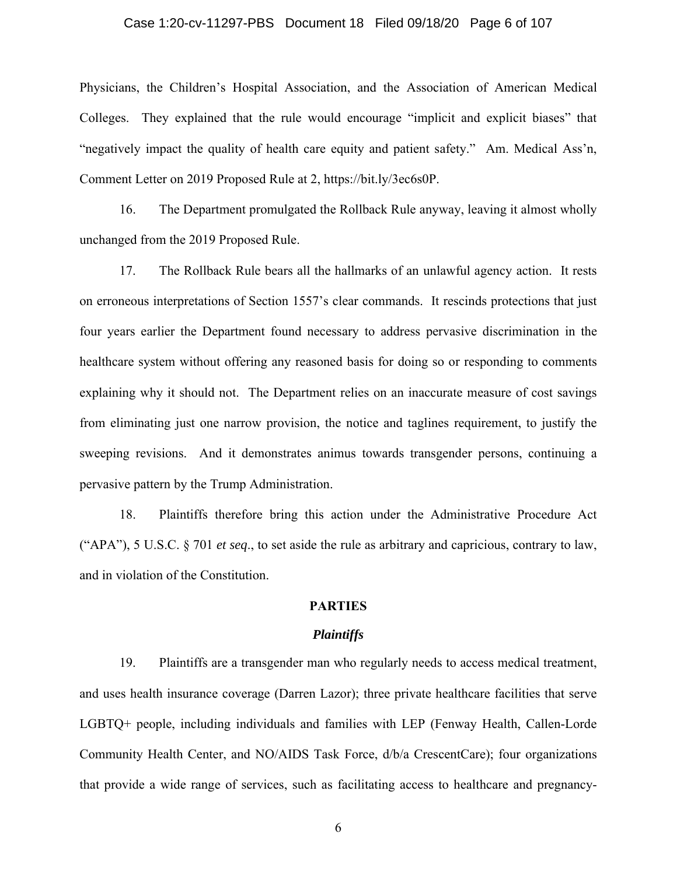#### Case 1:20-cv-11297-PBS Document 18 Filed 09/18/20 Page 6 of 107

Physicians, the Children's Hospital Association, and the Association of American Medical Colleges. They explained that the rule would encourage "implicit and explicit biases" that "negatively impact the quality of health care equity and patient safety." Am. Medical Ass'n, Comment Letter on 2019 Proposed Rule at 2, https://bit.ly/3ec6s0P.

16. The Department promulgated the Rollback Rule anyway, leaving it almost wholly unchanged from the 2019 Proposed Rule.

17. The Rollback Rule bears all the hallmarks of an unlawful agency action. It rests on erroneous interpretations of Section 1557's clear commands. It rescinds protections that just four years earlier the Department found necessary to address pervasive discrimination in the healthcare system without offering any reasoned basis for doing so or responding to comments explaining why it should not. The Department relies on an inaccurate measure of cost savings from eliminating just one narrow provision, the notice and taglines requirement, to justify the sweeping revisions. And it demonstrates animus towards transgender persons, continuing a pervasive pattern by the Trump Administration.

18. Plaintiffs therefore bring this action under the Administrative Procedure Act ("APA"), 5 U.S.C. § 701 *et seq*., to set aside the rule as arbitrary and capricious, contrary to law, and in violation of the Constitution.

## **PARTIES**

#### *Plaintiffs*

19. Plaintiffs are a transgender man who regularly needs to access medical treatment, and uses health insurance coverage (Darren Lazor); three private healthcare facilities that serve LGBTQ+ people, including individuals and families with LEP (Fenway Health, Callen-Lorde Community Health Center, and NO/AIDS Task Force, d/b/a CrescentCare); four organizations that provide a wide range of services, such as facilitating access to healthcare and pregnancy-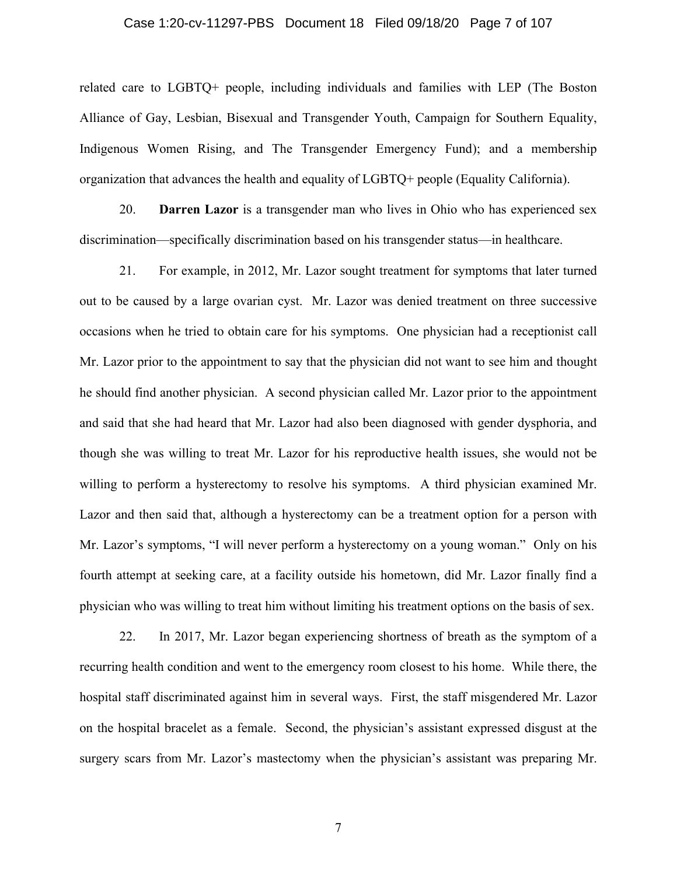#### Case 1:20-cv-11297-PBS Document 18 Filed 09/18/20 Page 7 of 107

related care to LGBTQ+ people, including individuals and families with LEP (The Boston Alliance of Gay, Lesbian, Bisexual and Transgender Youth, Campaign for Southern Equality, Indigenous Women Rising, and The Transgender Emergency Fund); and a membership organization that advances the health and equality of LGBTQ+ people (Equality California).

20. **Darren Lazor** is a transgender man who lives in Ohio who has experienced sex discrimination—specifically discrimination based on his transgender status—in healthcare.

21. For example, in 2012, Mr. Lazor sought treatment for symptoms that later turned out to be caused by a large ovarian cyst. Mr. Lazor was denied treatment on three successive occasions when he tried to obtain care for his symptoms. One physician had a receptionist call Mr. Lazor prior to the appointment to say that the physician did not want to see him and thought he should find another physician. A second physician called Mr. Lazor prior to the appointment and said that she had heard that Mr. Lazor had also been diagnosed with gender dysphoria, and though she was willing to treat Mr. Lazor for his reproductive health issues, she would not be willing to perform a hysterectomy to resolve his symptoms. A third physician examined Mr. Lazor and then said that, although a hysterectomy can be a treatment option for a person with Mr. Lazor's symptoms, "I will never perform a hysterectomy on a young woman." Only on his fourth attempt at seeking care, at a facility outside his hometown, did Mr. Lazor finally find a physician who was willing to treat him without limiting his treatment options on the basis of sex.

22. In 2017, Mr. Lazor began experiencing shortness of breath as the symptom of a recurring health condition and went to the emergency room closest to his home. While there, the hospital staff discriminated against him in several ways. First, the staff misgendered Mr. Lazor on the hospital bracelet as a female. Second, the physician's assistant expressed disgust at the surgery scars from Mr. Lazor's mastectomy when the physician's assistant was preparing Mr.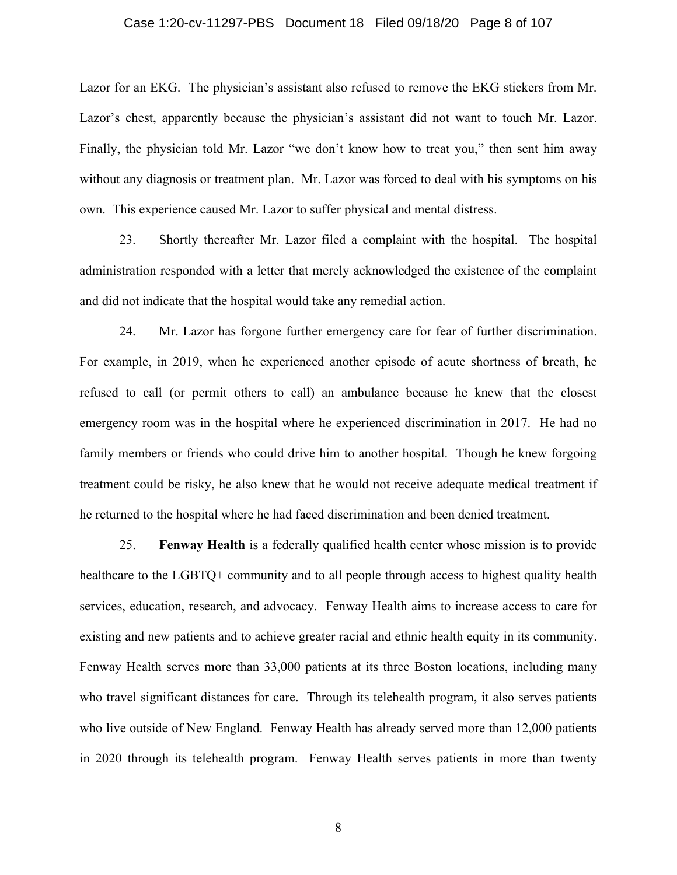#### Case 1:20-cv-11297-PBS Document 18 Filed 09/18/20 Page 8 of 107

Lazor for an EKG. The physician's assistant also refused to remove the EKG stickers from Mr. Lazor's chest, apparently because the physician's assistant did not want to touch Mr. Lazor. Finally, the physician told Mr. Lazor "we don't know how to treat you," then sent him away without any diagnosis or treatment plan. Mr. Lazor was forced to deal with his symptoms on his own. This experience caused Mr. Lazor to suffer physical and mental distress.

23. Shortly thereafter Mr. Lazor filed a complaint with the hospital. The hospital administration responded with a letter that merely acknowledged the existence of the complaint and did not indicate that the hospital would take any remedial action.

24. Mr. Lazor has forgone further emergency care for fear of further discrimination. For example, in 2019, when he experienced another episode of acute shortness of breath, he refused to call (or permit others to call) an ambulance because he knew that the closest emergency room was in the hospital where he experienced discrimination in 2017. He had no family members or friends who could drive him to another hospital. Though he knew forgoing treatment could be risky, he also knew that he would not receive adequate medical treatment if he returned to the hospital where he had faced discrimination and been denied treatment.

25. **Fenway Health** is a federally qualified health center whose mission is to provide healthcare to the LGBTQ+ community and to all people through access to highest quality health services, education, research, and advocacy. Fenway Health aims to increase access to care for existing and new patients and to achieve greater racial and ethnic health equity in its community. Fenway Health serves more than 33,000 patients at its three Boston locations, including many who travel significant distances for care. Through its telehealth program, it also serves patients who live outside of New England. Fenway Health has already served more than 12,000 patients in 2020 through its telehealth program. Fenway Health serves patients in more than twenty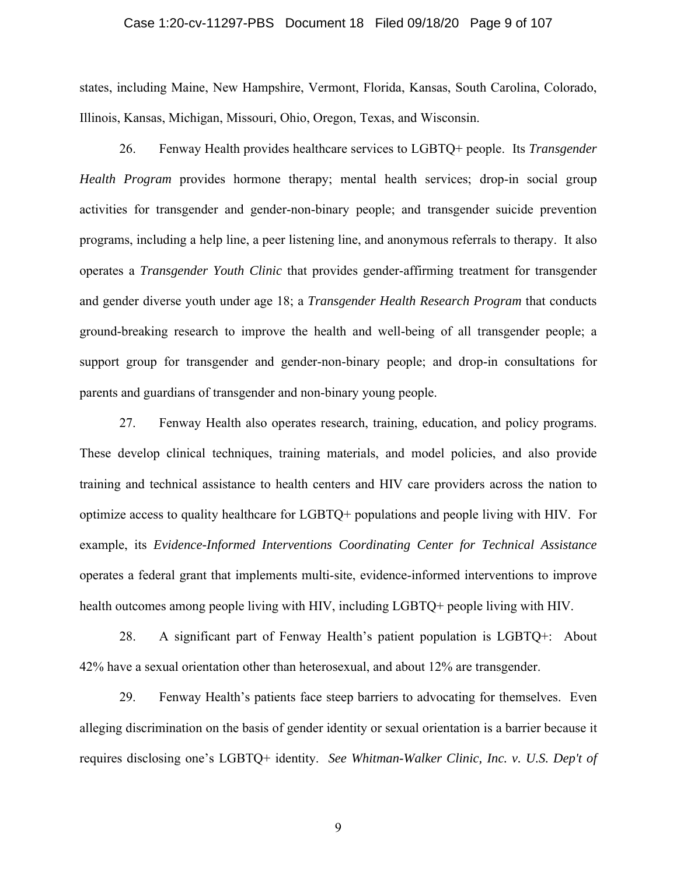#### Case 1:20-cv-11297-PBS Document 18 Filed 09/18/20 Page 9 of 107

states, including Maine, New Hampshire, Vermont, Florida, Kansas, South Carolina, Colorado, Illinois, Kansas, Michigan, Missouri, Ohio, Oregon, Texas, and Wisconsin.

26. Fenway Health provides healthcare services to LGBTQ+ people. Its *Transgender Health Program* provides hormone therapy; mental health services; drop-in social group activities for transgender and gender-non-binary people; and transgender suicide prevention programs, including a help line, a peer listening line, and anonymous referrals to therapy. It also operates a *Transgender Youth Clinic* that provides gender-affirming treatment for transgender and gender diverse youth under age 18; a *Transgender Health Research Program* that conducts ground-breaking research to improve the health and well-being of all transgender people; a support group for transgender and gender-non-binary people; and drop-in consultations for parents and guardians of transgender and non-binary young people.

27. Fenway Health also operates research, training, education, and policy programs. These develop clinical techniques, training materials, and model policies, and also provide training and technical assistance to health centers and HIV care providers across the nation to optimize access to quality healthcare for LGBTQ+ populations and people living with HIV. For example, its *Evidence-Informed Interventions Coordinating Center for Technical Assistance* operates a federal grant that implements multi-site, evidence-informed interventions to improve health outcomes among people living with HIV, including LGBTQ+ people living with HIV.

28. A significant part of Fenway Health's patient population is LGBTQ+: About 42% have a sexual orientation other than heterosexual, and about 12% are transgender.

29. Fenway Health's patients face steep barriers to advocating for themselves. Even alleging discrimination on the basis of gender identity or sexual orientation is a barrier because it requires disclosing one's LGBTQ+ identity. *See Whitman-Walker Clinic, Inc. v. U.S. Dep't of*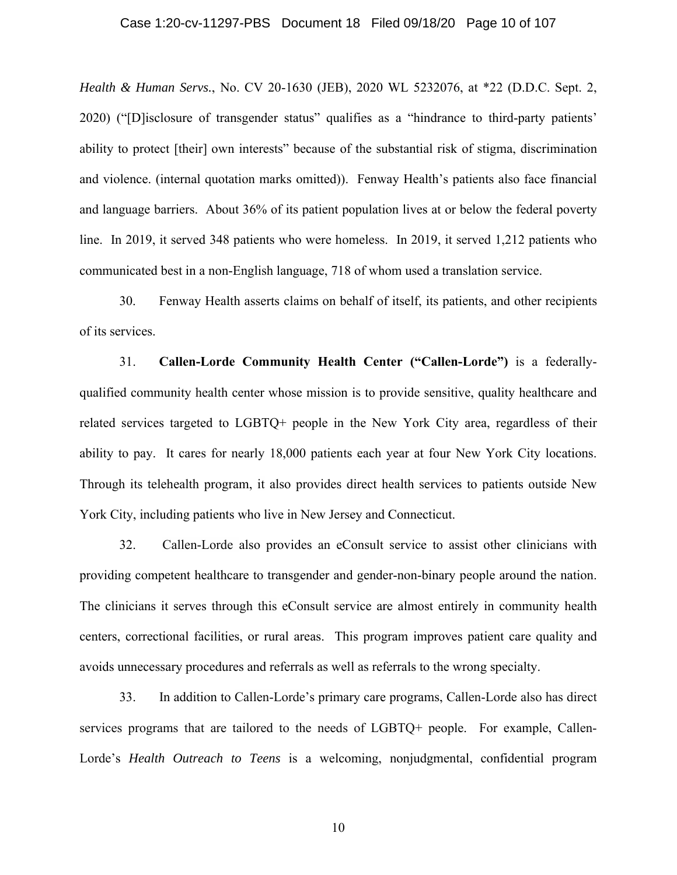#### Case 1:20-cv-11297-PBS Document 18 Filed 09/18/20 Page 10 of 107

*Health & Human Servs.*, No. CV 20-1630 (JEB), 2020 WL 5232076, at \*22 (D.D.C. Sept. 2, 2020) ("[D]isclosure of transgender status" qualifies as a "hindrance to third-party patients' ability to protect [their] own interests" because of the substantial risk of stigma, discrimination and violence. (internal quotation marks omitted)). Fenway Health's patients also face financial and language barriers. About 36% of its patient population lives at or below the federal poverty line. In 2019, it served 348 patients who were homeless. In 2019, it served 1,212 patients who communicated best in a non-English language, 718 of whom used a translation service.

30. Fenway Health asserts claims on behalf of itself, its patients, and other recipients of its services.

31. **Callen-Lorde Community Health Center ("Callen-Lorde")** is a federallyqualified community health center whose mission is to provide sensitive, quality healthcare and related services targeted to LGBTQ+ people in the New York City area, regardless of their ability to pay. It cares for nearly 18,000 patients each year at four New York City locations. Through its telehealth program, it also provides direct health services to patients outside New York City, including patients who live in New Jersey and Connecticut.

32. Callen-Lorde also provides an eConsult service to assist other clinicians with providing competent healthcare to transgender and gender-non-binary people around the nation. The clinicians it serves through this eConsult service are almost entirely in community health centers, correctional facilities, or rural areas. This program improves patient care quality and avoids unnecessary procedures and referrals as well as referrals to the wrong specialty.

33. In addition to Callen-Lorde's primary care programs, Callen-Lorde also has direct services programs that are tailored to the needs of LGBTQ+ people. For example, Callen-Lorde's *Health Outreach to Teens* is a welcoming, nonjudgmental, confidential program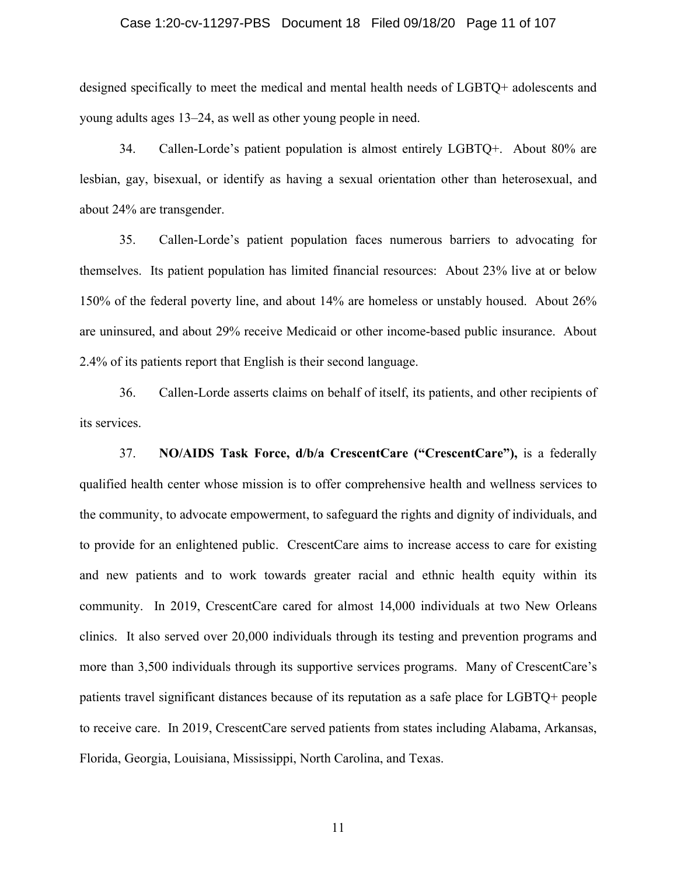#### Case 1:20-cv-11297-PBS Document 18 Filed 09/18/20 Page 11 of 107

designed specifically to meet the medical and mental health needs of LGBTQ+ adolescents and young adults ages 13–24, as well as other young people in need.

34. Callen-Lorde's patient population is almost entirely LGBTQ+. About 80% are lesbian, gay, bisexual, or identify as having a sexual orientation other than heterosexual, and about 24% are transgender.

35. Callen-Lorde's patient population faces numerous barriers to advocating for themselves. Its patient population has limited financial resources: About 23% live at or below 150% of the federal poverty line, and about 14% are homeless or unstably housed. About 26% are uninsured, and about 29% receive Medicaid or other income-based public insurance. About 2.4% of its patients report that English is their second language.

36. Callen-Lorde asserts claims on behalf of itself, its patients, and other recipients of its services.

37. **NO/AIDS Task Force, d/b/a CrescentCare ("CrescentCare"),** is a federally qualified health center whose mission is to offer comprehensive health and wellness services to the community, to advocate empowerment, to safeguard the rights and dignity of individuals, and to provide for an enlightened public. CrescentCare aims to increase access to care for existing and new patients and to work towards greater racial and ethnic health equity within its community. In 2019, CrescentCare cared for almost 14,000 individuals at two New Orleans clinics. It also served over 20,000 individuals through its testing and prevention programs and more than 3,500 individuals through its supportive services programs. Many of CrescentCare's patients travel significant distances because of its reputation as a safe place for LGBTQ+ people to receive care. In 2019, CrescentCare served patients from states including Alabama, Arkansas, Florida, Georgia, Louisiana, Mississippi, North Carolina, and Texas.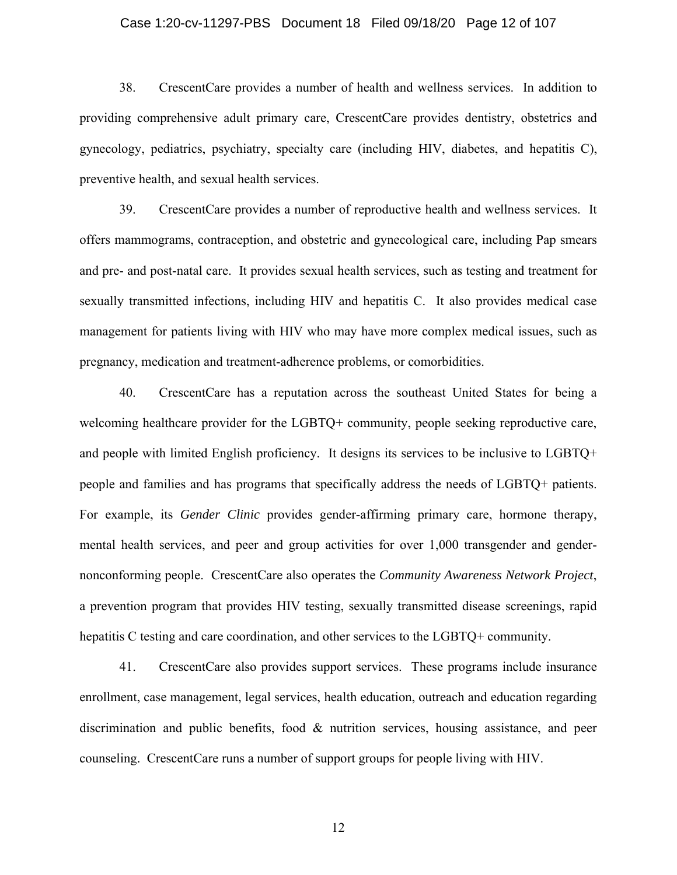#### Case 1:20-cv-11297-PBS Document 18 Filed 09/18/20 Page 12 of 107

38. CrescentCare provides a number of health and wellness services. In addition to providing comprehensive adult primary care, CrescentCare provides dentistry, obstetrics and gynecology, pediatrics, psychiatry, specialty care (including HIV, diabetes, and hepatitis C), preventive health, and sexual health services.

39. CrescentCare provides a number of reproductive health and wellness services. It offers mammograms, contraception, and obstetric and gynecological care, including Pap smears and pre- and post-natal care. It provides sexual health services, such as testing and treatment for sexually transmitted infections, including HIV and hepatitis C. It also provides medical case management for patients living with HIV who may have more complex medical issues, such as pregnancy, medication and treatment-adherence problems, or comorbidities.

40. CrescentCare has a reputation across the southeast United States for being a welcoming healthcare provider for the LGBTQ+ community, people seeking reproductive care, and people with limited English proficiency. It designs its services to be inclusive to LGBTQ+ people and families and has programs that specifically address the needs of LGBTQ+ patients. For example, its *Gender Clinic* provides gender-affirming primary care, hormone therapy, mental health services, and peer and group activities for over 1,000 transgender and gendernonconforming people. CrescentCare also operates the *Community Awareness Network Project*, a prevention program that provides HIV testing, sexually transmitted disease screenings, rapid hepatitis C testing and care coordination, and other services to the LGBTQ+ community.

41. CrescentCare also provides support services. These programs include insurance enrollment, case management, legal services, health education, outreach and education regarding discrimination and public benefits, food & nutrition services, housing assistance, and peer counseling. CrescentCare runs a number of support groups for people living with HIV.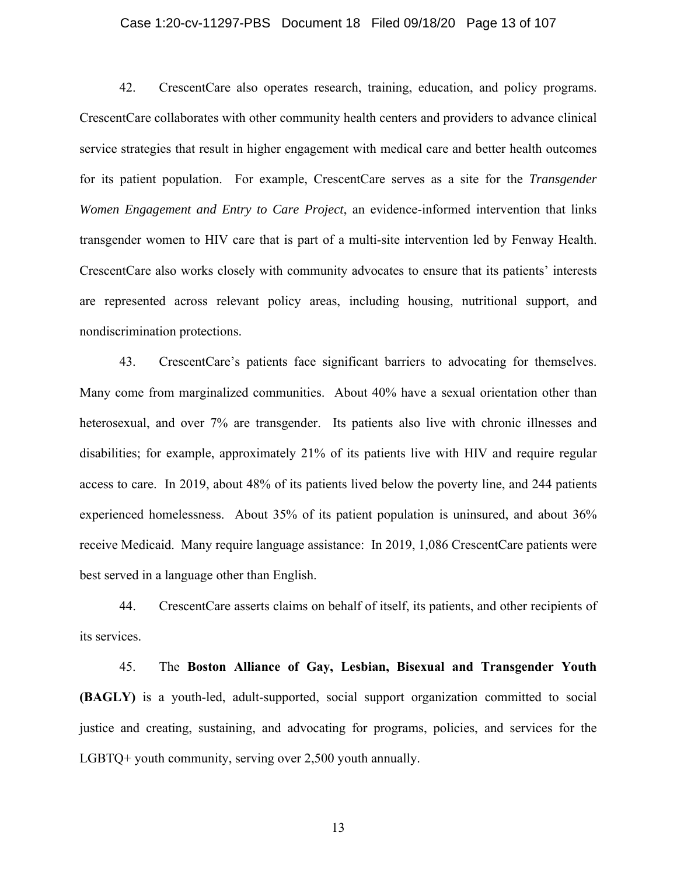#### Case 1:20-cv-11297-PBS Document 18 Filed 09/18/20 Page 13 of 107

42. CrescentCare also operates research, training, education, and policy programs. CrescentCare collaborates with other community health centers and providers to advance clinical service strategies that result in higher engagement with medical care and better health outcomes for its patient population. For example, CrescentCare serves as a site for the *Transgender Women Engagement and Entry to Care Project*, an evidence-informed intervention that links transgender women to HIV care that is part of a multi-site intervention led by Fenway Health. CrescentCare also works closely with community advocates to ensure that its patients' interests are represented across relevant policy areas, including housing, nutritional support, and nondiscrimination protections.

43. CrescentCare's patients face significant barriers to advocating for themselves. Many come from marginalized communities. About 40% have a sexual orientation other than heterosexual, and over 7% are transgender. Its patients also live with chronic illnesses and disabilities; for example, approximately 21% of its patients live with HIV and require regular access to care. In 2019, about 48% of its patients lived below the poverty line, and 244 patients experienced homelessness. About 35% of its patient population is uninsured, and about 36% receive Medicaid. Many require language assistance: In 2019, 1,086 CrescentCare patients were best served in a language other than English.

44. CrescentCare asserts claims on behalf of itself, its patients, and other recipients of its services.

45. The **Boston Alliance of Gay, Lesbian, Bisexual and Transgender Youth (BAGLY)** is a youth-led, adult-supported, social support organization committed to social justice and creating, sustaining, and advocating for programs, policies, and services for the LGBTQ+ youth community, serving over 2,500 youth annually.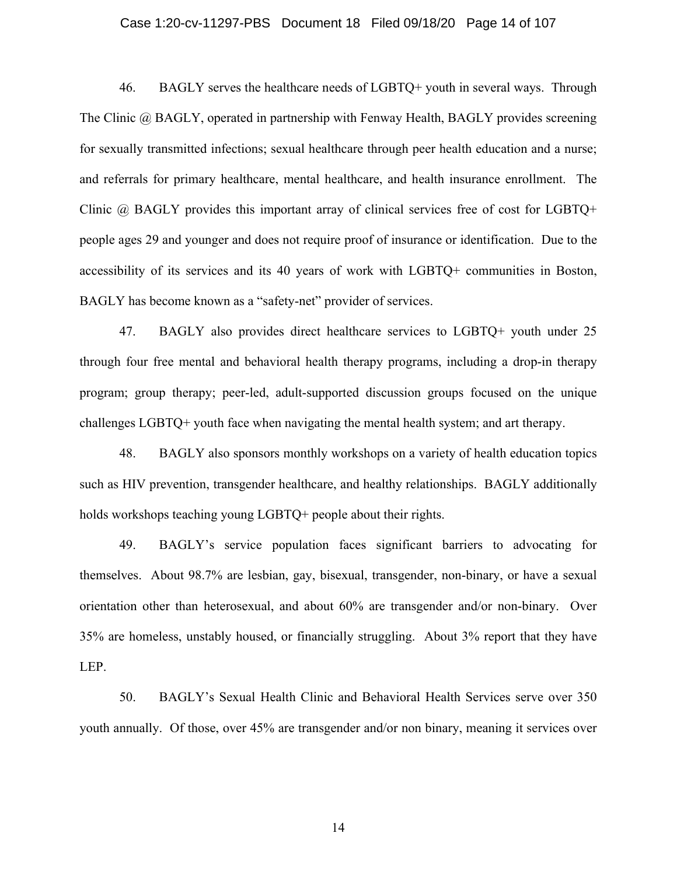#### Case 1:20-cv-11297-PBS Document 18 Filed 09/18/20 Page 14 of 107

46. BAGLY serves the healthcare needs of LGBTQ+ youth in several ways. Through The Clinic @ BAGLY, operated in partnership with Fenway Health, BAGLY provides screening for sexually transmitted infections; sexual healthcare through peer health education and a nurse; and referrals for primary healthcare, mental healthcare, and health insurance enrollment. The Clinic @ BAGLY provides this important array of clinical services free of cost for LGBTQ+ people ages 29 and younger and does not require proof of insurance or identification. Due to the accessibility of its services and its 40 years of work with LGBTQ+ communities in Boston, BAGLY has become known as a "safety-net" provider of services.

47. BAGLY also provides direct healthcare services to LGBTQ+ youth under 25 through four free mental and behavioral health therapy programs, including a drop-in therapy program; group therapy; peer-led, adult-supported discussion groups focused on the unique challenges LGBTQ+ youth face when navigating the mental health system; and art therapy.

48. BAGLY also sponsors monthly workshops on a variety of health education topics such as HIV prevention, transgender healthcare, and healthy relationships. BAGLY additionally holds workshops teaching young LGBTQ+ people about their rights.

49. BAGLY's service population faces significant barriers to advocating for themselves. About 98.7% are lesbian, gay, bisexual, transgender, non-binary, or have a sexual orientation other than heterosexual, and about 60% are transgender and/or non-binary. Over 35% are homeless, unstably housed, or financially struggling. About 3% report that they have LEP.

50. BAGLY's Sexual Health Clinic and Behavioral Health Services serve over 350 youth annually. Of those, over 45% are transgender and/or non binary, meaning it services over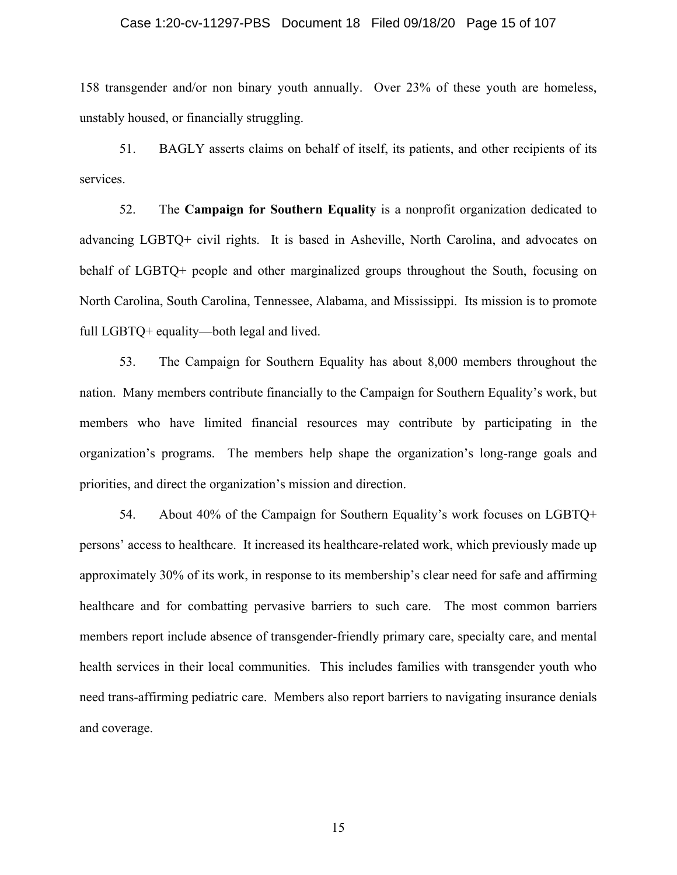#### Case 1:20-cv-11297-PBS Document 18 Filed 09/18/20 Page 15 of 107

158 transgender and/or non binary youth annually. Over 23% of these youth are homeless, unstably housed, or financially struggling.

51. BAGLY asserts claims on behalf of itself, its patients, and other recipients of its services.

52. The **Campaign for Southern Equality** is a nonprofit organization dedicated to advancing LGBTQ+ civil rights. It is based in Asheville, North Carolina, and advocates on behalf of LGBTQ+ people and other marginalized groups throughout the South, focusing on North Carolina, South Carolina, Tennessee, Alabama, and Mississippi. Its mission is to promote full LGBTQ+ equality—both legal and lived.

53. The Campaign for Southern Equality has about 8,000 members throughout the nation. Many members contribute financially to the Campaign for Southern Equality's work, but members who have limited financial resources may contribute by participating in the organization's programs. The members help shape the organization's long-range goals and priorities, and direct the organization's mission and direction.

54. About 40% of the Campaign for Southern Equality's work focuses on LGBTQ+ persons' access to healthcare. It increased its healthcare-related work, which previously made up approximately 30% of its work, in response to its membership's clear need for safe and affirming healthcare and for combatting pervasive barriers to such care. The most common barriers members report include absence of transgender-friendly primary care, specialty care, and mental health services in their local communities. This includes families with transgender youth who need trans-affirming pediatric care. Members also report barriers to navigating insurance denials and coverage.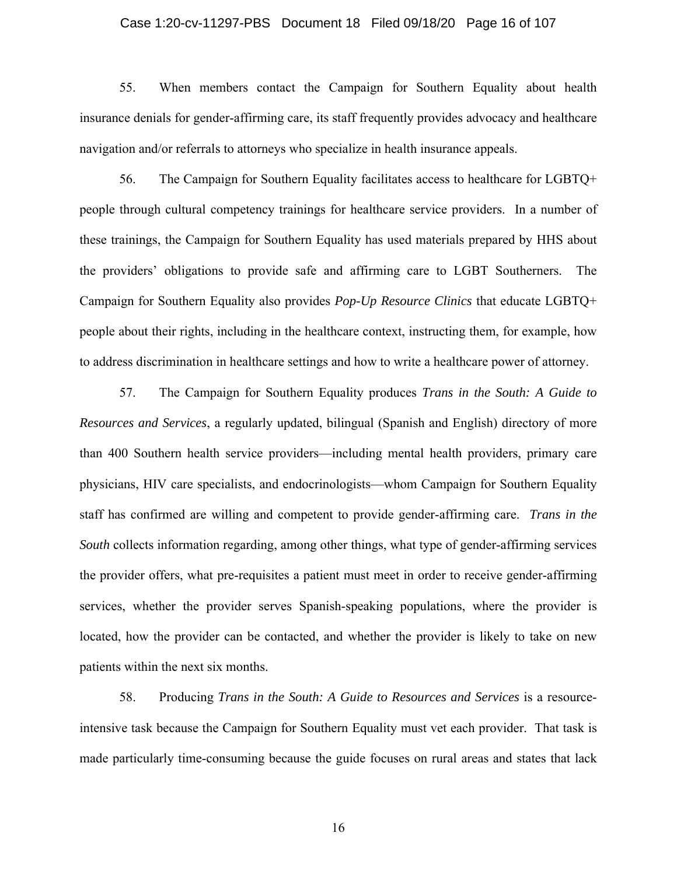#### Case 1:20-cv-11297-PBS Document 18 Filed 09/18/20 Page 16 of 107

55. When members contact the Campaign for Southern Equality about health insurance denials for gender-affirming care, its staff frequently provides advocacy and healthcare navigation and/or referrals to attorneys who specialize in health insurance appeals.

56. The Campaign for Southern Equality facilitates access to healthcare for LGBTQ+ people through cultural competency trainings for healthcare service providers. In a number of these trainings, the Campaign for Southern Equality has used materials prepared by HHS about the providers' obligations to provide safe and affirming care to LGBT Southerners. The Campaign for Southern Equality also provides *Pop-Up Resource Clinics* that educate LGBTQ+ people about their rights, including in the healthcare context, instructing them, for example, how to address discrimination in healthcare settings and how to write a healthcare power of attorney.

57. The Campaign for Southern Equality produces *Trans in the South: A Guide to Resources and Services*, a regularly updated, bilingual (Spanish and English) directory of more than 400 Southern health service providers—including mental health providers, primary care physicians, HIV care specialists, and endocrinologists—whom Campaign for Southern Equality staff has confirmed are willing and competent to provide gender-affirming care. *Trans in the South* collects information regarding, among other things, what type of gender-affirming services the provider offers, what pre-requisites a patient must meet in order to receive gender-affirming services, whether the provider serves Spanish-speaking populations, where the provider is located, how the provider can be contacted, and whether the provider is likely to take on new patients within the next six months.

58. Producing *Trans in the South: A Guide to Resources and Services* is a resourceintensive task because the Campaign for Southern Equality must vet each provider. That task is made particularly time-consuming because the guide focuses on rural areas and states that lack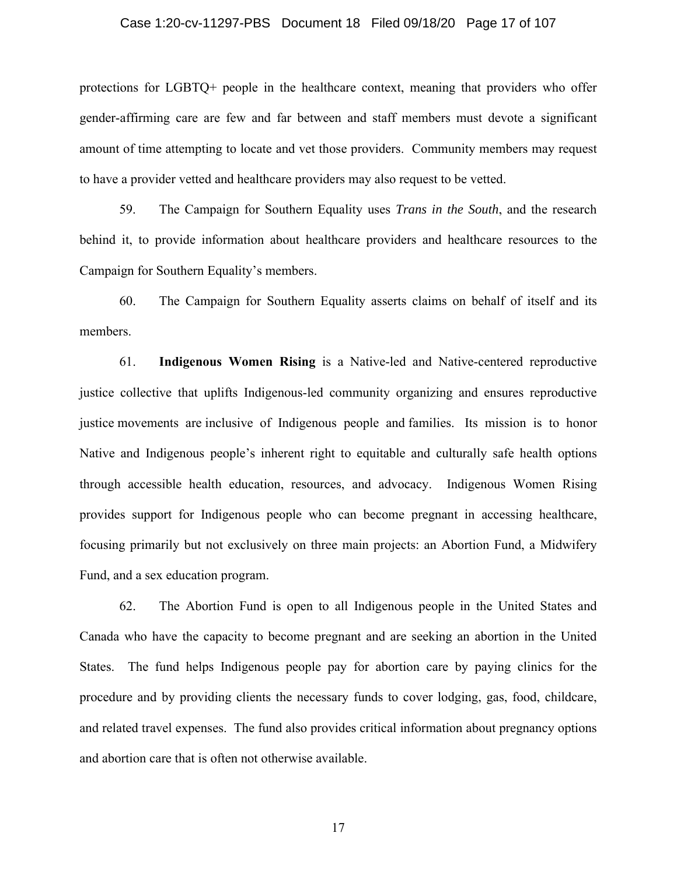#### Case 1:20-cv-11297-PBS Document 18 Filed 09/18/20 Page 17 of 107

protections for LGBTQ+ people in the healthcare context, meaning that providers who offer gender-affirming care are few and far between and staff members must devote a significant amount of time attempting to locate and vet those providers. Community members may request to have a provider vetted and healthcare providers may also request to be vetted.

59. The Campaign for Southern Equality uses *Trans in the South*, and the research behind it, to provide information about healthcare providers and healthcare resources to the Campaign for Southern Equality's members.

60. The Campaign for Southern Equality asserts claims on behalf of itself and its members.

61. **Indigenous Women Rising** is a Native-led and Native-centered reproductive justice collective that uplifts Indigenous-led community organizing and ensures reproductive justice movements are inclusive of Indigenous people and families. Its mission is to honor Native and Indigenous people's inherent right to equitable and culturally safe health options through accessible health education, resources, and advocacy. Indigenous Women Rising provides support for Indigenous people who can become pregnant in accessing healthcare, focusing primarily but not exclusively on three main projects: an Abortion Fund, a Midwifery Fund, and a sex education program.

62. The Abortion Fund is open to all Indigenous people in the United States and Canada who have the capacity to become pregnant and are seeking an abortion in the United States. The fund helps Indigenous people pay for abortion care by paying clinics for the procedure and by providing clients the necessary funds to cover lodging, gas, food, childcare, and related travel expenses. The fund also provides critical information about pregnancy options and abortion care that is often not otherwise available.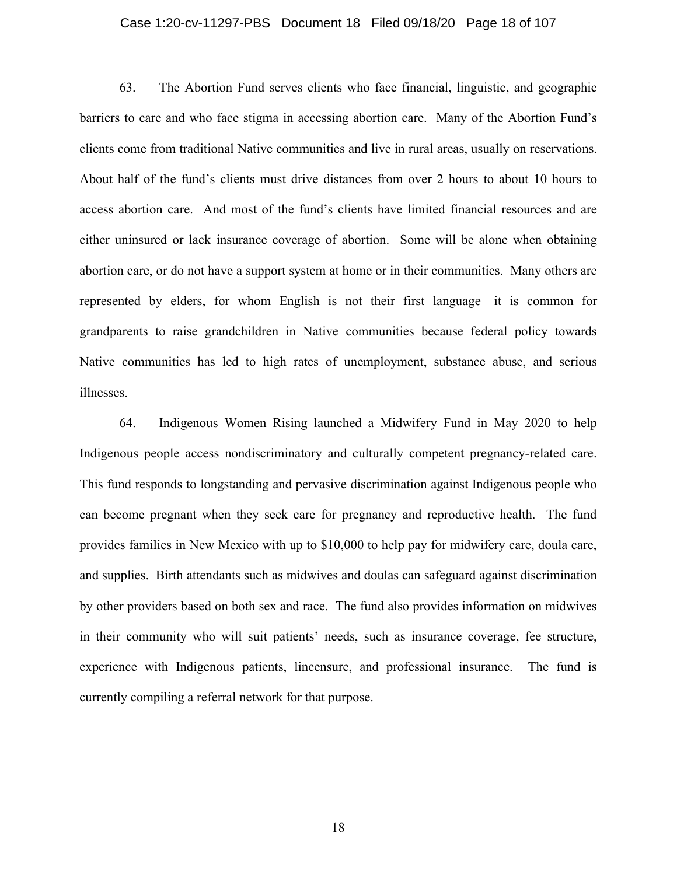#### Case 1:20-cv-11297-PBS Document 18 Filed 09/18/20 Page 18 of 107

63. The Abortion Fund serves clients who face financial, linguistic, and geographic barriers to care and who face stigma in accessing abortion care. Many of the Abortion Fund's clients come from traditional Native communities and live in rural areas, usually on reservations. About half of the fund's clients must drive distances from over 2 hours to about 10 hours to access abortion care. And most of the fund's clients have limited financial resources and are either uninsured or lack insurance coverage of abortion. Some will be alone when obtaining abortion care, or do not have a support system at home or in their communities. Many others are represented by elders, for whom English is not their first language—it is common for grandparents to raise grandchildren in Native communities because federal policy towards Native communities has led to high rates of unemployment, substance abuse, and serious illnesses.

64. Indigenous Women Rising launched a Midwifery Fund in May 2020 to help Indigenous people access nondiscriminatory and culturally competent pregnancy-related care. This fund responds to longstanding and pervasive discrimination against Indigenous people who can become pregnant when they seek care for pregnancy and reproductive health. The fund provides families in New Mexico with up to \$10,000 to help pay for midwifery care, doula care, and supplies. Birth attendants such as midwives and doulas can safeguard against discrimination by other providers based on both sex and race. The fund also provides information on midwives in their community who will suit patients' needs, such as insurance coverage, fee structure, experience with Indigenous patients, lincensure, and professional insurance. The fund is currently compiling a referral network for that purpose.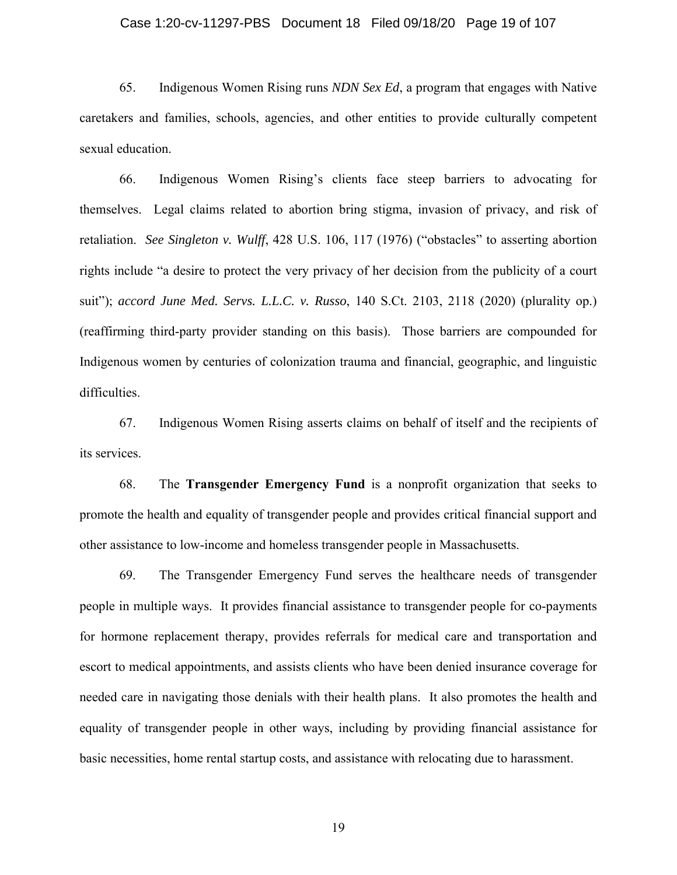#### Case 1:20-cv-11297-PBS Document 18 Filed 09/18/20 Page 19 of 107

65. Indigenous Women Rising runs *NDN Sex Ed*, a program that engages with Native caretakers and families, schools, agencies, and other entities to provide culturally competent sexual education.

66. Indigenous Women Rising's clients face steep barriers to advocating for themselves. Legal claims related to abortion bring stigma, invasion of privacy, and risk of retaliation. *See Singleton v. Wulff*, 428 U.S. 106, 117 (1976) ("obstacles" to asserting abortion rights include "a desire to protect the very privacy of her decision from the publicity of a court suit"); *accord June Med. Servs. L.L.C. v. Russo*, 140 S.Ct. 2103, 2118 (2020) (plurality op.) (reaffirming third-party provider standing on this basis). Those barriers are compounded for Indigenous women by centuries of colonization trauma and financial, geographic, and linguistic difficulties.

67. Indigenous Women Rising asserts claims on behalf of itself and the recipients of its services.

68. The **Transgender Emergency Fund** is a nonprofit organization that seeks to promote the health and equality of transgender people and provides critical financial support and other assistance to low-income and homeless transgender people in Massachusetts.

69. The Transgender Emergency Fund serves the healthcare needs of transgender people in multiple ways. It provides financial assistance to transgender people for co-payments for hormone replacement therapy, provides referrals for medical care and transportation and escort to medical appointments, and assists clients who have been denied insurance coverage for needed care in navigating those denials with their health plans. It also promotes the health and equality of transgender people in other ways, including by providing financial assistance for basic necessities, home rental startup costs, and assistance with relocating due to harassment.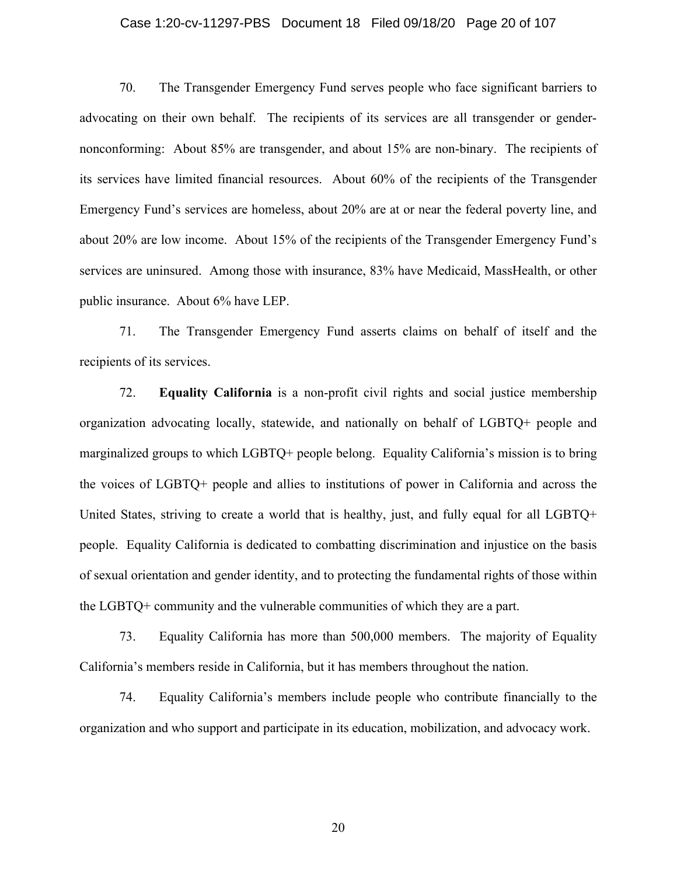#### Case 1:20-cv-11297-PBS Document 18 Filed 09/18/20 Page 20 of 107

70. The Transgender Emergency Fund serves people who face significant barriers to advocating on their own behalf. The recipients of its services are all transgender or gendernonconforming: About 85% are transgender, and about 15% are non-binary. The recipients of its services have limited financial resources. About 60% of the recipients of the Transgender Emergency Fund's services are homeless, about 20% are at or near the federal poverty line, and about 20% are low income. About 15% of the recipients of the Transgender Emergency Fund's services are uninsured. Among those with insurance, 83% have Medicaid, MassHealth, or other public insurance. About 6% have LEP.

71. The Transgender Emergency Fund asserts claims on behalf of itself and the recipients of its services.

72. **Equality California** is a non-profit civil rights and social justice membership organization advocating locally, statewide, and nationally on behalf of LGBTQ+ people and marginalized groups to which LGBTQ+ people belong. Equality California's mission is to bring the voices of LGBTQ+ people and allies to institutions of power in California and across the United States, striving to create a world that is healthy, just, and fully equal for all LGBTQ+ people. Equality California is dedicated to combatting discrimination and injustice on the basis of sexual orientation and gender identity, and to protecting the fundamental rights of those within the LGBTQ+ community and the vulnerable communities of which they are a part.

73. Equality California has more than 500,000 members. The majority of Equality California's members reside in California, but it has members throughout the nation.

74. Equality California's members include people who contribute financially to the organization and who support and participate in its education, mobilization, and advocacy work.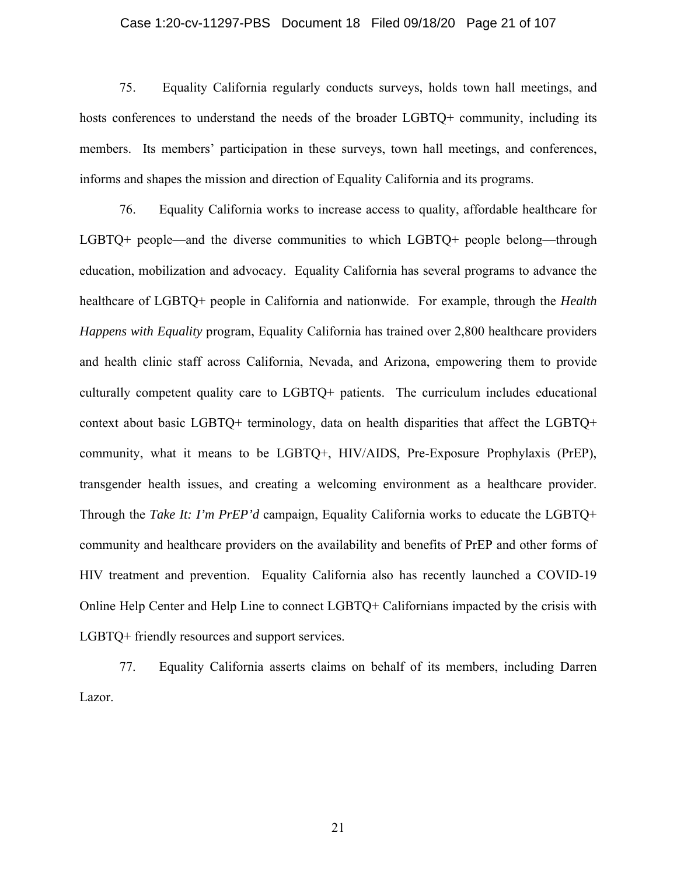#### Case 1:20-cv-11297-PBS Document 18 Filed 09/18/20 Page 21 of 107

75. Equality California regularly conducts surveys, holds town hall meetings, and hosts conferences to understand the needs of the broader LGBTQ+ community, including its members. Its members' participation in these surveys, town hall meetings, and conferences, informs and shapes the mission and direction of Equality California and its programs.

76. Equality California works to increase access to quality, affordable healthcare for LGBTQ+ people—and the diverse communities to which LGBTQ+ people belong—through education, mobilization and advocacy. Equality California has several programs to advance the healthcare of LGBTQ+ people in California and nationwide. For example, through the *Health Happens with Equality* program, Equality California has trained over 2,800 healthcare providers and health clinic staff across California, Nevada, and Arizona, empowering them to provide culturally competent quality care to LGBTQ+ patients. The curriculum includes educational context about basic LGBTQ+ terminology, data on health disparities that affect the LGBTQ+ community, what it means to be LGBTQ+, HIV/AIDS, Pre-Exposure Prophylaxis (PrEP), transgender health issues, and creating a welcoming environment as a healthcare provider. Through the *Take It: I'm PrEP'd* campaign, Equality California works to educate the LGBTQ+ community and healthcare providers on the availability and benefits of PrEP and other forms of HIV treatment and prevention. Equality California also has recently launched a COVID-19 Online Help Center and Help Line to connect LGBTQ+ Californians impacted by the crisis with LGBTQ+ friendly resources and support services.

77. Equality California asserts claims on behalf of its members, including Darren Lazor.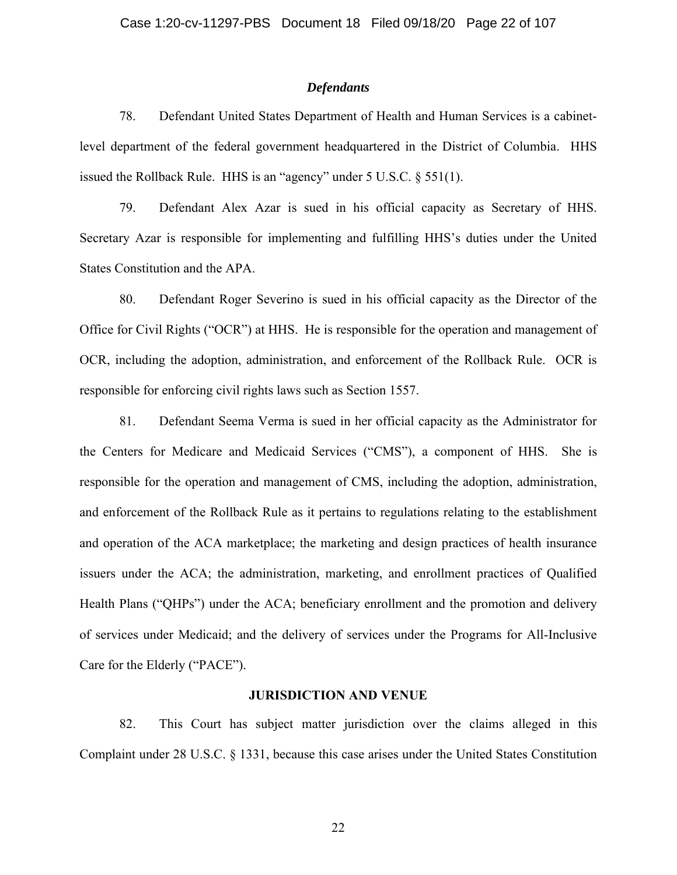#### *Defendants*

78. Defendant United States Department of Health and Human Services is a cabinetlevel department of the federal government headquartered in the District of Columbia. HHS issued the Rollback Rule. HHS is an "agency" under 5 U.S.C. § 551(1).

79. Defendant Alex Azar is sued in his official capacity as Secretary of HHS. Secretary Azar is responsible for implementing and fulfilling HHS's duties under the United States Constitution and the APA.

80. Defendant Roger Severino is sued in his official capacity as the Director of the Office for Civil Rights ("OCR") at HHS. He is responsible for the operation and management of OCR, including the adoption, administration, and enforcement of the Rollback Rule. OCR is responsible for enforcing civil rights laws such as Section 1557.

81. Defendant Seema Verma is sued in her official capacity as the Administrator for the Centers for Medicare and Medicaid Services ("CMS"), a component of HHS. She is responsible for the operation and management of CMS, including the adoption, administration, and enforcement of the Rollback Rule as it pertains to regulations relating to the establishment and operation of the ACA marketplace; the marketing and design practices of health insurance issuers under the ACA; the administration, marketing, and enrollment practices of Qualified Health Plans ("QHPs") under the ACA; beneficiary enrollment and the promotion and delivery of services under Medicaid; and the delivery of services under the Programs for All-Inclusive Care for the Elderly ("PACE").

## **JURISDICTION AND VENUE**

82. This Court has subject matter jurisdiction over the claims alleged in this Complaint under 28 U.S.C. § 1331, because this case arises under the United States Constitution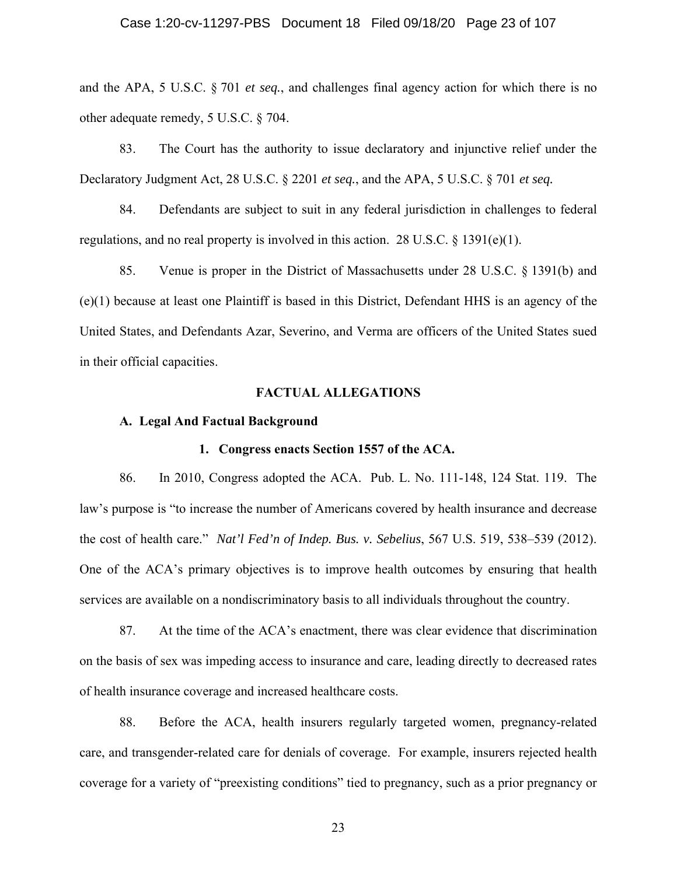and the APA, 5 U.S.C. § 701 *et seq.*, and challenges final agency action for which there is no other adequate remedy, 5 U.S.C. § 704.

83. The Court has the authority to issue declaratory and injunctive relief under the Declaratory Judgment Act, 28 U.S.C. § 2201 *et seq.*, and the APA, 5 U.S.C. § 701 *et seq.*

84. Defendants are subject to suit in any federal jurisdiction in challenges to federal regulations, and no real property is involved in this action. 28 U.S.C.  $\S$  1391(e)(1).

85. Venue is proper in the District of Massachusetts under 28 U.S.C. § 1391(b) and (e)(1) because at least one Plaintiff is based in this District, Defendant HHS is an agency of the United States, and Defendants Azar, Severino, and Verma are officers of the United States sued in their official capacities.

#### **FACTUAL ALLEGATIONS**

#### **A. Legal And Factual Background**

#### **1. Congress enacts Section 1557 of the ACA.**

86. In 2010, Congress adopted the ACA. Pub. L. No. 111-148, 124 Stat. 119. The law's purpose is "to increase the number of Americans covered by health insurance and decrease the cost of health care." *Nat'l Fed'n of Indep. Bus. v. Sebelius*, 567 U.S. 519, 538–539 (2012). One of the ACA's primary objectives is to improve health outcomes by ensuring that health services are available on a nondiscriminatory basis to all individuals throughout the country.

87. At the time of the ACA's enactment, there was clear evidence that discrimination on the basis of sex was impeding access to insurance and care, leading directly to decreased rates of health insurance coverage and increased healthcare costs.

88. Before the ACA, health insurers regularly targeted women, pregnancy-related care, and transgender-related care for denials of coverage. For example, insurers rejected health coverage for a variety of "preexisting conditions" tied to pregnancy, such as a prior pregnancy or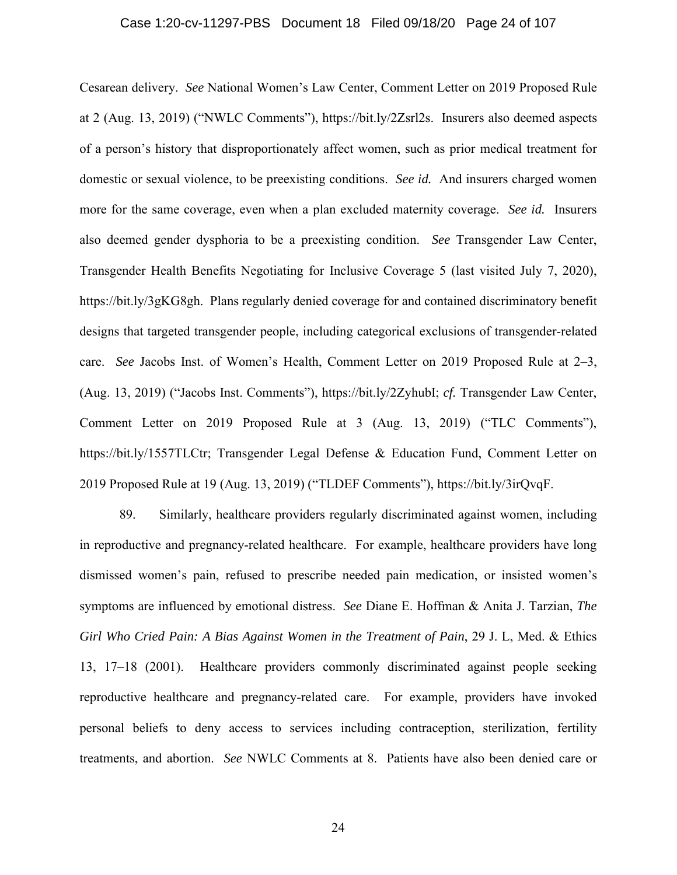#### Case 1:20-cv-11297-PBS Document 18 Filed 09/18/20 Page 24 of 107

Cesarean delivery. *See* National Women's Law Center, Comment Letter on 2019 Proposed Rule at 2 (Aug. 13, 2019) ("NWLC Comments"), https://bit.ly/2Zsrl2s. Insurers also deemed aspects of a person's history that disproportionately affect women, such as prior medical treatment for domestic or sexual violence, to be preexisting conditions. *See id.* And insurers charged women more for the same coverage, even when a plan excluded maternity coverage. *See id.* Insurers also deemed gender dysphoria to be a preexisting condition. *See* Transgender Law Center, Transgender Health Benefits Negotiating for Inclusive Coverage 5 (last visited July 7, 2020), https://bit.ly/3gKG8gh. Plans regularly denied coverage for and contained discriminatory benefit designs that targeted transgender people, including categorical exclusions of transgender-related care. *See* Jacobs Inst. of Women's Health, Comment Letter on 2019 Proposed Rule at 2–3, (Aug. 13, 2019) ("Jacobs Inst. Comments"), https://bit.ly/2ZyhubI; *cf.* Transgender Law Center, Comment Letter on 2019 Proposed Rule at 3 (Aug. 13, 2019) ("TLC Comments"), https://bit.ly/1557TLCtr; Transgender Legal Defense & Education Fund, Comment Letter on 2019 Proposed Rule at 19 (Aug. 13, 2019) ("TLDEF Comments"), https://bit.ly/3irQvqF.

89. Similarly, healthcare providers regularly discriminated against women, including in reproductive and pregnancy-related healthcare. For example, healthcare providers have long dismissed women's pain, refused to prescribe needed pain medication, or insisted women's symptoms are influenced by emotional distress. *See* Diane E. Hoffman & Anita J. Tarzian, *The Girl Who Cried Pain: A Bias Against Women in the Treatment of Pain*, 29 J. L, Med. & Ethics 13, 17–18 (2001). Healthcare providers commonly discriminated against people seeking reproductive healthcare and pregnancy-related care. For example, providers have invoked personal beliefs to deny access to services including contraception, sterilization, fertility treatments, and abortion. *See* NWLC Comments at 8. Patients have also been denied care or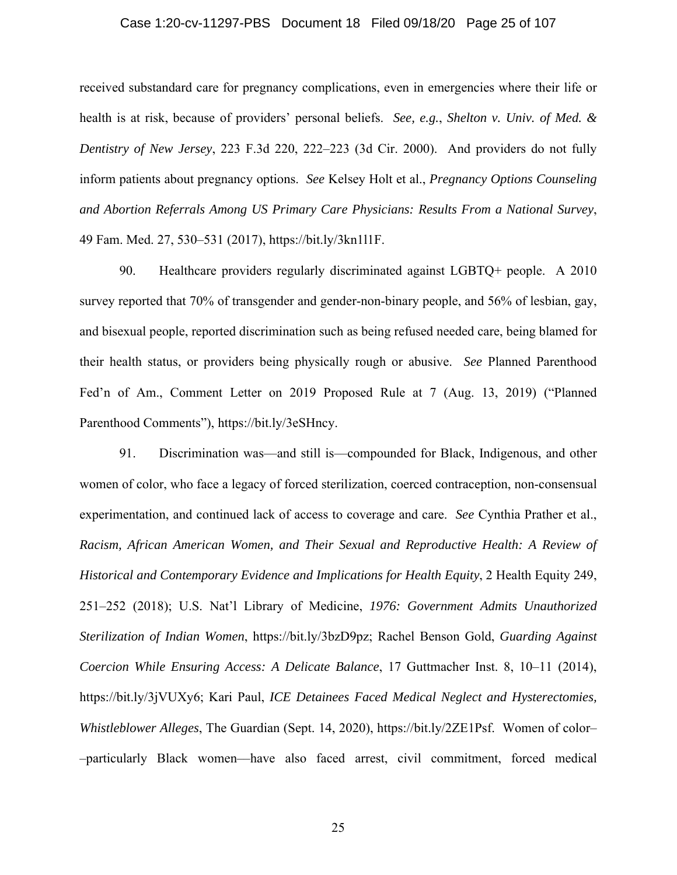#### Case 1:20-cv-11297-PBS Document 18 Filed 09/18/20 Page 25 of 107

received substandard care for pregnancy complications, even in emergencies where their life or health is at risk, because of providers' personal beliefs. *See, e.g.*, *Shelton v. Univ. of Med. & Dentistry of New Jersey*, 223 F.3d 220, 222–223 (3d Cir. 2000). And providers do not fully inform patients about pregnancy options. *See* Kelsey Holt et al., *Pregnancy Options Counseling and Abortion Referrals Among US Primary Care Physicians: Results From a National Survey*, 49 Fam. Med. 27, 530–531 (2017), https://bit.ly/3kn1l1F.

90. Healthcare providers regularly discriminated against LGBTQ+ people. A 2010 survey reported that 70% of transgender and gender-non-binary people, and 56% of lesbian, gay, and bisexual people, reported discrimination such as being refused needed care, being blamed for their health status, or providers being physically rough or abusive. *See* Planned Parenthood Fed'n of Am., Comment Letter on 2019 Proposed Rule at 7 (Aug. 13, 2019) ("Planned Parenthood Comments"), https://bit.ly/3eSHncy.

91. Discrimination was––and still is––compounded for Black, Indigenous, and other women of color, who face a legacy of forced sterilization, coerced contraception, non-consensual experimentation, and continued lack of access to coverage and care. *See* Cynthia Prather et al., *Racism, African American Women, and Their Sexual and Reproductive Health: A Review of Historical and Contemporary Evidence and Implications for Health Equity*, 2 Health Equity 249, 251–252 (2018); U.S. Nat'l Library of Medicine, *1976: Government Admits Unauthorized Sterilization of Indian Women*, https://bit.ly/3bzD9pz; Rachel Benson Gold, *Guarding Against Coercion While Ensuring Access: A Delicate Balance*, 17 Guttmacher Inst. 8, 10–11 (2014), https://bit.ly/3jVUXy6; Kari Paul, *ICE Detainees Faced Medical Neglect and Hysterectomies, Whistleblower Alleges*, The Guardian (Sept. 14, 2020), https://bit.ly/2ZE1Psf. Women of color– –particularly Black women––have also faced arrest, civil commitment, forced medical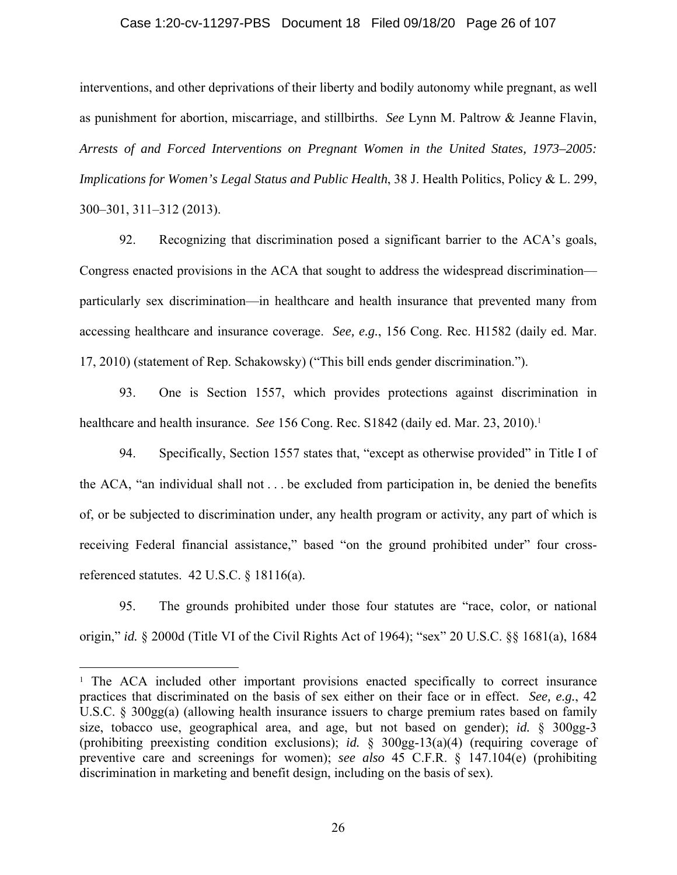#### Case 1:20-cv-11297-PBS Document 18 Filed 09/18/20 Page 26 of 107

interventions, and other deprivations of their liberty and bodily autonomy while pregnant, as well as punishment for abortion, miscarriage, and stillbirths. *See* Lynn M. Paltrow & Jeanne Flavin, *Arrests of and Forced Interventions on Pregnant Women in the United States, 1973–2005: Implications for Women's Legal Status and Public Health*, 38 J. Health Politics, Policy & L. 299, 300–301, 311–312 (2013).

92. Recognizing that discrimination posed a significant barrier to the ACA's goals, Congress enacted provisions in the ACA that sought to address the widespread discrimination particularly sex discrimination—in healthcare and health insurance that prevented many from accessing healthcare and insurance coverage. *See, e.g.*, 156 Cong. Rec. H1582 (daily ed. Mar. 17, 2010) (statement of Rep. Schakowsky) ("This bill ends gender discrimination.").

93. One is Section 1557, which provides protections against discrimination in healthcare and health insurance. *See* 156 Cong. Rec. S1842 (daily ed. Mar. 23, 2010).<sup>1</sup>

94. Specifically, Section 1557 states that, "except as otherwise provided" in Title I of the ACA, "an individual shall not . . . be excluded from participation in, be denied the benefits of, or be subjected to discrimination under, any health program or activity, any part of which is receiving Federal financial assistance," based "on the ground prohibited under" four crossreferenced statutes. 42 U.S.C. § 18116(a).

95. The grounds prohibited under those four statutes are "race, color, or national origin," *id.* § 2000d (Title VI of the Civil Rights Act of 1964); "sex" 20 U.S.C. §§ 1681(a), 1684

<sup>&</sup>lt;sup>1</sup> The ACA included other important provisions enacted specifically to correct insurance practices that discriminated on the basis of sex either on their face or in effect. *See, e.g.*, 42 U.S.C. § 300gg(a) (allowing health insurance issuers to charge premium rates based on family size, tobacco use, geographical area, and age, but not based on gender); *id.* § 300gg-3 (prohibiting preexisting condition exclusions); *id.* § 300gg-13(a)(4) (requiring coverage of preventive care and screenings for women); *see also* 45 C.F.R. § 147.104(e) (prohibiting discrimination in marketing and benefit design, including on the basis of sex).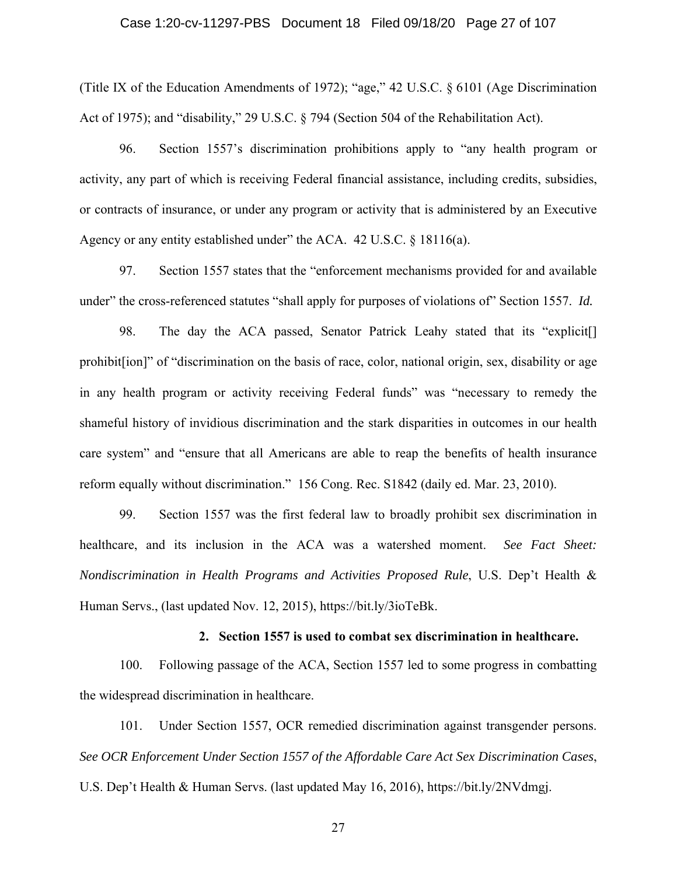#### Case 1:20-cv-11297-PBS Document 18 Filed 09/18/20 Page 27 of 107

(Title IX of the Education Amendments of 1972); "age," 42 U.S.C. § 6101 (Age Discrimination Act of 1975); and "disability," 29 U.S.C. § 794 (Section 504 of the Rehabilitation Act).

96. Section 1557's discrimination prohibitions apply to "any health program or activity, any part of which is receiving Federal financial assistance, including credits, subsidies, or contracts of insurance, or under any program or activity that is administered by an Executive Agency or any entity established under" the ACA. 42 U.S.C. § 18116(a).

97. Section 1557 states that the "enforcement mechanisms provided for and available under" the cross-referenced statutes "shall apply for purposes of violations of" Section 1557. *Id.*

98. The day the ACA passed, Senator Patrick Leahy stated that its "explicit[] prohibit[ion]" of "discrimination on the basis of race, color, national origin, sex, disability or age in any health program or activity receiving Federal funds" was "necessary to remedy the shameful history of invidious discrimination and the stark disparities in outcomes in our health care system" and "ensure that all Americans are able to reap the benefits of health insurance reform equally without discrimination." 156 Cong. Rec. S1842 (daily ed. Mar. 23, 2010).

99. Section 1557 was the first federal law to broadly prohibit sex discrimination in healthcare, and its inclusion in the ACA was a watershed moment. *See Fact Sheet: Nondiscrimination in Health Programs and Activities Proposed Rule*, U.S. Dep't Health & Human Servs., (last updated Nov. 12, 2015), https://bit.ly/3ioTeBk.

#### **2. Section 1557 is used to combat sex discrimination in healthcare.**

100. Following passage of the ACA, Section 1557 led to some progress in combatting the widespread discrimination in healthcare.

101. Under Section 1557, OCR remedied discrimination against transgender persons. *See OCR Enforcement Under Section 1557 of the Affordable Care Act Sex Discrimination Cases*, U.S. Dep't Health & Human Servs. (last updated May 16, 2016), https://bit.ly/2NVdmgj.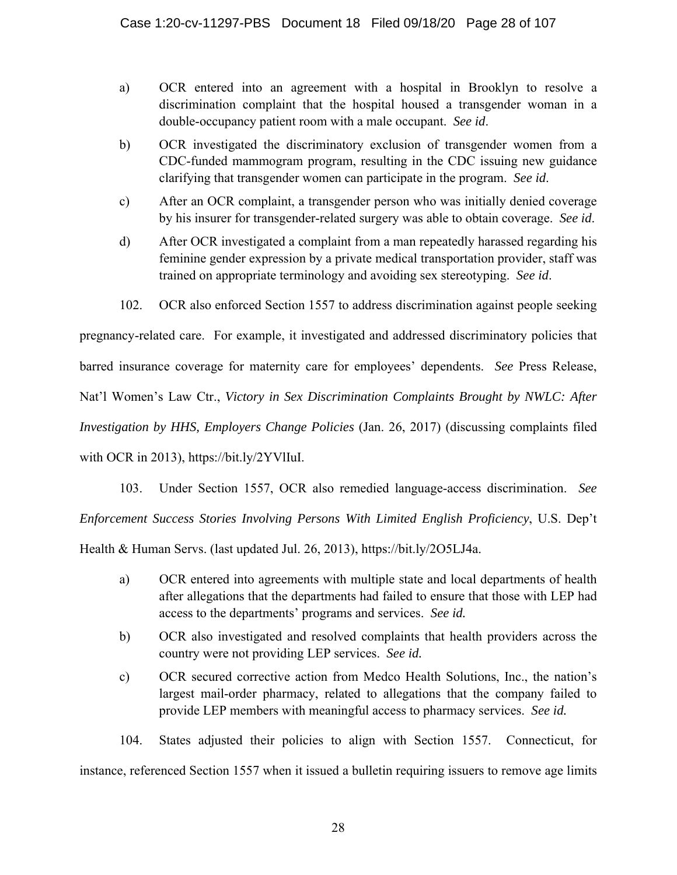- a) OCR entered into an agreement with a hospital in Brooklyn to resolve a discrimination complaint that the hospital housed a transgender woman in a double-occupancy patient room with a male occupant. *See id*.
- b) OCR investigated the discriminatory exclusion of transgender women from a CDC-funded mammogram program, resulting in the CDC issuing new guidance clarifying that transgender women can participate in the program. *See id*.
- c) After an OCR complaint, a transgender person who was initially denied coverage by his insurer for transgender-related surgery was able to obtain coverage. *See id*.
- d) After OCR investigated a complaint from a man repeatedly harassed regarding his feminine gender expression by a private medical transportation provider, staff was trained on appropriate terminology and avoiding sex stereotyping. *See id*.
- 102. OCR also enforced Section 1557 to address discrimination against people seeking

pregnancy-related care. For example, it investigated and addressed discriminatory policies that barred insurance coverage for maternity care for employees' dependents. *See* Press Release, Nat'l Women's Law Ctr., *Victory in Sex Discrimination Complaints Brought by NWLC: After Investigation by HHS, Employers Change Policies* (Jan. 26, 2017) (discussing complaints filed with OCR in 2013), https://bit.ly/2YVlIuI.

103. Under Section 1557, OCR also remedied language-access discrimination. *See*

*Enforcement Success Stories Involving Persons With Limited English Proficiency*, U.S. Dep't

Health & Human Servs. (last updated Jul. 26, 2013), https://bit.ly/2O5LJ4a.

- a) OCR entered into agreements with multiple state and local departments of health after allegations that the departments had failed to ensure that those with LEP had access to the departments' programs and services. *See id.*
- b) OCR also investigated and resolved complaints that health providers across the country were not providing LEP services. *See id.*
- c) OCR secured corrective action from Medco Health Solutions, Inc., the nation's largest mail-order pharmacy, related to allegations that the company failed to provide LEP members with meaningful access to pharmacy services. *See id.*

104. States adjusted their policies to align with Section 1557. Connecticut, for instance, referenced Section 1557 when it issued a bulletin requiring issuers to remove age limits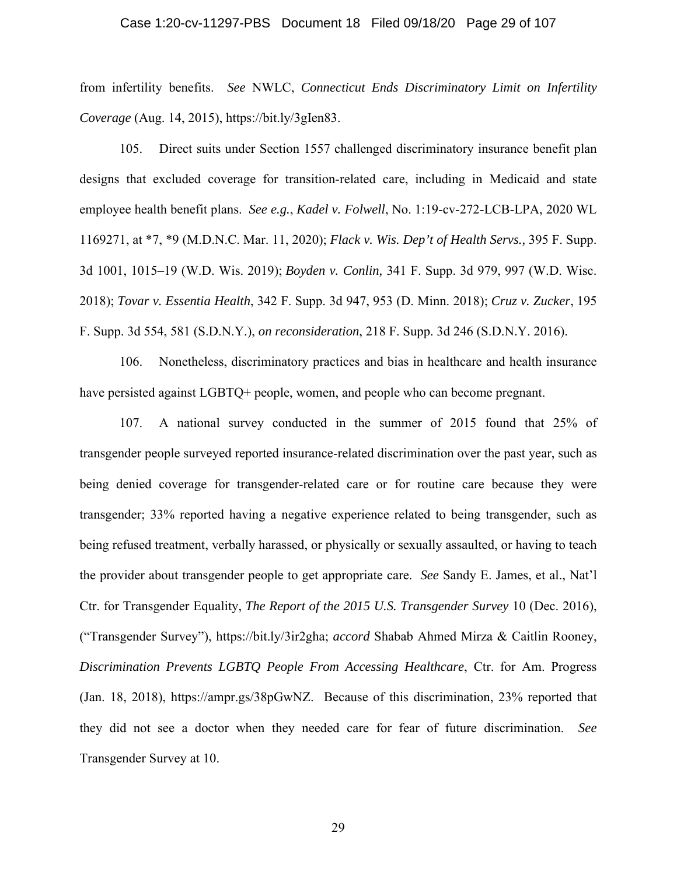#### Case 1:20-cv-11297-PBS Document 18 Filed 09/18/20 Page 29 of 107

from infertility benefits. *See* NWLC, *Connecticut Ends Discriminatory Limit on Infertility Coverage* (Aug. 14, 2015), https://bit.ly/3gIen83.

105. Direct suits under Section 1557 challenged discriminatory insurance benefit plan designs that excluded coverage for transition-related care, including in Medicaid and state employee health benefit plans. *See e.g.*, *Kadel v. Folwell*, No. 1:19-cv-272-LCB-LPA, 2020 WL 1169271, at \*7, \*9 (M.D.N.C. Mar. 11, 2020); *Flack v. Wis. Dep't of Health Servs.,* 395 F. Supp. 3d 1001, 1015–19 (W.D. Wis. 2019); *Boyden v. Conlin,* 341 F. Supp. 3d 979, 997 (W.D. Wisc. 2018); *Tovar v. Essentia Health*, 342 F. Supp. 3d 947, 953 (D. Minn. 2018); *Cruz v. Zucker*, 195 F. Supp. 3d 554, 581 (S.D.N.Y.), *on reconsideration*, 218 F. Supp. 3d 246 (S.D.N.Y. 2016).

106. Nonetheless, discriminatory practices and bias in healthcare and health insurance have persisted against LGBTQ+ people, women, and people who can become pregnant.

107. A national survey conducted in the summer of 2015 found that 25% of transgender people surveyed reported insurance-related discrimination over the past year, such as being denied coverage for transgender-related care or for routine care because they were transgender; 33% reported having a negative experience related to being transgender, such as being refused treatment, verbally harassed, or physically or sexually assaulted, or having to teach the provider about transgender people to get appropriate care. *See* Sandy E. James, et al., Nat'l Ctr. for Transgender Equality, *The Report of the 2015 U.S. Transgender Survey* 10 (Dec. 2016), ("Transgender Survey"), https://bit.ly/3ir2gha; *accord* Shabab Ahmed Mirza & Caitlin Rooney, *Discrimination Prevents LGBTQ People From Accessing Healthcare*, Ctr. for Am. Progress (Jan. 18, 2018), https://ampr.gs/38pGwNZ. Because of this discrimination, 23% reported that they did not see a doctor when they needed care for fear of future discrimination. *See*  Transgender Survey at 10.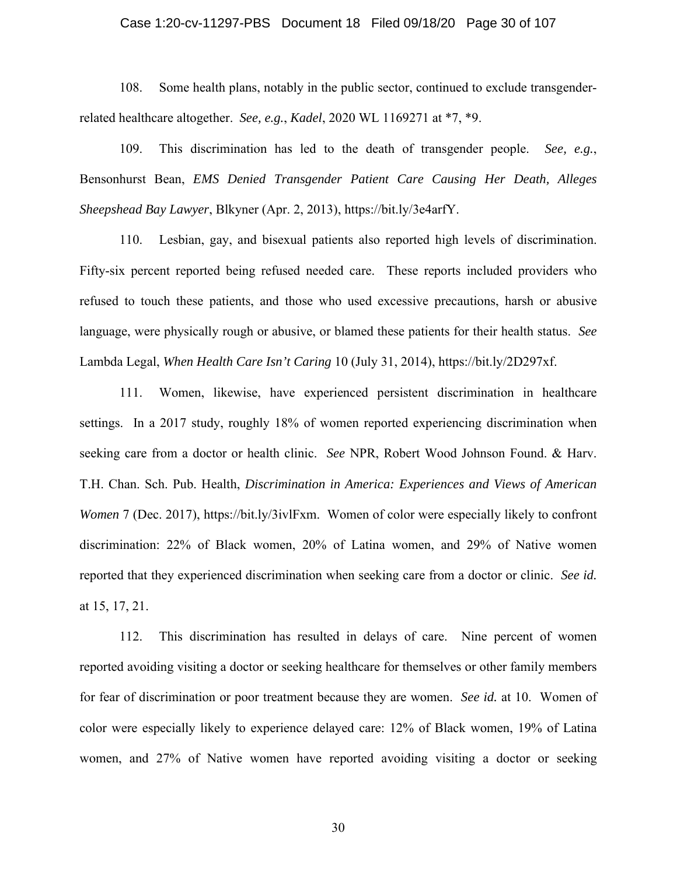#### Case 1:20-cv-11297-PBS Document 18 Filed 09/18/20 Page 30 of 107

108. Some health plans, notably in the public sector, continued to exclude transgenderrelated healthcare altogether. *See, e.g.*, *Kadel*, 2020 WL 1169271 at \*7, \*9.

109. This discrimination has led to the death of transgender people. *See, e.g.*, Bensonhurst Bean, *EMS Denied Transgender Patient Care Causing Her Death, Alleges Sheepshead Bay Lawyer*, Blkyner (Apr. 2, 2013), https://bit.ly/3e4arfY.

110. Lesbian, gay, and bisexual patients also reported high levels of discrimination. Fifty-six percent reported being refused needed care. These reports included providers who refused to touch these patients, and those who used excessive precautions, harsh or abusive language, were physically rough or abusive, or blamed these patients for their health status. *See*  Lambda Legal, *When Health Care Isn't Caring* 10 (July 31, 2014), https://bit.ly/2D297xf.

111. Women, likewise, have experienced persistent discrimination in healthcare settings. In a 2017 study, roughly 18% of women reported experiencing discrimination when seeking care from a doctor or health clinic. *See* NPR, Robert Wood Johnson Found. & Harv. T.H. Chan. Sch. Pub. Health, *Discrimination in America: Experiences and Views of American Women* 7 (Dec. 2017), https://bit.ly/3ivlFxm. Women of color were especially likely to confront discrimination: 22% of Black women, 20% of Latina women, and 29% of Native women reported that they experienced discrimination when seeking care from a doctor or clinic. *See id.* at 15, 17, 21.

112. This discrimination has resulted in delays of care. Nine percent of women reported avoiding visiting a doctor or seeking healthcare for themselves or other family members for fear of discrimination or poor treatment because they are women. *See id.* at 10.Women of color were especially likely to experience delayed care: 12% of Black women, 19% of Latina women, and 27% of Native women have reported avoiding visiting a doctor or seeking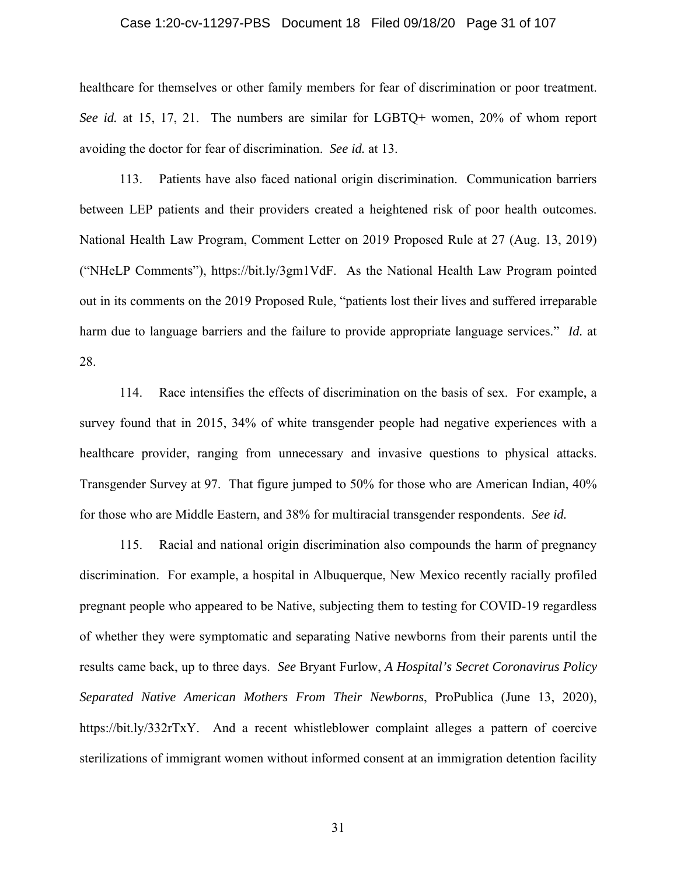#### Case 1:20-cv-11297-PBS Document 18 Filed 09/18/20 Page 31 of 107

healthcare for themselves or other family members for fear of discrimination or poor treatment. *See id.* at 15, 17, 21. The numbers are similar for LGBTQ+ women, 20% of whom report avoiding the doctor for fear of discrimination. *See id.* at 13.

113. Patients have also faced national origin discrimination. Communication barriers between LEP patients and their providers created a heightened risk of poor health outcomes. National Health Law Program, Comment Letter on 2019 Proposed Rule at 27 (Aug. 13, 2019) ("NHeLP Comments"), https://bit.ly/3gm1VdF. As the National Health Law Program pointed out in its comments on the 2019 Proposed Rule, "patients lost their lives and suffered irreparable harm due to language barriers and the failure to provide appropriate language services." *Id.* at 28.

114. Race intensifies the effects of discrimination on the basis of sex. For example, a survey found that in 2015, 34% of white transgender people had negative experiences with a healthcare provider, ranging from unnecessary and invasive questions to physical attacks. Transgender Survey at 97. That figure jumped to 50% for those who are American Indian, 40% for those who are Middle Eastern, and 38% for multiracial transgender respondents. *See id.* 

115. Racial and national origin discrimination also compounds the harm of pregnancy discrimination. For example, a hospital in Albuquerque, New Mexico recently racially profiled pregnant people who appeared to be Native, subjecting them to testing for COVID-19 regardless of whether they were symptomatic and separating Native newborns from their parents until the results came back, up to three days. *See* Bryant Furlow, *A Hospital's Secret Coronavirus Policy Separated Native American Mothers From Their Newborns*, ProPublica (June 13, 2020), https://bit.ly/332rTxY. And a recent whistleblower complaint alleges a pattern of coercive sterilizations of immigrant women without informed consent at an immigration detention facility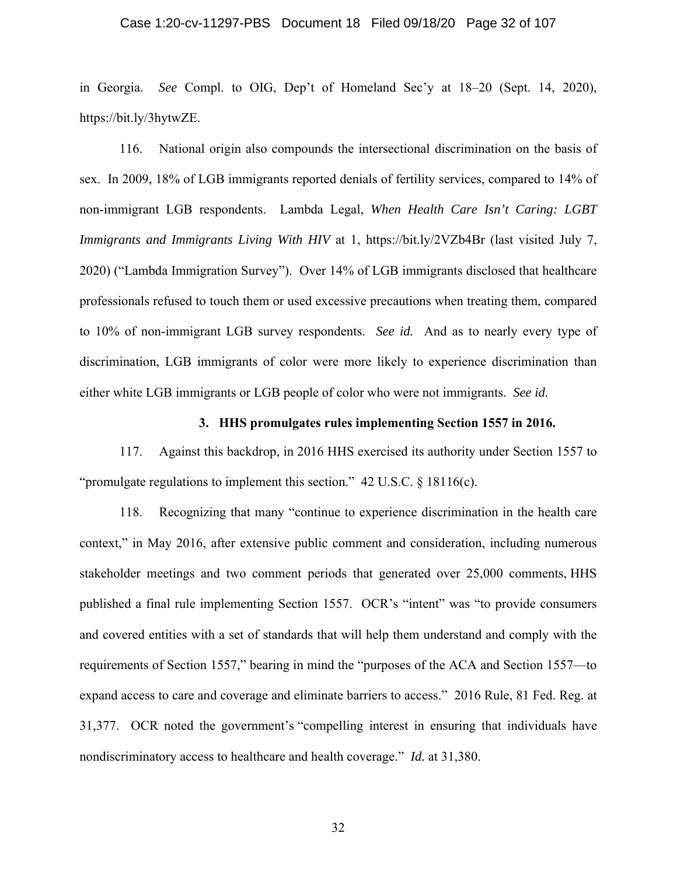#### Case 1:20-cv-11297-PBS Document 18 Filed 09/18/20 Page 32 of 107

in Georgia. *See* Compl. to OIG, Dep't of Homeland Sec'y at 18–20 (Sept. 14, 2020), https://bit.ly/3hytwZE.

116. National origin also compounds the intersectional discrimination on the basis of sex. In 2009, 18% of LGB immigrants reported denials of fertility services, compared to 14% of non-immigrant LGB respondents. Lambda Legal, *When Health Care Isn't Caring: LGBT Immigrants and Immigrants Living With HIV* at 1, https://bit.ly/2VZb4Br (last visited July 7, 2020) ("Lambda Immigration Survey"). Over 14% of LGB immigrants disclosed that healthcare professionals refused to touch them or used excessive precautions when treating them, compared to 10% of non-immigrant LGB survey respondents. *See id.* And as to nearly every type of discrimination, LGB immigrants of color were more likely to experience discrimination than either white LGB immigrants or LGB people of color who were not immigrants. *See id.*

#### **3. HHS promulgates rules implementing Section 1557 in 2016.**

117. Against this backdrop, in 2016 HHS exercised its authority under Section 1557 to "promulgate regulations to implement this section." 42 U.S.C. § 18116(c).

118. Recognizing that many "continue to experience discrimination in the health care context," in May 2016, after extensive public comment and consideration, including numerous stakeholder meetings and two comment periods that generated over 25,000 comments, HHS published a final rule implementing Section 1557. OCR's "intent" was "to provide consumers and covered entities with a set of standards that will help them understand and comply with the requirements of Section 1557," bearing in mind the "purposes of the ACA and Section 1557—to expand access to care and coverage and eliminate barriers to access." 2016 Rule, 81 Fed. Reg. at 31,377. OCR noted the government's "compelling interest in ensuring that individuals have nondiscriminatory access to healthcare and health coverage." *Id.* at 31,380.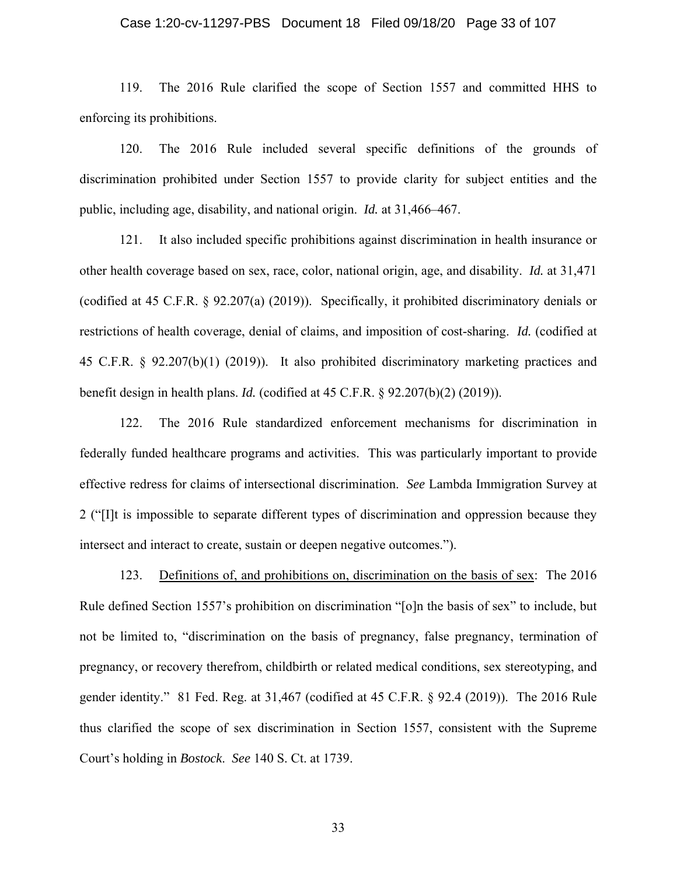#### Case 1:20-cv-11297-PBS Document 18 Filed 09/18/20 Page 33 of 107

119. The 2016 Rule clarified the scope of Section 1557 and committed HHS to enforcing its prohibitions.

120. The 2016 Rule included several specific definitions of the grounds of discrimination prohibited under Section 1557 to provide clarity for subject entities and the public, including age, disability, and national origin. *Id.* at 31,466–467.

121. It also included specific prohibitions against discrimination in health insurance or other health coverage based on sex, race, color, national origin, age, and disability. *Id.* at 31,471 (codified at 45 C.F.R. § 92.207(a) (2019)). Specifically, it prohibited discriminatory denials or restrictions of health coverage, denial of claims, and imposition of cost-sharing. *Id.* (codified at 45 C.F.R. § 92.207(b)(1) (2019)). It also prohibited discriminatory marketing practices and benefit design in health plans. *Id.* (codified at 45 C.F.R. § 92.207(b)(2) (2019)).

122. The 2016 Rule standardized enforcement mechanisms for discrimination in federally funded healthcare programs and activities. This was particularly important to provide effective redress for claims of intersectional discrimination. *See* Lambda Immigration Survey at 2 ("[I]t is impossible to separate different types of discrimination and oppression because they intersect and interact to create, sustain or deepen negative outcomes.").

123. Definitions of, and prohibitions on, discrimination on the basis of sex: The 2016 Rule defined Section 1557's prohibition on discrimination "[o]n the basis of sex" to include, but not be limited to, "discrimination on the basis of pregnancy, false pregnancy, termination of pregnancy, or recovery therefrom, childbirth or related medical conditions, sex stereotyping, and gender identity." 81 Fed. Reg. at 31,467 (codified at 45 C.F.R. § 92.4 (2019)). The 2016 Rule thus clarified the scope of sex discrimination in Section 1557, consistent with the Supreme Court's holding in *Bostock*. *See* 140 S. Ct. at 1739.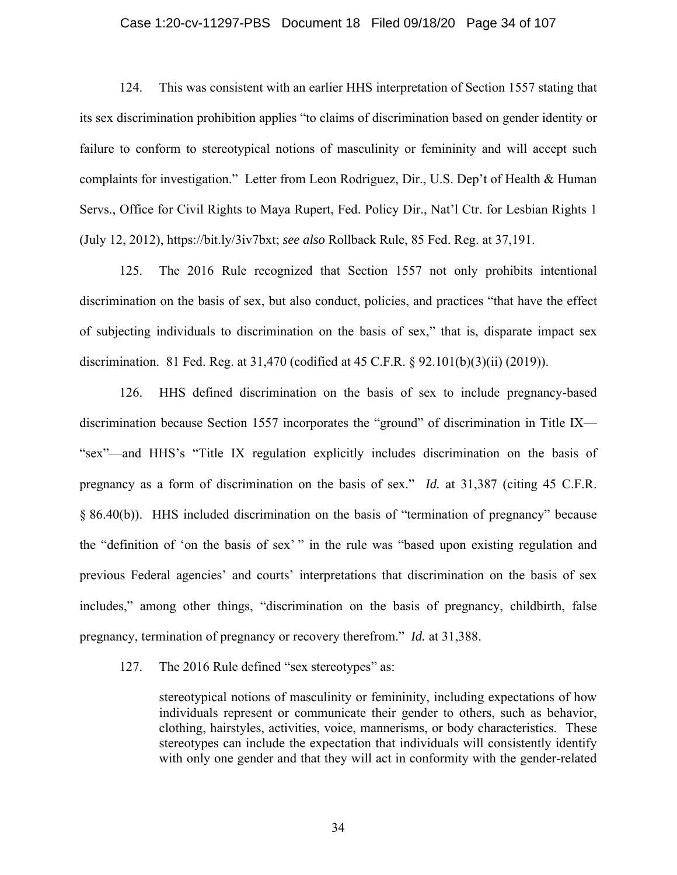#### Case 1:20-cv-11297-PBS Document 18 Filed 09/18/20 Page 34 of 107

124. This was consistent with an earlier HHS interpretation of Section 1557 stating that its sex discrimination prohibition applies "to claims of discrimination based on gender identity or failure to conform to stereotypical notions of masculinity or femininity and will accept such complaints for investigation." Letter from Leon Rodriguez, Dir., U.S. Dep't of Health & Human Servs., Office for Civil Rights to Maya Rupert, Fed. Policy Dir., Nat'l Ctr. for Lesbian Rights 1 (July 12, 2012), https://bit.ly/3iv7bxt; *see also* Rollback Rule, 85 Fed. Reg. at 37,191.

125. The 2016 Rule recognized that Section 1557 not only prohibits intentional discrimination on the basis of sex, but also conduct, policies, and practices "that have the effect of subjecting individuals to discrimination on the basis of sex," that is, disparate impact sex discrimination. 81 Fed. Reg. at 31,470 (codified at 45 C.F.R. § 92.101(b)(3)(ii) (2019)).

126. HHS defined discrimination on the basis of sex to include pregnancy-based discrimination because Section 1557 incorporates the "ground" of discrimination in Title IX— "sex"—and HHS's "Title IX regulation explicitly includes discrimination on the basis of pregnancy as a form of discrimination on the basis of sex." *Id.* at 31,387 (citing 45 C.F.R. § 86.40(b)). HHS included discrimination on the basis of "termination of pregnancy" because the "definition of 'on the basis of sex' " in the rule was "based upon existing regulation and previous Federal agencies' and courts' interpretations that discrimination on the basis of sex includes," among other things, "discrimination on the basis of pregnancy, childbirth, false pregnancy, termination of pregnancy or recovery therefrom." *Id.* at 31,388.

127. The 2016 Rule defined "sex stereotypes" as:

stereotypical notions of masculinity or femininity, including expectations of how individuals represent or communicate their gender to others, such as behavior, clothing, hairstyles, activities, voice, mannerisms, or body characteristics. These stereotypes can include the expectation that individuals will consistently identify with only one gender and that they will act in conformity with the gender-related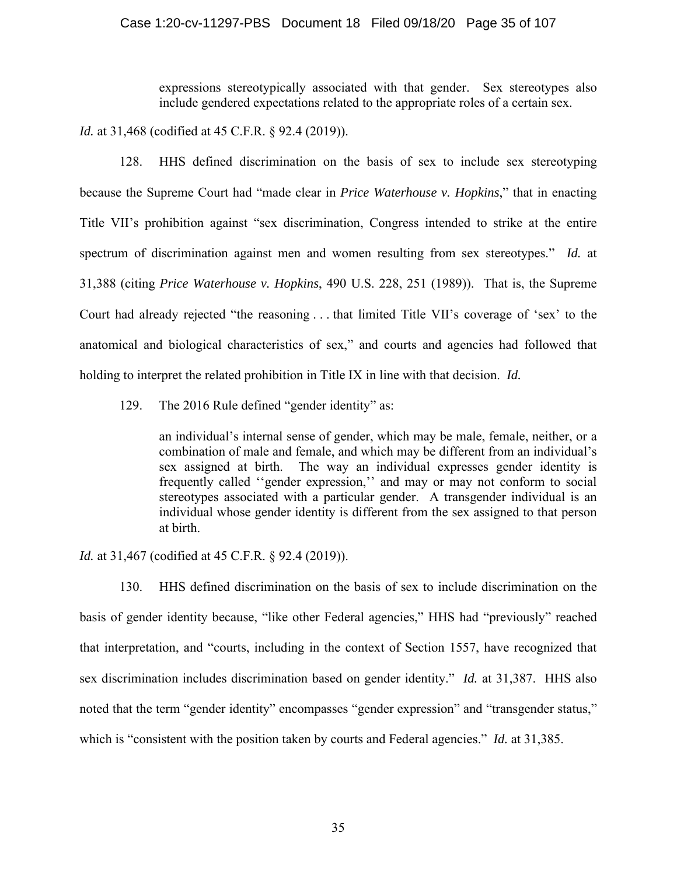## Case 1:20-cv-11297-PBS Document 18 Filed 09/18/20 Page 35 of 107

expressions stereotypically associated with that gender. Sex stereotypes also include gendered expectations related to the appropriate roles of a certain sex.

*Id.* at 31,468 (codified at 45 C.F.R. § 92.4 (2019)).

128. HHS defined discrimination on the basis of sex to include sex stereotyping because the Supreme Court had "made clear in *Price Waterhouse v. Hopkins*," that in enacting Title VII's prohibition against "sex discrimination, Congress intended to strike at the entire spectrum of discrimination against men and women resulting from sex stereotypes." *Id.* at 31,388 (citing *Price Waterhouse v. Hopkins*, 490 U.S. 228, 251 (1989)). That is, the Supreme Court had already rejected "the reasoning . . . that limited Title VII's coverage of 'sex' to the anatomical and biological characteristics of sex," and courts and agencies had followed that holding to interpret the related prohibition in Title IX in line with that decision. *Id.*

129. The 2016 Rule defined "gender identity" as:

an individual's internal sense of gender, which may be male, female, neither, or a combination of male and female, and which may be different from an individual's sex assigned at birth. The way an individual expresses gender identity is frequently called ''gender expression,'' and may or may not conform to social stereotypes associated with a particular gender. A transgender individual is an individual whose gender identity is different from the sex assigned to that person at birth.

*Id.* at 31,467 (codified at 45 C.F.R. § 92.4 (2019)).

130. HHS defined discrimination on the basis of sex to include discrimination on the basis of gender identity because, "like other Federal agencies," HHS had "previously" reached that interpretation, and "courts, including in the context of Section 1557, have recognized that sex discrimination includes discrimination based on gender identity." *Id.* at 31,387. HHS also noted that the term "gender identity" encompasses "gender expression" and "transgender status," which is "consistent with the position taken by courts and Federal agencies." *Id.* at 31,385.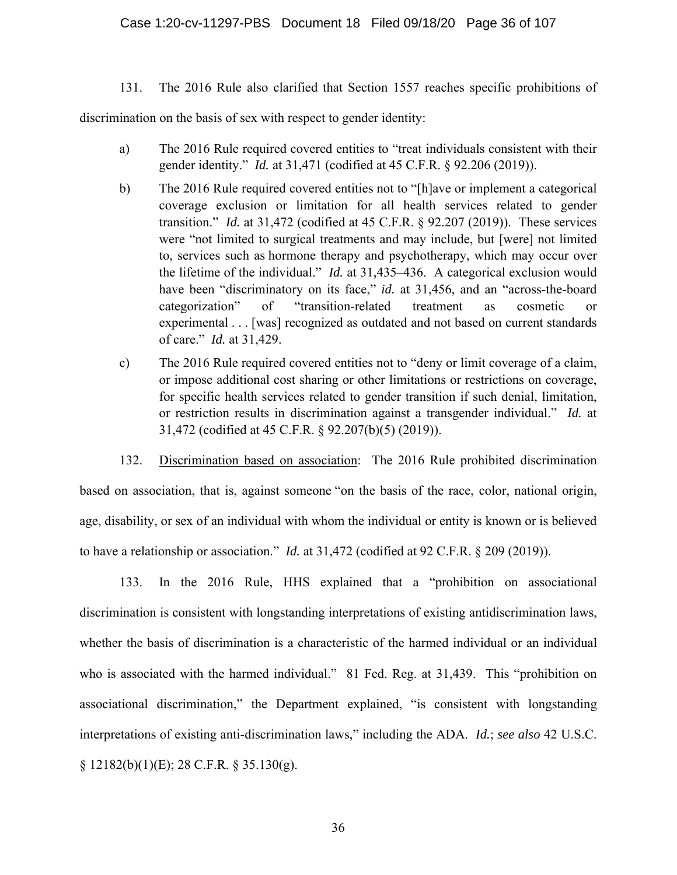131. The 2016 Rule also clarified that Section 1557 reaches specific prohibitions of

discrimination on the basis of sex with respect to gender identity:

- a) The 2016 Rule required covered entities to "treat individuals consistent with their gender identity." *Id.* at 31,471 (codified at 45 C.F.R. § 92.206 (2019)).
- b) The 2016 Rule required covered entities not to "[h]ave or implement a categorical coverage exclusion or limitation for all health services related to gender transition." *Id.* at 31,472 (codified at 45 C.F.R. § 92.207 (2019)). These services were "not limited to surgical treatments and may include, but [were] not limited to, services such as hormone therapy and psychotherapy, which may occur over the lifetime of the individual." *Id.* at 31,435–436. A categorical exclusion would have been "discriminatory on its face," *id.* at 31,456, and an "across-the-board categorization" of "transition-related treatment as cosmetic or experimental . . . [was] recognized as outdated and not based on current standards of care." *Id.* at 31,429.
- c) The 2016 Rule required covered entities not to "deny or limit coverage of a claim, or impose additional cost sharing or other limitations or restrictions on coverage, for specific health services related to gender transition if such denial, limitation, or restriction results in discrimination against a transgender individual." *Id.* at 31,472 (codified at 45 C.F.R. § 92.207(b)(5) (2019)).

132. Discrimination based on association: The 2016 Rule prohibited discrimination based on association, that is, against someone "on the basis of the race, color, national origin, age, disability, or sex of an individual with whom the individual or entity is known or is believed to have a relationship or association." *Id.* at 31,472 (codified at 92 C.F.R. § 209 (2019)).

133. In the 2016 Rule, HHS explained that a "prohibition on associational discrimination is consistent with longstanding interpretations of existing antidiscrimination laws, whether the basis of discrimination is a characteristic of the harmed individual or an individual who is associated with the harmed individual." 81 Fed. Reg. at 31,439. This "prohibition on associational discrimination," the Department explained, "is consistent with longstanding interpretations of existing anti-discrimination laws," including the ADA. *Id.*; *see also* 42 U.S.C.  $§ 12182(b)(1)(E); 28 C.F.R. § 35.130(g).$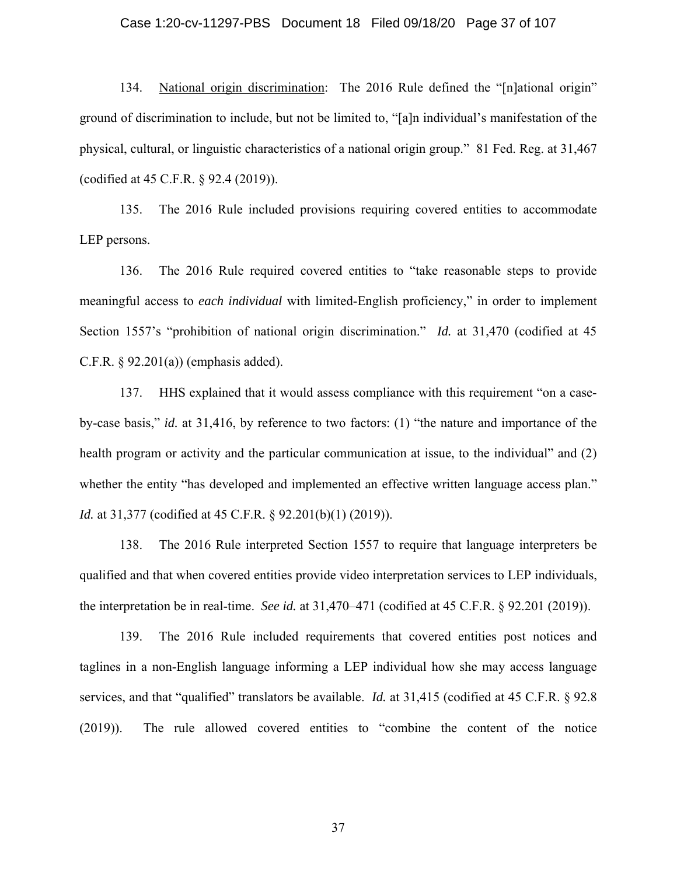## Case 1:20-cv-11297-PBS Document 18 Filed 09/18/20 Page 37 of 107

134. National origin discrimination: The 2016 Rule defined the "[n]ational origin" ground of discrimination to include, but not be limited to, "[a]n individual's manifestation of the physical, cultural, or linguistic characteristics of a national origin group." 81 Fed. Reg. at 31,467 (codified at 45 C.F.R. § 92.4 (2019)).

135. The 2016 Rule included provisions requiring covered entities to accommodate LEP persons.

136. The 2016 Rule required covered entities to "take reasonable steps to provide meaningful access to *each individual* with limited-English proficiency," in order to implement Section 1557's "prohibition of national origin discrimination." *Id.* at 31,470 (codified at 45 C.F.R.  $\S 92.201(a)$  (emphasis added).

137. HHS explained that it would assess compliance with this requirement "on a caseby-case basis," *id.* at 31,416, by reference to two factors: (1) "the nature and importance of the health program or activity and the particular communication at issue, to the individual" and (2) whether the entity "has developed and implemented an effective written language access plan." *Id.* at 31,377 (codified at 45 C.F.R. § 92.201(b)(1) (2019)).

138. The 2016 Rule interpreted Section 1557 to require that language interpreters be qualified and that when covered entities provide video interpretation services to LEP individuals, the interpretation be in real-time. *See id.* at 31,470–471 (codified at 45 C.F.R. § 92.201 (2019)).

139. The 2016 Rule included requirements that covered entities post notices and taglines in a non-English language informing a LEP individual how she may access language services, and that "qualified" translators be available. *Id.* at 31,415 (codified at 45 C.F.R. § 92.8 (2019)). The rule allowed covered entities to "combine the content of the notice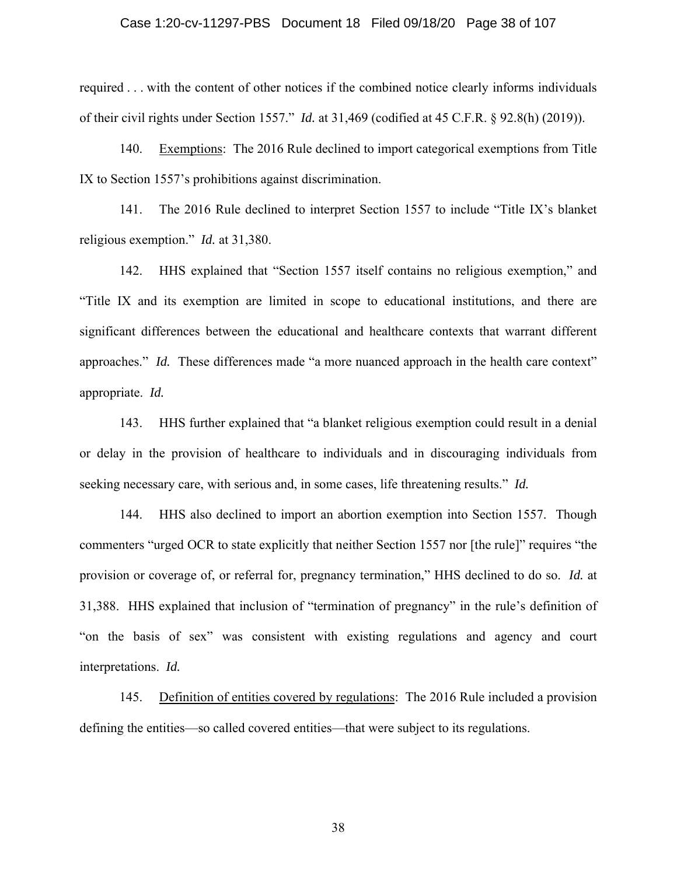## Case 1:20-cv-11297-PBS Document 18 Filed 09/18/20 Page 38 of 107

required . . . with the content of other notices if the combined notice clearly informs individuals of their civil rights under Section 1557." *Id.* at 31,469 (codified at 45 C.F.R. § 92.8(h) (2019)).

140. Exemptions: The 2016 Rule declined to import categorical exemptions from Title IX to Section 1557's prohibitions against discrimination.

141. The 2016 Rule declined to interpret Section 1557 to include "Title IX's blanket religious exemption." *Id.* at 31,380.

142. HHS explained that "Section 1557 itself contains no religious exemption," and "Title IX and its exemption are limited in scope to educational institutions, and there are significant differences between the educational and healthcare contexts that warrant different approaches." *Id.* These differences made "a more nuanced approach in the health care context" appropriate. *Id.*

143. HHS further explained that "a blanket religious exemption could result in a denial or delay in the provision of healthcare to individuals and in discouraging individuals from seeking necessary care, with serious and, in some cases, life threatening results." *Id.*

144. HHS also declined to import an abortion exemption into Section 1557. Though commenters "urged OCR to state explicitly that neither Section 1557 nor [the rule]" requires "the provision or coverage of, or referral for, pregnancy termination," HHS declined to do so. *Id.* at 31,388. HHS explained that inclusion of "termination of pregnancy" in the rule's definition of "on the basis of sex" was consistent with existing regulations and agency and court interpretations. *Id.*

145. Definition of entities covered by regulations: The 2016 Rule included a provision defining the entities—so called covered entities—that were subject to its regulations.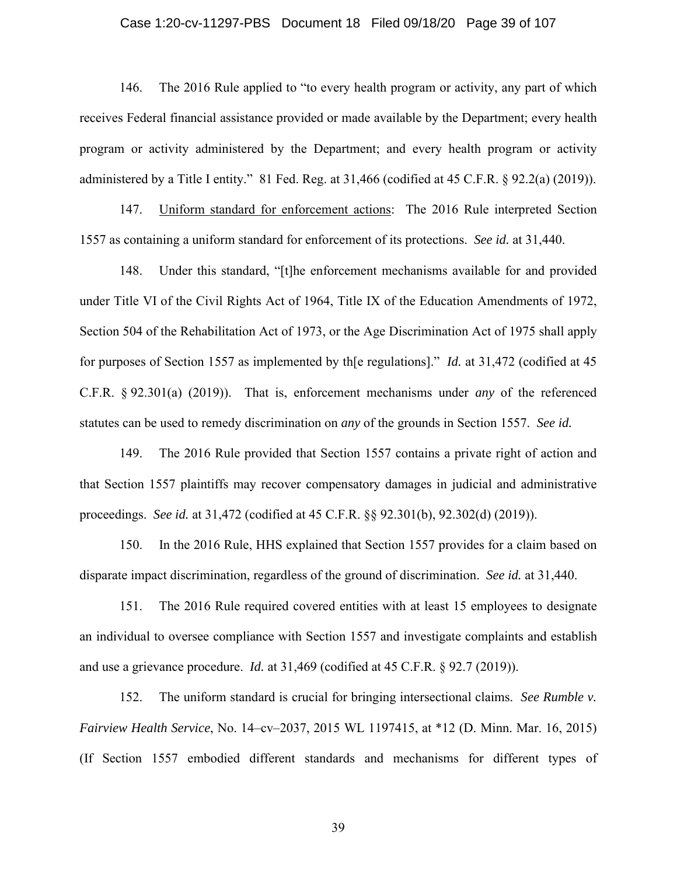## Case 1:20-cv-11297-PBS Document 18 Filed 09/18/20 Page 39 of 107

146. The 2016 Rule applied to "to every health program or activity, any part of which receives Federal financial assistance provided or made available by the Department; every health program or activity administered by the Department; and every health program or activity administered by a Title I entity." 81 Fed. Reg. at 31,466 (codified at 45 C.F.R. § 92.2(a) (2019)).

147. Uniform standard for enforcement actions: The 2016 Rule interpreted Section 1557 as containing a uniform standard for enforcement of its protections. *See id.* at 31,440.

148. Under this standard, "[t]he enforcement mechanisms available for and provided under Title VI of the Civil Rights Act of 1964, Title IX of the Education Amendments of 1972, Section 504 of the Rehabilitation Act of 1973, or the Age Discrimination Act of 1975 shall apply for purposes of Section 1557 as implemented by th[e regulations]." *Id.* at 31,472 (codified at 45 C.F.R. § 92.301(a) (2019)). That is, enforcement mechanisms under *any* of the referenced statutes can be used to remedy discrimination on *any* of the grounds in Section 1557. *See id.*

149. The 2016 Rule provided that Section 1557 contains a private right of action and that Section 1557 plaintiffs may recover compensatory damages in judicial and administrative proceedings. *See id.* at 31,472 (codified at 45 C.F.R. §§ 92.301(b), 92.302(d) (2019)).

150. In the 2016 Rule, HHS explained that Section 1557 provides for a claim based on disparate impact discrimination, regardless of the ground of discrimination. *See id.* at 31,440.

151. The 2016 Rule required covered entities with at least 15 employees to designate an individual to oversee compliance with Section 1557 and investigate complaints and establish and use a grievance procedure. *Id.* at 31,469 (codified at 45 C.F.R. § 92.7 (2019)).

152. The uniform standard is crucial for bringing intersectional claims. *See Rumble v. Fairview Health Service*, No. 14–cv–2037, 2015 WL 1197415, at \*12 (D. Minn. Mar. 16, 2015) (If Section 1557 embodied different standards and mechanisms for different types of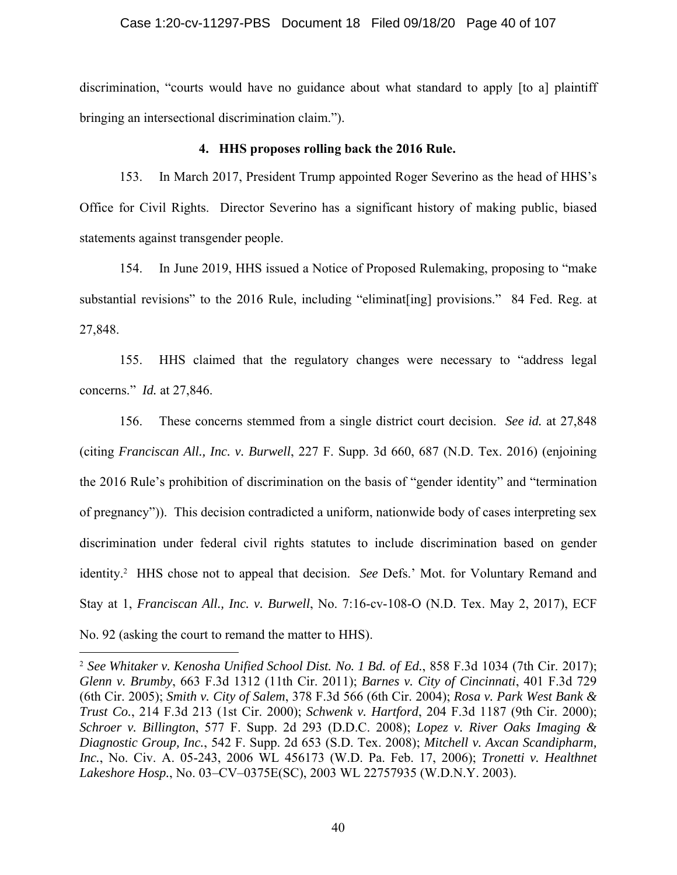# Case 1:20-cv-11297-PBS Document 18 Filed 09/18/20 Page 40 of 107

discrimination, "courts would have no guidance about what standard to apply [to a] plaintiff bringing an intersectional discrimination claim.").

# **4. HHS proposes rolling back the 2016 Rule.**

153. In March 2017, President Trump appointed Roger Severino as the head of HHS's Office for Civil Rights. Director Severino has a significant history of making public, biased statements against transgender people.

154. In June 2019, HHS issued a Notice of Proposed Rulemaking, proposing to "make substantial revisions" to the 2016 Rule, including "eliminat [ing] provisions." 84 Fed. Reg. at 27,848.

155. HHS claimed that the regulatory changes were necessary to "address legal concerns." *Id.* at 27,846.

156. These concerns stemmed from a single district court decision. *See id.* at 27,848 (citing *Franciscan All., Inc. v. Burwell*, 227 F. Supp. 3d 660, 687 (N.D. Tex. 2016) (enjoining the 2016 Rule's prohibition of discrimination on the basis of "gender identity" and "termination of pregnancy")). This decision contradicted a uniform, nationwide body of cases interpreting sex discrimination under federal civil rights statutes to include discrimination based on gender identity.2 HHS chose not to appeal that decision. *See* Defs.' Mot. for Voluntary Remand and Stay at 1, *Franciscan All., Inc. v. Burwell*, No. 7:16-cv-108-O (N.D. Tex. May 2, 2017), ECF No. 92 (asking the court to remand the matter to HHS).

<sup>2</sup> *See Whitaker v. Kenosha Unified School Dist. No. 1 Bd. of Ed.*, 858 F.3d 1034 (7th Cir. 2017); *Glenn v. Brumby*, 663 F.3d 1312 (11th Cir. 2011); *Barnes v. City of Cincinnati*, 401 F.3d 729 (6th Cir. 2005); *Smith v. City of Salem*, 378 F.3d 566 (6th Cir. 2004); *Rosa v. Park West Bank & Trust Co.*, 214 F.3d 213 (1st Cir. 2000); *Schwenk v. Hartford*, 204 F.3d 1187 (9th Cir. 2000); *Schroer v. Billington*, 577 F. Supp. 2d 293 (D.D.C. 2008); *Lopez v. River Oaks Imaging & Diagnostic Group, Inc.*, 542 F. Supp. 2d 653 (S.D. Tex. 2008); *Mitchell v. Axcan Scandipharm, Inc.*, No. Civ. A. 05-243, 2006 WL 456173 (W.D. Pa. Feb. 17, 2006); *Tronetti v. Healthnet Lakeshore Hosp.*, No. 03–CV–0375E(SC), 2003 WL 22757935 (W.D.N.Y. 2003).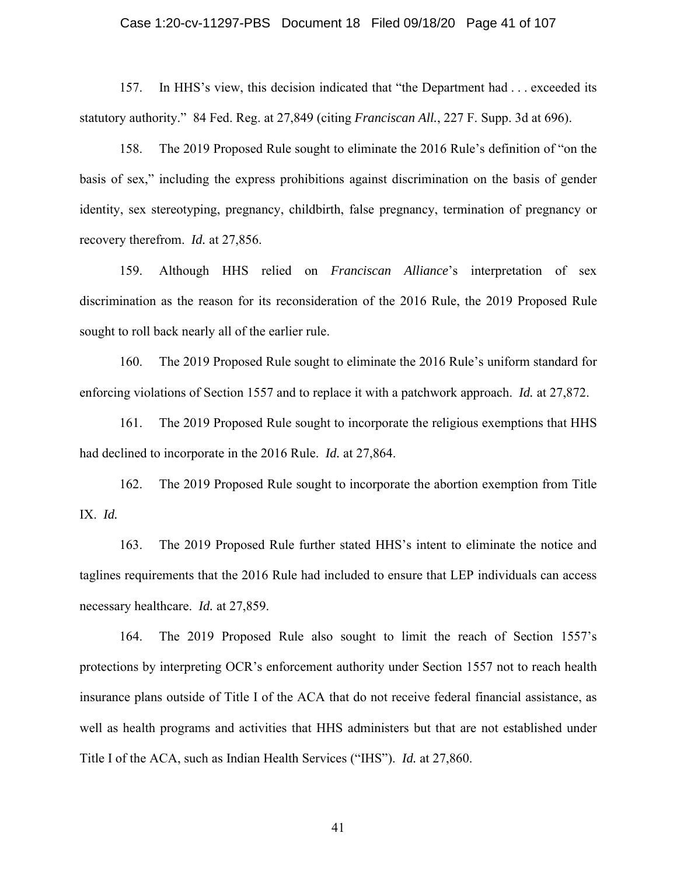## Case 1:20-cv-11297-PBS Document 18 Filed 09/18/20 Page 41 of 107

157. In HHS's view, this decision indicated that "the Department had . . . exceeded its statutory authority." 84 Fed. Reg. at 27,849 (citing *Franciscan All.*, 227 F. Supp. 3d at 696).

158. The 2019 Proposed Rule sought to eliminate the 2016 Rule's definition of "on the basis of sex," including the express prohibitions against discrimination on the basis of gender identity, sex stereotyping, pregnancy, childbirth, false pregnancy, termination of pregnancy or recovery therefrom. *Id.* at 27,856.

159. Although HHS relied on *Franciscan Alliance*'s interpretation of sex discrimination as the reason for its reconsideration of the 2016 Rule, the 2019 Proposed Rule sought to roll back nearly all of the earlier rule.

160. The 2019 Proposed Rule sought to eliminate the 2016 Rule's uniform standard for enforcing violations of Section 1557 and to replace it with a patchwork approach. *Id.* at 27,872.

161. The 2019 Proposed Rule sought to incorporate the religious exemptions that HHS had declined to incorporate in the 2016 Rule. *Id.* at 27,864.

162. The 2019 Proposed Rule sought to incorporate the abortion exemption from Title IX. *Id.*

163. The 2019 Proposed Rule further stated HHS's intent to eliminate the notice and taglines requirements that the 2016 Rule had included to ensure that LEP individuals can access necessary healthcare. *Id.* at 27,859.

164. The 2019 Proposed Rule also sought to limit the reach of Section 1557's protections by interpreting OCR's enforcement authority under Section 1557 not to reach health insurance plans outside of Title I of the ACA that do not receive federal financial assistance, as well as health programs and activities that HHS administers but that are not established under Title I of the ACA, such as Indian Health Services ("IHS"). *Id.* at 27,860.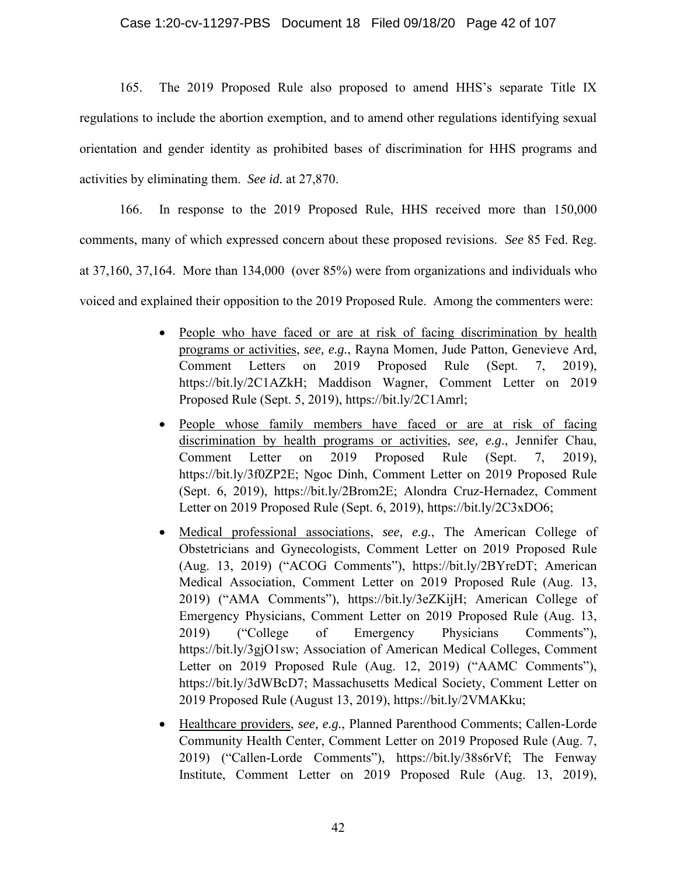165. The 2019 Proposed Rule also proposed to amend HHS's separate Title IX regulations to include the abortion exemption, and to amend other regulations identifying sexual orientation and gender identity as prohibited bases of discrimination for HHS programs and activities by eliminating them. *See id.* at 27,870.

166. In response to the 2019 Proposed Rule, HHS received more than 150,000 comments, many of which expressed concern about these proposed revisions. *See* 85 Fed. Reg. at 37,160, 37,164. More than 134,000 (over 85%) were from organizations and individuals who voiced and explained their opposition to the 2019 Proposed Rule. Among the commenters were:

- People who have faced or are at risk of facing discrimination by health programs or activities, *see, e.g.*, Rayna Momen, Jude Patton, Genevieve Ard, Comment Letters on 2019 Proposed Rule (Sept. 7, 2019), https://bit.ly/2C1AZkH; Maddison Wagner, Comment Letter on 2019 Proposed Rule (Sept. 5, 2019), https://bit.ly/2C1Amrl;
- People whose family members have faced or are at risk of facing discrimination by health programs or activities, *see, e.g*., Jennifer Chau, Comment Letter on 2019 Proposed Rule (Sept. 7, 2019), https://bit.ly/3f0ZP2E; Ngoc Dinh, Comment Letter on 2019 Proposed Rule (Sept. 6, 2019), https://bit.ly/2Brom2E; Alondra Cruz-Hernadez, Comment Letter on 2019 Proposed Rule (Sept. 6, 2019), https://bit.ly/2C3xDO6;
- x Medical professional associations, *see, e.g.*, The American College of Obstetricians and Gynecologists, Comment Letter on 2019 Proposed Rule (Aug. 13, 2019) ("ACOG Comments"), https://bit.ly/2BYreDT; American Medical Association, Comment Letter on 2019 Proposed Rule (Aug. 13, 2019) ("AMA Comments"), https://bit.ly/3eZKijH; American College of Emergency Physicians, Comment Letter on 2019 Proposed Rule (Aug. 13, 2019) ("College of Emergency Physicians Comments"), https://bit.ly/3gjO1sw; Association of American Medical Colleges, Comment Letter on 2019 Proposed Rule (Aug. 12, 2019) ("AAMC Comments"), https://bit.ly/3dWBcD7; Massachusetts Medical Society, Comment Letter on 2019 Proposed Rule (August 13, 2019), https://bit.ly/2VMAKku;
- x Healthcare providers, *see, e.g.*, Planned Parenthood Comments; Callen-Lorde Community Health Center, Comment Letter on 2019 Proposed Rule (Aug. 7, 2019) ("Callen-Lorde Comments"), https://bit.ly/38s6rVf; The Fenway Institute, Comment Letter on 2019 Proposed Rule (Aug. 13, 2019),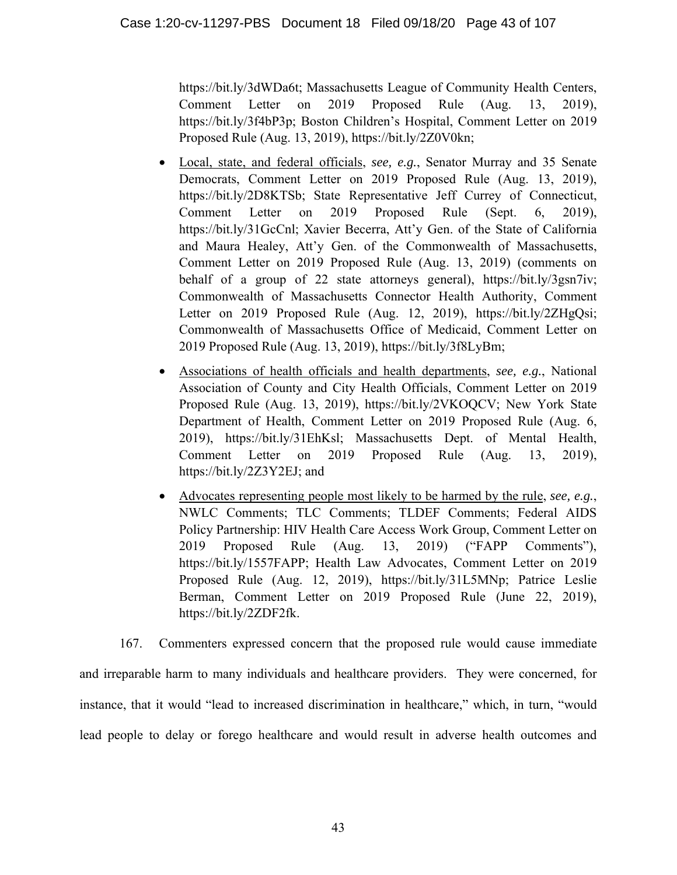https://bit.ly/3dWDa6t; Massachusetts League of Community Health Centers, Comment Letter on 2019 Proposed Rule (Aug. 13, 2019), https://bit.ly/3f4bP3p; Boston Children's Hospital, Comment Letter on 2019 Proposed Rule (Aug. 13, 2019), https://bit.ly/2Z0V0kn;

- Local, state, and federal officials, *see, e.g.*, Senator Murray and 35 Senate Democrats, Comment Letter on 2019 Proposed Rule (Aug. 13, 2019), https://bit.ly/2D8KTSb; State Representative Jeff Currey of Connecticut, Comment Letter on 2019 Proposed Rule (Sept. 6, 2019), https://bit.ly/31GcCnl; Xavier Becerra, Att'y Gen. of the State of California and Maura Healey, Att'y Gen. of the Commonwealth of Massachusetts, Comment Letter on 2019 Proposed Rule (Aug. 13, 2019) (comments on behalf of a group of 22 state attorneys general), https://bit.ly/3gsn7iv; Commonwealth of Massachusetts Connector Health Authority, Comment Letter on 2019 Proposed Rule (Aug. 12, 2019), https://bit.ly/2ZHgQsi; Commonwealth of Massachusetts Office of Medicaid, Comment Letter on 2019 Proposed Rule (Aug. 13, 2019), https://bit.ly/3f8LyBm;
- x Associations of health officials and health departments, *see, e.g.*, National Association of County and City Health Officials, Comment Letter on 2019 Proposed Rule (Aug. 13, 2019), https://bit.ly/2VKOQCV; New York State Department of Health, Comment Letter on 2019 Proposed Rule (Aug. 6, 2019), https://bit.ly/31EhKsl; Massachusetts Dept. of Mental Health, Comment Letter on 2019 Proposed Rule (Aug. 13, 2019), https://bit.ly/2Z3Y2EJ; and
- $\bullet$  Advocates representing people most likely to be harmed by the rule, *see, e.g.*, NWLC Comments; TLC Comments; TLDEF Comments; Federal AIDS Policy Partnership: HIV Health Care Access Work Group, Comment Letter on 2019 Proposed Rule (Aug. 13, 2019) ("FAPP Comments"), https://bit.ly/1557FAPP; Health Law Advocates, Comment Letter on 2019 Proposed Rule (Aug. 12, 2019), https://bit.ly/31L5MNp; Patrice Leslie Berman, Comment Letter on 2019 Proposed Rule (June 22, 2019), https://bit.ly/2ZDF2fk.

167. Commenters expressed concern that the proposed rule would cause immediate and irreparable harm to many individuals and healthcare providers. They were concerned, for instance, that it would "lead to increased discrimination in healthcare," which, in turn, "would lead people to delay or forego healthcare and would result in adverse health outcomes and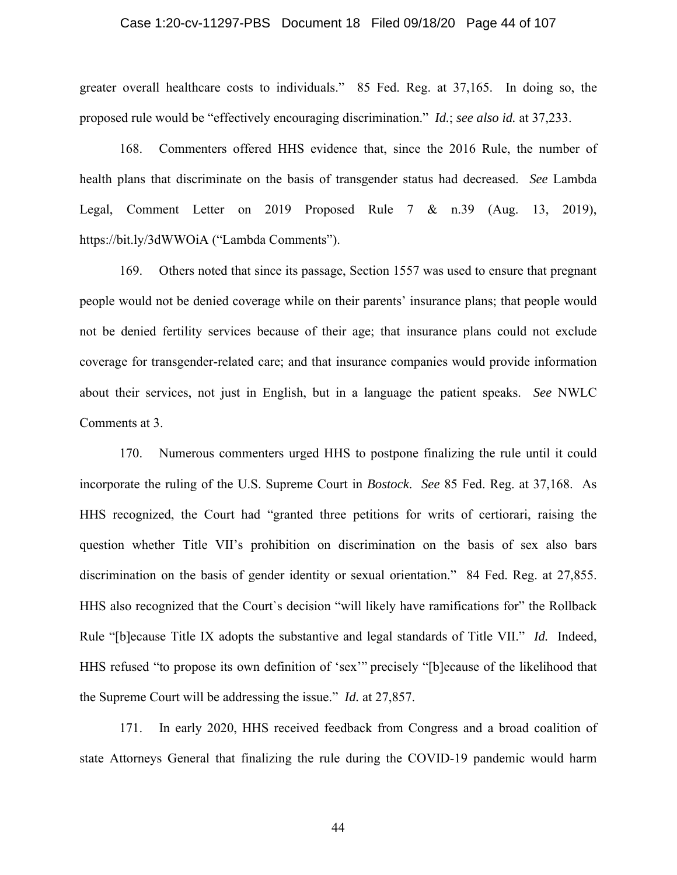## Case 1:20-cv-11297-PBS Document 18 Filed 09/18/20 Page 44 of 107

greater overall healthcare costs to individuals." 85 Fed. Reg. at 37,165. In doing so, the proposed rule would be "effectively encouraging discrimination." *Id.*; *see also id.* at 37,233.

168. Commenters offered HHS evidence that, since the 2016 Rule, the number of health plans that discriminate on the basis of transgender status had decreased. *See* Lambda Legal, Comment Letter on 2019 Proposed Rule 7 & n.39 (Aug. 13, 2019), https://bit.ly/3dWWOiA ("Lambda Comments").

169. Others noted that since its passage, Section 1557 was used to ensure that pregnant people would not be denied coverage while on their parents' insurance plans; that people would not be denied fertility services because of their age; that insurance plans could not exclude coverage for transgender-related care; and that insurance companies would provide information about their services, not just in English, but in a language the patient speaks. *See* NWLC Comments at 3.

170. Numerous commenters urged HHS to postpone finalizing the rule until it could incorporate the ruling of the U.S. Supreme Court in *Bostock*. *See* 85 Fed. Reg. at 37,168. As HHS recognized, the Court had "granted three petitions for writs of certiorari, raising the question whether Title VII's prohibition on discrimination on the basis of sex also bars discrimination on the basis of gender identity or sexual orientation." 84 Fed. Reg. at 27,855. HHS also recognized that the Court`s decision "will likely have ramifications for" the Rollback Rule "[b]ecause Title IX adopts the substantive and legal standards of Title VII." *Id.* Indeed, HHS refused "to propose its own definition of 'sex'" precisely "[b]ecause of the likelihood that the Supreme Court will be addressing the issue." *Id.* at 27,857.

171. In early 2020, HHS received feedback from Congress and a broad coalition of state Attorneys General that finalizing the rule during the COVID-19 pandemic would harm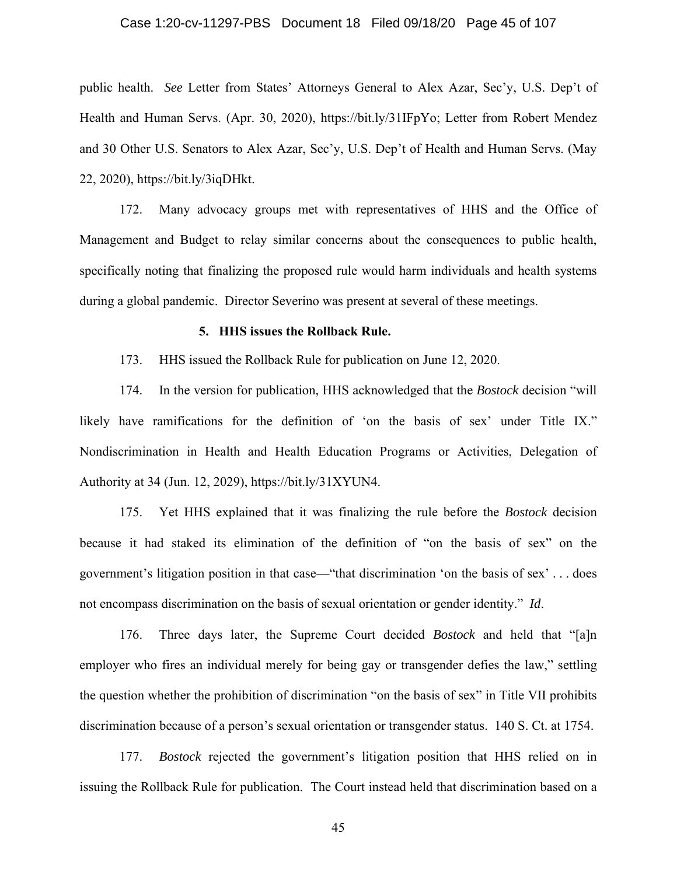## Case 1:20-cv-11297-PBS Document 18 Filed 09/18/20 Page 45 of 107

public health. *See* Letter from States' Attorneys General to Alex Azar, Sec'y, U.S. Dep't of Health and Human Servs. (Apr. 30, 2020), https://bit.ly/31IFpYo; Letter from Robert Mendez and 30 Other U.S. Senators to Alex Azar, Sec'y, U.S. Dep't of Health and Human Servs. (May 22, 2020), https://bit.ly/3iqDHkt.

172. Many advocacy groups met with representatives of HHS and the Office of Management and Budget to relay similar concerns about the consequences to public health, specifically noting that finalizing the proposed rule would harm individuals and health systems during a global pandemic. Director Severino was present at several of these meetings.

#### **5. HHS issues the Rollback Rule.**

173. HHS issued the Rollback Rule for publication on June 12, 2020.

174. In the version for publication, HHS acknowledged that the *Bostock* decision "will likely have ramifications for the definition of 'on the basis of sex' under Title IX." Nondiscrimination in Health and Health Education Programs or Activities, Delegation of Authority at 34 (Jun. 12, 2029), https://bit.ly/31XYUN4.

175. Yet HHS explained that it was finalizing the rule before the *Bostock* decision because it had staked its elimination of the definition of "on the basis of sex" on the government's litigation position in that case—"that discrimination 'on the basis of sex' . . . does not encompass discrimination on the basis of sexual orientation or gender identity." *Id*.

176. Three days later, the Supreme Court decided *Bostock* and held that "[a]n employer who fires an individual merely for being gay or transgender defies the law," settling the question whether the prohibition of discrimination "on the basis of sex" in Title VII prohibits discrimination because of a person's sexual orientation or transgender status. 140 S. Ct. at 1754.

177. *Bostock* rejected the government's litigation position that HHS relied on in issuing the Rollback Rule for publication. The Court instead held that discrimination based on a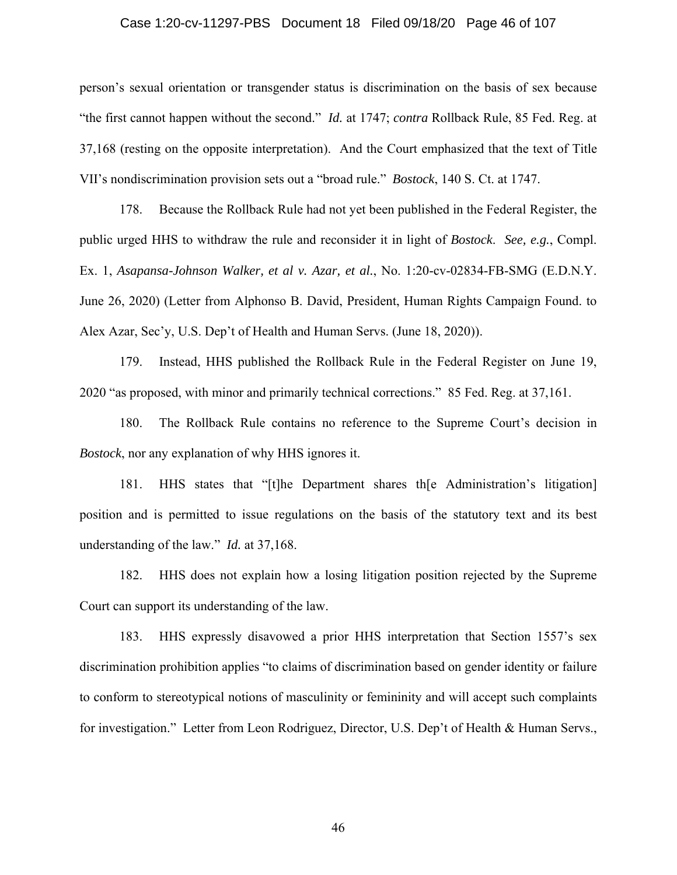## Case 1:20-cv-11297-PBS Document 18 Filed 09/18/20 Page 46 of 107

person's sexual orientation or transgender status is discrimination on the basis of sex because "the first cannot happen without the second." *Id.* at 1747; *contra* Rollback Rule, 85 Fed. Reg. at 37,168 (resting on the opposite interpretation). And the Court emphasized that the text of Title VII's nondiscrimination provision sets out a "broad rule." *Bostock*, 140 S. Ct. at 1747.

178. Because the Rollback Rule had not yet been published in the Federal Register, the public urged HHS to withdraw the rule and reconsider it in light of *Bostock*. *See, e.g.*, Compl. Ex. 1, *Asapansa-Johnson Walker, et al v. Azar, et al.*, No. 1:20-cv-02834-FB-SMG (E.D.N.Y. June 26, 2020) (Letter from Alphonso B. David, President, Human Rights Campaign Found. to Alex Azar, Sec'y, U.S. Dep't of Health and Human Servs. (June 18, 2020)).

179. Instead, HHS published the Rollback Rule in the Federal Register on June 19, 2020 "as proposed, with minor and primarily technical corrections." 85 Fed. Reg. at 37,161.

180. The Rollback Rule contains no reference to the Supreme Court's decision in *Bostock*, nor any explanation of why HHS ignores it.

181. HHS states that "[t]he Department shares th[e Administration's litigation] position and is permitted to issue regulations on the basis of the statutory text and its best understanding of the law." *Id.* at 37,168.

182. HHS does not explain how a losing litigation position rejected by the Supreme Court can support its understanding of the law.

183. HHS expressly disavowed a prior HHS interpretation that Section 1557's sex discrimination prohibition applies "to claims of discrimination based on gender identity or failure to conform to stereotypical notions of masculinity or femininity and will accept such complaints for investigation." Letter from Leon Rodriguez, Director, U.S. Dep't of Health & Human Servs.,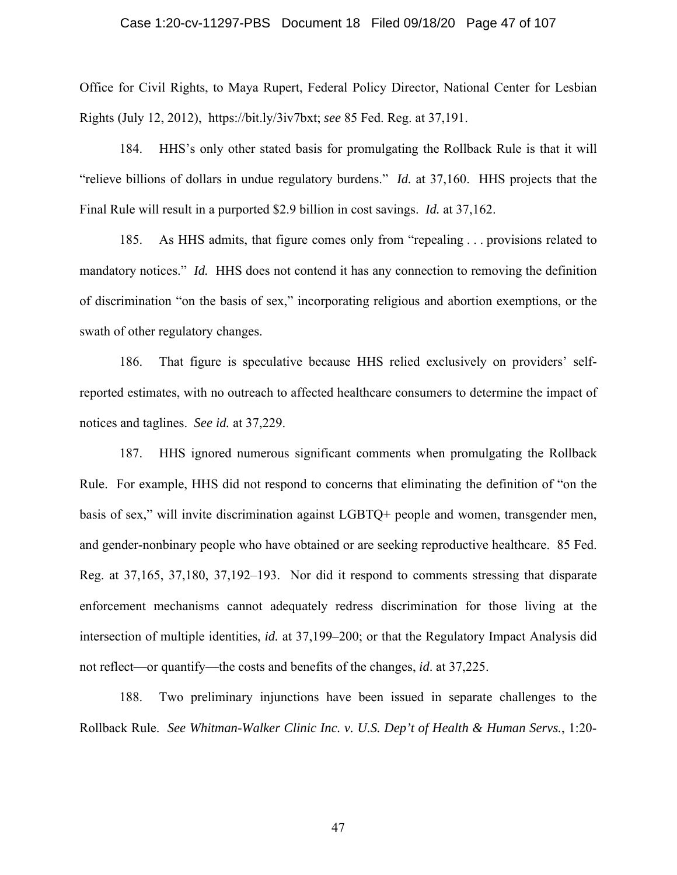## Case 1:20-cv-11297-PBS Document 18 Filed 09/18/20 Page 47 of 107

Office for Civil Rights, to Maya Rupert, Federal Policy Director, National Center for Lesbian Rights (July 12, 2012), https://bit.ly/3iv7bxt; *see* 85 Fed. Reg. at 37,191.

184. HHS's only other stated basis for promulgating the Rollback Rule is that it will "relieve billions of dollars in undue regulatory burdens." *Id.* at 37,160. HHS projects that the Final Rule will result in a purported \$2.9 billion in cost savings. *Id.* at 37,162.

185. As HHS admits, that figure comes only from "repealing . . . provisions related to mandatory notices." *Id.* HHS does not contend it has any connection to removing the definition of discrimination "on the basis of sex," incorporating religious and abortion exemptions, or the swath of other regulatory changes.

186. That figure is speculative because HHS relied exclusively on providers' selfreported estimates, with no outreach to affected healthcare consumers to determine the impact of notices and taglines. *See id.* at 37,229.

187. HHS ignored numerous significant comments when promulgating the Rollback Rule. For example, HHS did not respond to concerns that eliminating the definition of "on the basis of sex," will invite discrimination against LGBTQ+ people and women, transgender men, and gender-nonbinary people who have obtained or are seeking reproductive healthcare. 85 Fed. Reg. at 37,165, 37,180, 37,192–193. Nor did it respond to comments stressing that disparate enforcement mechanisms cannot adequately redress discrimination for those living at the intersection of multiple identities, *id.* at 37,199–200; or that the Regulatory Impact Analysis did not reflect—or quantify—the costs and benefits of the changes, *id*. at 37,225.

188. Two preliminary injunctions have been issued in separate challenges to the Rollback Rule. *See Whitman-Walker Clinic Inc. v. U.S. Dep't of Health & Human Servs.*, 1:20-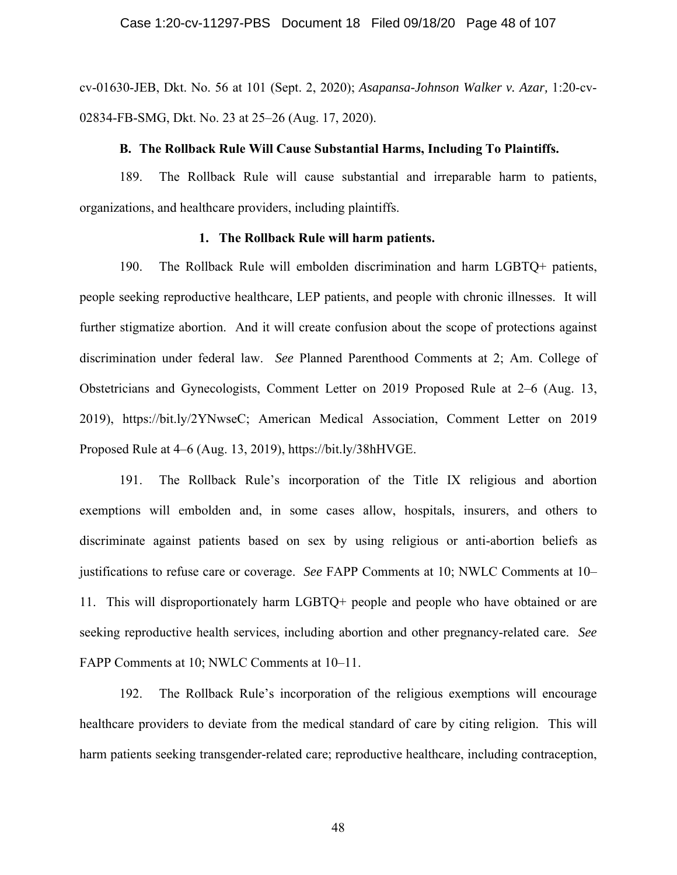cv-01630-JEB, Dkt. No. 56 at 101 (Sept. 2, 2020); *Asapansa-Johnson Walker v. Azar,* 1:20-cv-02834-FB-SMG, Dkt. No. 23 at 25–26 (Aug. 17, 2020).

#### **B. The Rollback Rule Will Cause Substantial Harms, Including To Plaintiffs.**

189. The Rollback Rule will cause substantial and irreparable harm to patients, organizations, and healthcare providers, including plaintiffs.

# **1. The Rollback Rule will harm patients.**

190. The Rollback Rule will embolden discrimination and harm LGBTQ+ patients, people seeking reproductive healthcare, LEP patients, and people with chronic illnesses. It will further stigmatize abortion. And it will create confusion about the scope of protections against discrimination under federal law. *See* Planned Parenthood Comments at 2; Am. College of Obstetricians and Gynecologists, Comment Letter on 2019 Proposed Rule at 2–6 (Aug. 13, 2019), https://bit.ly/2YNwseC; American Medical Association, Comment Letter on 2019 Proposed Rule at 4–6 (Aug. 13, 2019), https://bit.ly/38hHVGE.

191. The Rollback Rule's incorporation of the Title IX religious and abortion exemptions will embolden and, in some cases allow, hospitals, insurers, and others to discriminate against patients based on sex by using religious or anti-abortion beliefs as justifications to refuse care or coverage. *See* FAPP Comments at 10; NWLC Comments at 10– 11. This will disproportionately harm LGBTQ+ people and people who have obtained or are seeking reproductive health services, including abortion and other pregnancy-related care. *See* FAPP Comments at 10; NWLC Comments at 10–11.

192. The Rollback Rule's incorporation of the religious exemptions will encourage healthcare providers to deviate from the medical standard of care by citing religion. This will harm patients seeking transgender-related care; reproductive healthcare, including contraception,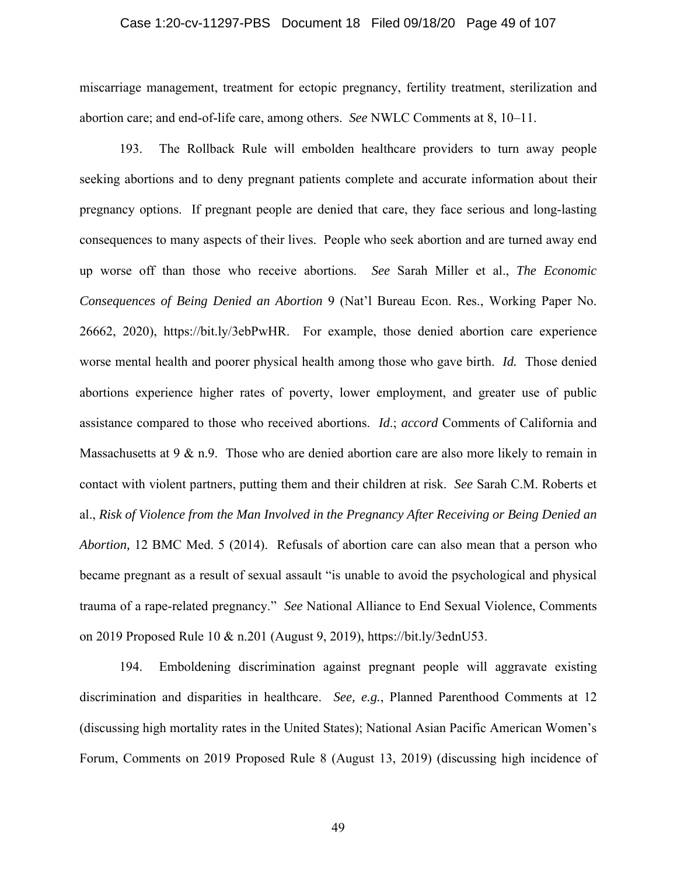## Case 1:20-cv-11297-PBS Document 18 Filed 09/18/20 Page 49 of 107

miscarriage management, treatment for ectopic pregnancy, fertility treatment, sterilization and abortion care; and end-of-life care, among others. *See* NWLC Comments at 8, 10–11.

193. The Rollback Rule will embolden healthcare providers to turn away people seeking abortions and to deny pregnant patients complete and accurate information about their pregnancy options. If pregnant people are denied that care, they face serious and long-lasting consequences to many aspects of their lives. People who seek abortion and are turned away end up worse off than those who receive abortions. *See* Sarah Miller et al., *The Economic Consequences of Being Denied an Abortion* 9 (Nat'l Bureau Econ. Res., Working Paper No. 26662, 2020), https://bit.ly/3ebPwHR. For example, those denied abortion care experience worse mental health and poorer physical health among those who gave birth. *Id.* Those denied abortions experience higher rates of poverty, lower employment, and greater use of public assistance compared to those who received abortions. *Id*.; *accord* Comments of California and Massachusetts at  $9 \& n.9$ . Those who are denied abortion care are also more likely to remain in contact with violent partners, putting them and their children at risk. *See* Sarah C.M. Roberts et al., *Risk of Violence from the Man Involved in the Pregnancy After Receiving or Being Denied an Abortion,* 12 BMC Med. 5 (2014). Refusals of abortion care can also mean that a person who became pregnant as a result of sexual assault "is unable to avoid the psychological and physical trauma of a rape-related pregnancy." *See* National Alliance to End Sexual Violence, Comments on 2019 Proposed Rule 10 & n.201 (August 9, 2019), https://bit.ly/3ednU53.

194. Emboldening discrimination against pregnant people will aggravate existing discrimination and disparities in healthcare. *See, e.g.*, Planned Parenthood Comments at 12 (discussing high mortality rates in the United States); National Asian Pacific American Women's Forum, Comments on 2019 Proposed Rule 8 (August 13, 2019) (discussing high incidence of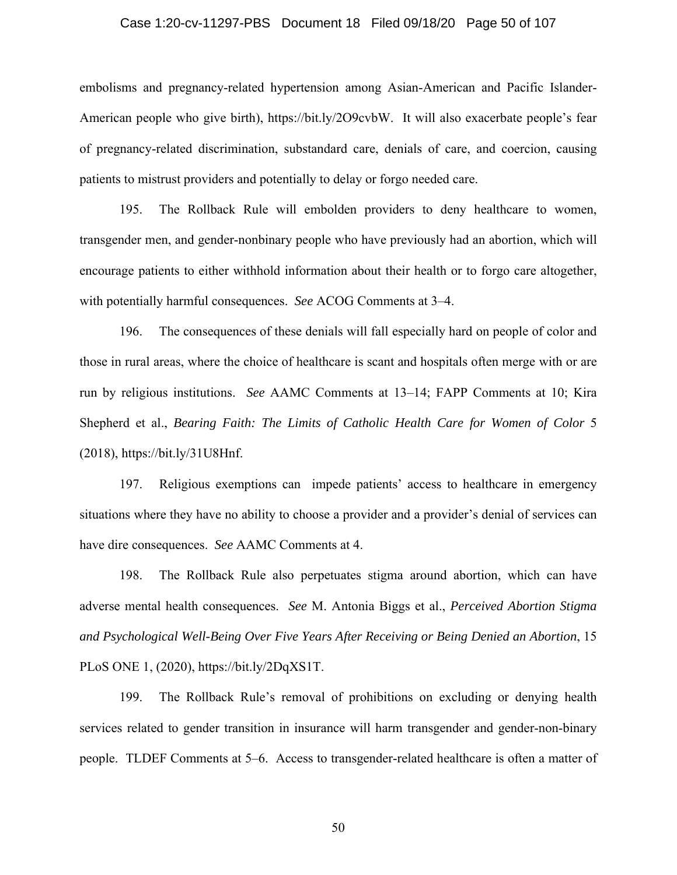## Case 1:20-cv-11297-PBS Document 18 Filed 09/18/20 Page 50 of 107

embolisms and pregnancy-related hypertension among Asian-American and Pacific Islander-American people who give birth), https://bit.ly/2O9cvbW. It will also exacerbate people's fear of pregnancy-related discrimination, substandard care, denials of care, and coercion, causing patients to mistrust providers and potentially to delay or forgo needed care.

195. The Rollback Rule will embolden providers to deny healthcare to women, transgender men, and gender-nonbinary people who have previously had an abortion, which will encourage patients to either withhold information about their health or to forgo care altogether, with potentially harmful consequences. *See* ACOG Comments at 3–4.

196. The consequences of these denials will fall especially hard on people of color and those in rural areas, where the choice of healthcare is scant and hospitals often merge with or are run by religious institutions. *See* AAMC Comments at 13–14; FAPP Comments at 10; Kira Shepherd et al., *Bearing Faith: The Limits of Catholic Health Care for Women of Color* 5 (2018), https://bit.ly/31U8Hnf.

197. Religious exemptions can impede patients' access to healthcare in emergency situations where they have no ability to choose a provider and a provider's denial of services can have dire consequences. *See* AAMC Comments at 4.

198. The Rollback Rule also perpetuates stigma around abortion, which can have adverse mental health consequences. *See* M. Antonia Biggs et al., *Perceived Abortion Stigma and Psychological Well-Being Over Five Years After Receiving or Being Denied an Abortion*, 15 PLoS ONE 1, (2020), https://bit.ly/2DqXS1T.

199. The Rollback Rule's removal of prohibitions on excluding or denying health services related to gender transition in insurance will harm transgender and gender-non-binary people. TLDEF Comments at 5–6. Access to transgender-related healthcare is often a matter of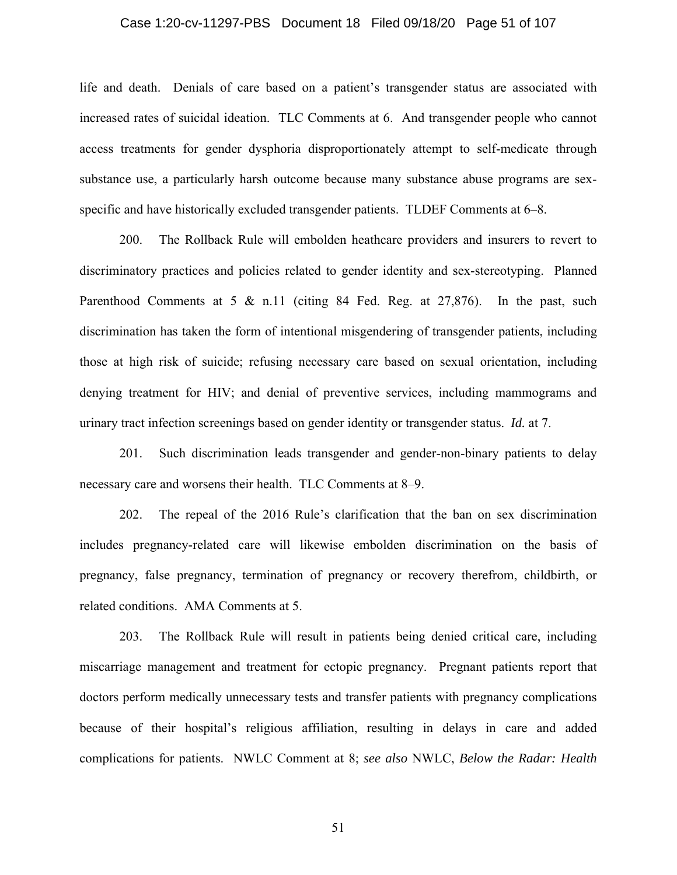## Case 1:20-cv-11297-PBS Document 18 Filed 09/18/20 Page 51 of 107

life and death. Denials of care based on a patient's transgender status are associated with increased rates of suicidal ideation. TLC Comments at 6. And transgender people who cannot access treatments for gender dysphoria disproportionately attempt to self-medicate through substance use, a particularly harsh outcome because many substance abuse programs are sexspecific and have historically excluded transgender patients. TLDEF Comments at 6–8.

200. The Rollback Rule will embolden heathcare providers and insurers to revert to discriminatory practices and policies related to gender identity and sex-stereotyping. Planned Parenthood Comments at 5 & n.11 (citing 84 Fed. Reg. at 27,876). In the past, such discrimination has taken the form of intentional misgendering of transgender patients, including those at high risk of suicide; refusing necessary care based on sexual orientation, including denying treatment for HIV; and denial of preventive services, including mammograms and urinary tract infection screenings based on gender identity or transgender status. *Id.* at 7.

201. Such discrimination leads transgender and gender-non-binary patients to delay necessary care and worsens their health. TLC Comments at 8–9.

202. The repeal of the 2016 Rule's clarification that the ban on sex discrimination includes pregnancy-related care will likewise embolden discrimination on the basis of pregnancy, false pregnancy, termination of pregnancy or recovery therefrom, childbirth, or related conditions. AMA Comments at 5.

203. The Rollback Rule will result in patients being denied critical care, including miscarriage management and treatment for ectopic pregnancy. Pregnant patients report that doctors perform medically unnecessary tests and transfer patients with pregnancy complications because of their hospital's religious affiliation, resulting in delays in care and added complications for patients. NWLC Comment at 8; *see also* NWLC, *Below the Radar: Health*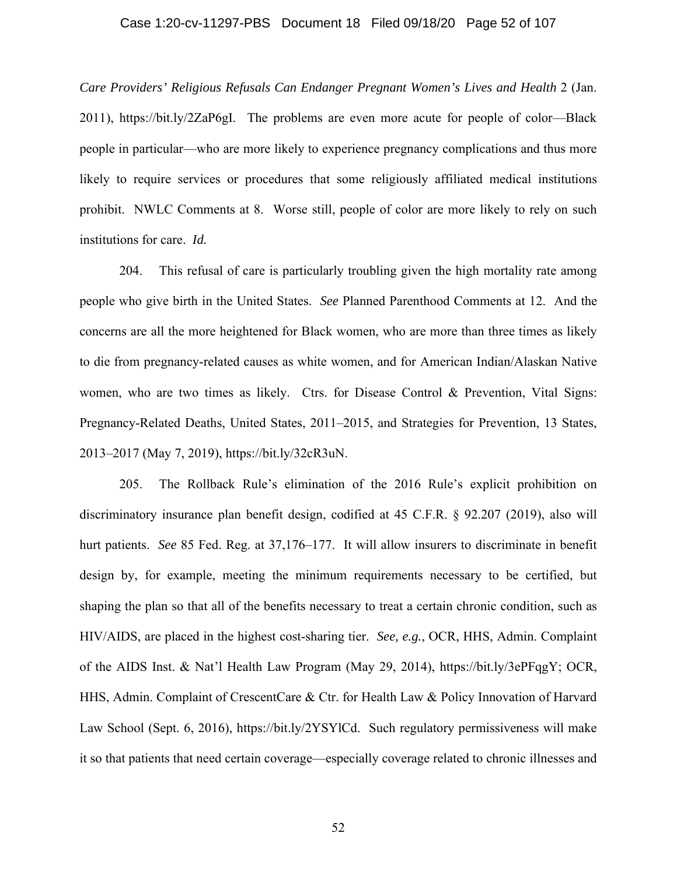## Case 1:20-cv-11297-PBS Document 18 Filed 09/18/20 Page 52 of 107

*Care Providers' Religious Refusals Can Endanger Pregnant Women's Lives and Health* 2 (Jan. 2011), https://bit.ly/2ZaP6gI. The problems are even more acute for people of color––Black people in particular––who are more likely to experience pregnancy complications and thus more likely to require services or procedures that some religiously affiliated medical institutions prohibit. NWLC Comments at 8. Worse still, people of color are more likely to rely on such institutions for care. *Id.* 

204. This refusal of care is particularly troubling given the high mortality rate among people who give birth in the United States. *See* Planned Parenthood Comments at 12. And the concerns are all the more heightened for Black women, who are more than three times as likely to die from pregnancy-related causes as white women, and for American Indian/Alaskan Native women, who are two times as likely. Ctrs. for Disease Control & Prevention, Vital Signs: Pregnancy-Related Deaths, United States, 2011–2015, and Strategies for Prevention, 13 States, 2013–2017 (May 7, 2019), https://bit.ly/32cR3uN.

205. The Rollback Rule's elimination of the 2016 Rule's explicit prohibition on discriminatory insurance plan benefit design, codified at 45 C.F.R. § 92.207 (2019), also will hurt patients. *See* 85 Fed. Reg. at 37,176–177. It will allow insurers to discriminate in benefit design by, for example, meeting the minimum requirements necessary to be certified, but shaping the plan so that all of the benefits necessary to treat a certain chronic condition, such as HIV/AIDS, are placed in the highest cost-sharing tier. *See, e.g.*, OCR, HHS, Admin. Complaint of the AIDS Inst. & Nat'l Health Law Program (May 29, 2014), https://bit.ly/3ePFqgY; OCR, HHS, Admin. Complaint of CrescentCare & Ctr. for Health Law & Policy Innovation of Harvard Law School (Sept. 6, 2016), https://bit.ly/2YSYlCd. Such regulatory permissiveness will make it so that patients that need certain coverage—especially coverage related to chronic illnesses and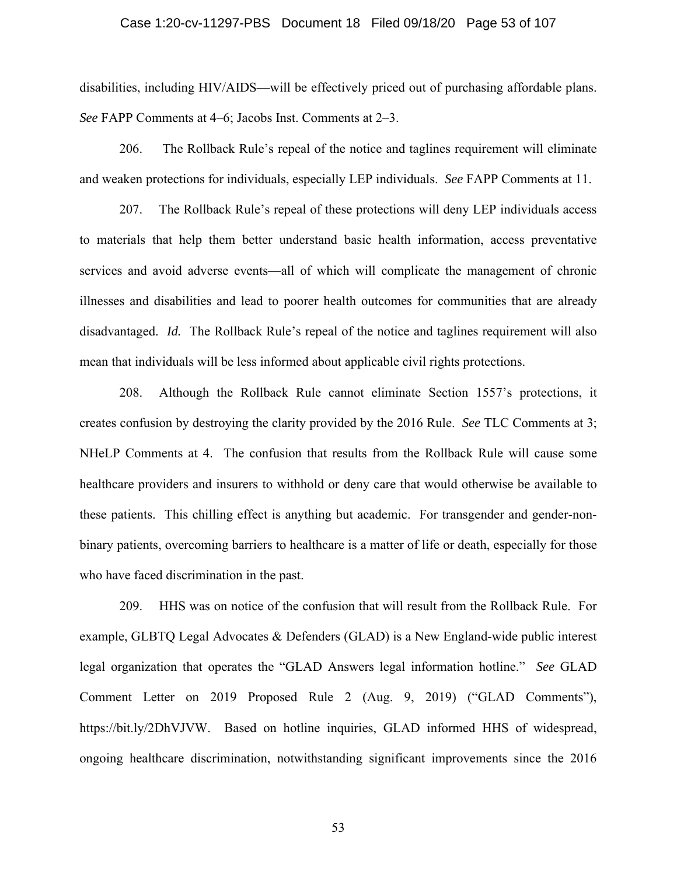## Case 1:20-cv-11297-PBS Document 18 Filed 09/18/20 Page 53 of 107

disabilities, including HIV/AIDS—will be effectively priced out of purchasing affordable plans. *See* FAPP Comments at 4–6; Jacobs Inst. Comments at 2–3.

206. The Rollback Rule's repeal of the notice and taglines requirement will eliminate and weaken protections for individuals, especially LEP individuals. *See* FAPP Comments at 11.

207. The Rollback Rule's repeal of these protections will deny LEP individuals access to materials that help them better understand basic health information, access preventative services and avoid adverse events—all of which will complicate the management of chronic illnesses and disabilities and lead to poorer health outcomes for communities that are already disadvantaged. *Id.* The Rollback Rule's repeal of the notice and taglines requirement will also mean that individuals will be less informed about applicable civil rights protections.

208. Although the Rollback Rule cannot eliminate Section 1557's protections, it creates confusion by destroying the clarity provided by the 2016 Rule. *See* TLC Comments at 3; NHeLP Comments at 4. The confusion that results from the Rollback Rule will cause some healthcare providers and insurers to withhold or deny care that would otherwise be available to these patients. This chilling effect is anything but academic. For transgender and gender-nonbinary patients, overcoming barriers to healthcare is a matter of life or death, especially for those who have faced discrimination in the past.

209. HHS was on notice of the confusion that will result from the Rollback Rule. For example, GLBTQ Legal Advocates & Defenders (GLAD) is a New England-wide public interest legal organization that operates the "GLAD Answers legal information hotline." *See* GLAD Comment Letter on 2019 Proposed Rule 2 (Aug. 9, 2019) ("GLAD Comments"), https://bit.ly/2DhVJVW. Based on hotline inquiries, GLAD informed HHS of widespread, ongoing healthcare discrimination, notwithstanding significant improvements since the 2016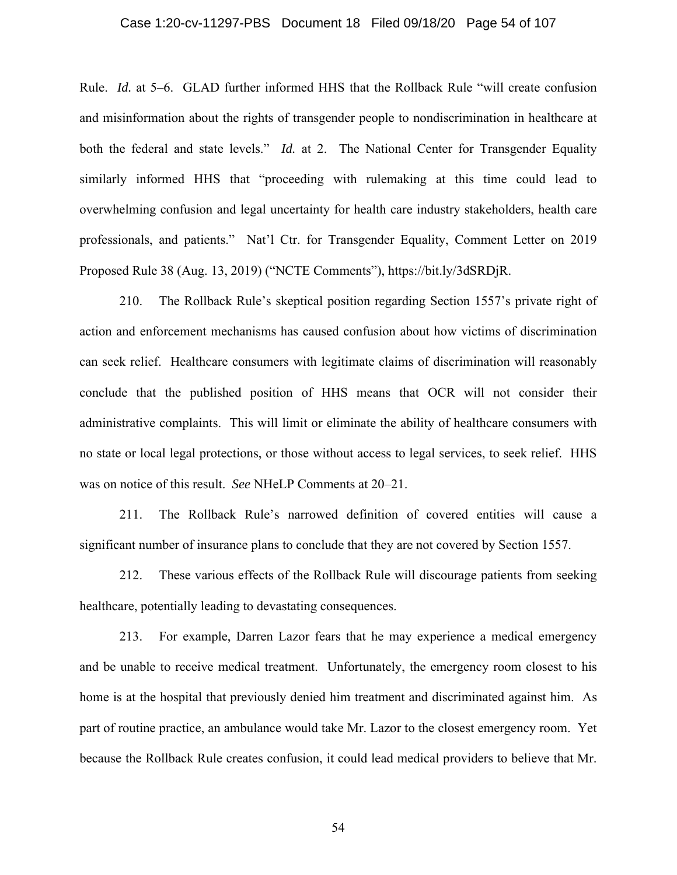## Case 1:20-cv-11297-PBS Document 18 Filed 09/18/20 Page 54 of 107

Rule. *Id.* at 5–6. GLAD further informed HHS that the Rollback Rule "will create confusion and misinformation about the rights of transgender people to nondiscrimination in healthcare at both the federal and state levels." *Id.* at 2. The National Center for Transgender Equality similarly informed HHS that "proceeding with rulemaking at this time could lead to overwhelming confusion and legal uncertainty for health care industry stakeholders, health care professionals, and patients." Nat'l Ctr. for Transgender Equality, Comment Letter on 2019 Proposed Rule 38 (Aug. 13, 2019) ("NCTE Comments"), https://bit.ly/3dSRDjR.

210. The Rollback Rule's skeptical position regarding Section 1557's private right of action and enforcement mechanisms has caused confusion about how victims of discrimination can seek relief. Healthcare consumers with legitimate claims of discrimination will reasonably conclude that the published position of HHS means that OCR will not consider their administrative complaints. This will limit or eliminate the ability of healthcare consumers with no state or local legal protections, or those without access to legal services, to seek relief. HHS was on notice of this result. *See* NHeLP Comments at 20–21.

211. The Rollback Rule's narrowed definition of covered entities will cause a significant number of insurance plans to conclude that they are not covered by Section 1557.

212. These various effects of the Rollback Rule will discourage patients from seeking healthcare, potentially leading to devastating consequences.

213. For example, Darren Lazor fears that he may experience a medical emergency and be unable to receive medical treatment. Unfortunately, the emergency room closest to his home is at the hospital that previously denied him treatment and discriminated against him. As part of routine practice, an ambulance would take Mr. Lazor to the closest emergency room. Yet because the Rollback Rule creates confusion, it could lead medical providers to believe that Mr.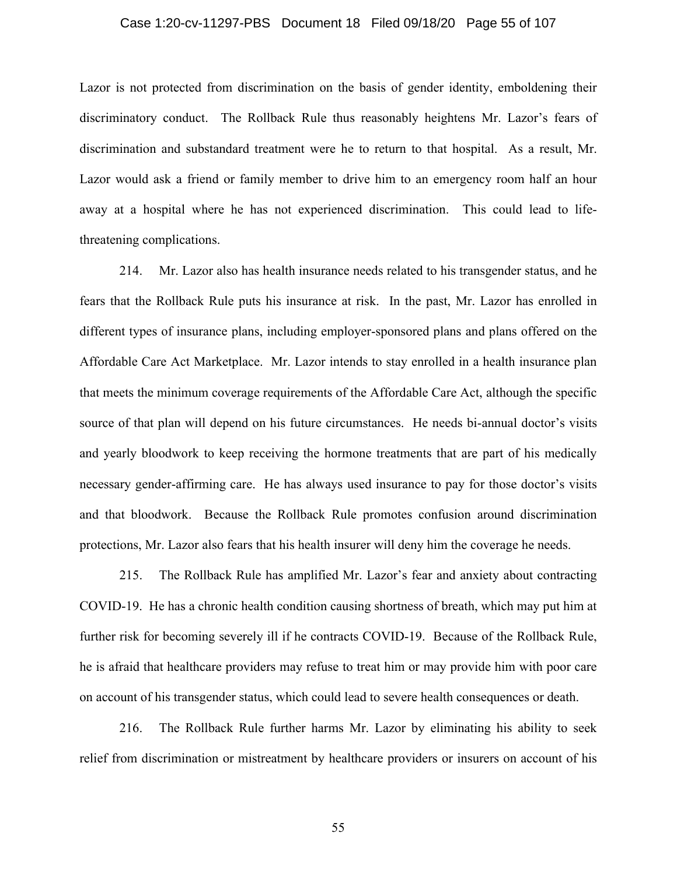## Case 1:20-cv-11297-PBS Document 18 Filed 09/18/20 Page 55 of 107

Lazor is not protected from discrimination on the basis of gender identity, emboldening their discriminatory conduct. The Rollback Rule thus reasonably heightens Mr. Lazor's fears of discrimination and substandard treatment were he to return to that hospital. As a result, Mr. Lazor would ask a friend or family member to drive him to an emergency room half an hour away at a hospital where he has not experienced discrimination. This could lead to lifethreatening complications.

214. Mr. Lazor also has health insurance needs related to his transgender status, and he fears that the Rollback Rule puts his insurance at risk. In the past, Mr. Lazor has enrolled in different types of insurance plans, including employer-sponsored plans and plans offered on the Affordable Care Act Marketplace. Mr. Lazor intends to stay enrolled in a health insurance plan that meets the minimum coverage requirements of the Affordable Care Act, although the specific source of that plan will depend on his future circumstances. He needs bi-annual doctor's visits and yearly bloodwork to keep receiving the hormone treatments that are part of his medically necessary gender-affirming care. He has always used insurance to pay for those doctor's visits and that bloodwork. Because the Rollback Rule promotes confusion around discrimination protections, Mr. Lazor also fears that his health insurer will deny him the coverage he needs.

215. The Rollback Rule has amplified Mr. Lazor's fear and anxiety about contracting COVID-19. He has a chronic health condition causing shortness of breath, which may put him at further risk for becoming severely ill if he contracts COVID-19. Because of the Rollback Rule, he is afraid that healthcare providers may refuse to treat him or may provide him with poor care on account of his transgender status, which could lead to severe health consequences or death.

216. The Rollback Rule further harms Mr. Lazor by eliminating his ability to seek relief from discrimination or mistreatment by healthcare providers or insurers on account of his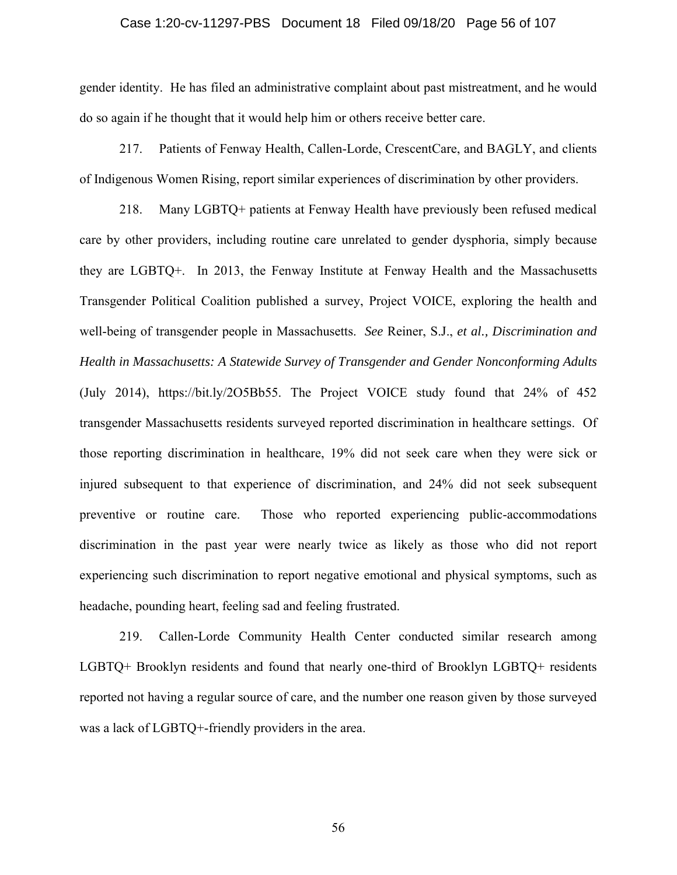## Case 1:20-cv-11297-PBS Document 18 Filed 09/18/20 Page 56 of 107

gender identity. He has filed an administrative complaint about past mistreatment, and he would do so again if he thought that it would help him or others receive better care.

217. Patients of Fenway Health, Callen-Lorde, CrescentCare, and BAGLY, and clients of Indigenous Women Rising, report similar experiences of discrimination by other providers.

218. Many LGBTQ+ patients at Fenway Health have previously been refused medical care by other providers, including routine care unrelated to gender dysphoria, simply because they are LGBTQ+. In 2013, the Fenway Institute at Fenway Health and the Massachusetts Transgender Political Coalition published a survey, Project VOICE, exploring the health and well-being of transgender people in Massachusetts. *See* Reiner, S.J., *et al., Discrimination and Health in Massachusetts: A Statewide Survey of Transgender and Gender Nonconforming Adults* (July 2014), https://bit.ly/2O5Bb55. The Project VOICE study found that 24% of 452 transgender Massachusetts residents surveyed reported discrimination in healthcare settings. Of those reporting discrimination in healthcare, 19% did not seek care when they were sick or injured subsequent to that experience of discrimination, and 24% did not seek subsequent preventive or routine care. Those who reported experiencing public-accommodations discrimination in the past year were nearly twice as likely as those who did not report experiencing such discrimination to report negative emotional and physical symptoms, such as headache, pounding heart, feeling sad and feeling frustrated.

219. Callen-Lorde Community Health Center conducted similar research among LGBTQ+ Brooklyn residents and found that nearly one-third of Brooklyn LGBTQ+ residents reported not having a regular source of care, and the number one reason given by those surveyed was a lack of LGBTQ+-friendly providers in the area.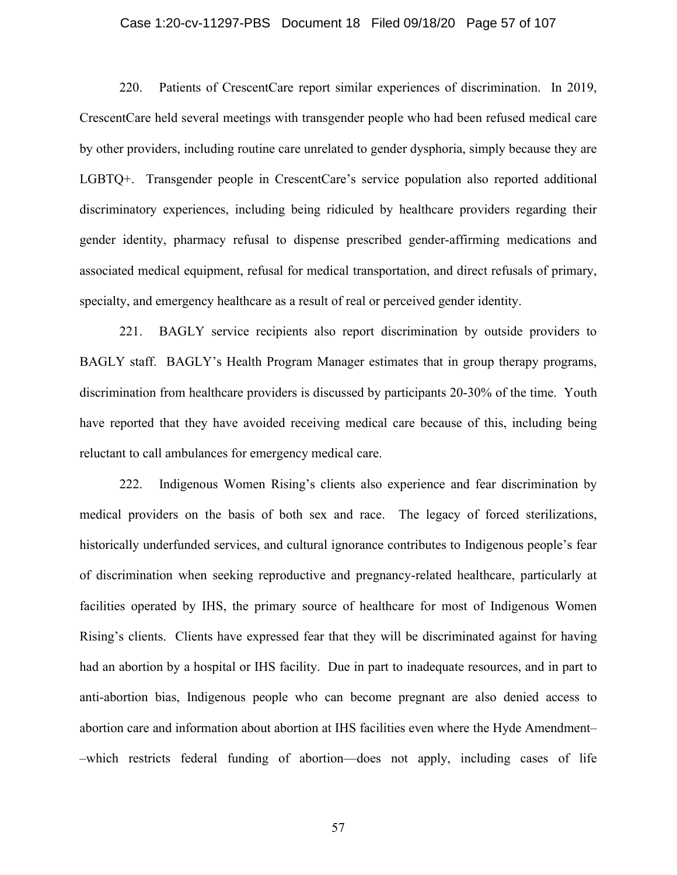## Case 1:20-cv-11297-PBS Document 18 Filed 09/18/20 Page 57 of 107

220. Patients of CrescentCare report similar experiences of discrimination. In 2019, CrescentCare held several meetings with transgender people who had been refused medical care by other providers, including routine care unrelated to gender dysphoria, simply because they are LGBTQ+. Transgender people in CrescentCare's service population also reported additional discriminatory experiences, including being ridiculed by healthcare providers regarding their gender identity, pharmacy refusal to dispense prescribed gender-affirming medications and associated medical equipment, refusal for medical transportation, and direct refusals of primary, specialty, and emergency healthcare as a result of real or perceived gender identity.

221. BAGLY service recipients also report discrimination by outside providers to BAGLY staff. BAGLY's Health Program Manager estimates that in group therapy programs, discrimination from healthcare providers is discussed by participants 20-30% of the time. Youth have reported that they have avoided receiving medical care because of this, including being reluctant to call ambulances for emergency medical care.

222. Indigenous Women Rising's clients also experience and fear discrimination by medical providers on the basis of both sex and race. The legacy of forced sterilizations, historically underfunded services, and cultural ignorance contributes to Indigenous people's fear of discrimination when seeking reproductive and pregnancy-related healthcare, particularly at facilities operated by IHS, the primary source of healthcare for most of Indigenous Women Rising's clients. Clients have expressed fear that they will be discriminated against for having had an abortion by a hospital or IHS facility. Due in part to inadequate resources, and in part to anti-abortion bias, Indigenous people who can become pregnant are also denied access to abortion care and information about abortion at IHS facilities even where the Hyde Amendment– –which restricts federal funding of abortion––does not apply, including cases of life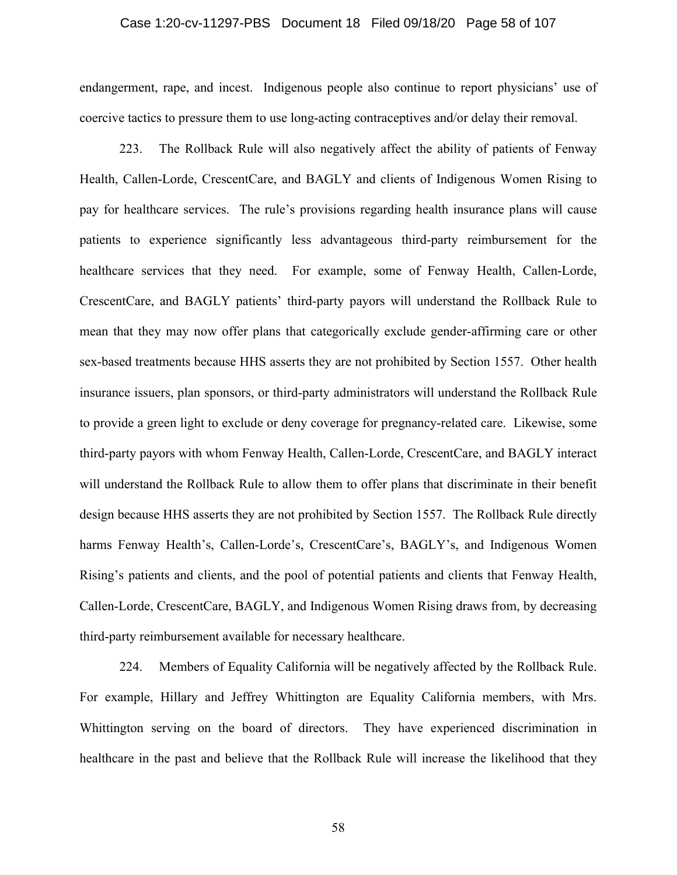## Case 1:20-cv-11297-PBS Document 18 Filed 09/18/20 Page 58 of 107

endangerment, rape, and incest. Indigenous people also continue to report physicians' use of coercive tactics to pressure them to use long-acting contraceptives and/or delay their removal.

223. The Rollback Rule will also negatively affect the ability of patients of Fenway Health, Callen-Lorde, CrescentCare, and BAGLY and clients of Indigenous Women Rising to pay for healthcare services. The rule's provisions regarding health insurance plans will cause patients to experience significantly less advantageous third-party reimbursement for the healthcare services that they need. For example, some of Fenway Health, Callen-Lorde, CrescentCare, and BAGLY patients' third-party payors will understand the Rollback Rule to mean that they may now offer plans that categorically exclude gender-affirming care or other sex-based treatments because HHS asserts they are not prohibited by Section 1557. Other health insurance issuers, plan sponsors, or third-party administrators will understand the Rollback Rule to provide a green light to exclude or deny coverage for pregnancy-related care. Likewise, some third-party payors with whom Fenway Health, Callen-Lorde, CrescentCare, and BAGLY interact will understand the Rollback Rule to allow them to offer plans that discriminate in their benefit design because HHS asserts they are not prohibited by Section 1557. The Rollback Rule directly harms Fenway Health's, Callen-Lorde's, CrescentCare's, BAGLY's, and Indigenous Women Rising's patients and clients, and the pool of potential patients and clients that Fenway Health, Callen-Lorde, CrescentCare, BAGLY, and Indigenous Women Rising draws from, by decreasing third-party reimbursement available for necessary healthcare.

224. Members of Equality California will be negatively affected by the Rollback Rule. For example, Hillary and Jeffrey Whittington are Equality California members, with Mrs. Whittington serving on the board of directors. They have experienced discrimination in healthcare in the past and believe that the Rollback Rule will increase the likelihood that they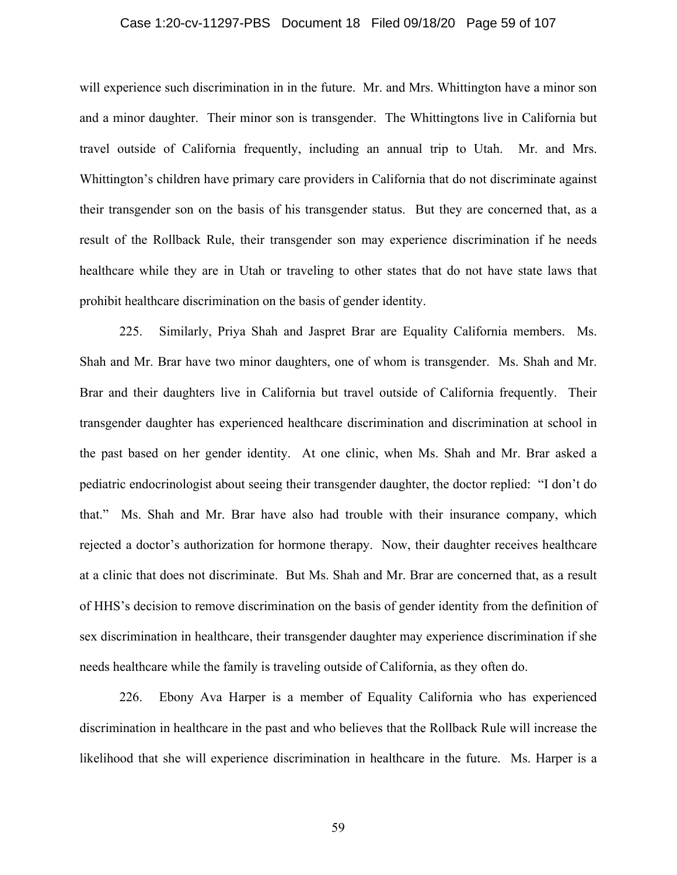## Case 1:20-cv-11297-PBS Document 18 Filed 09/18/20 Page 59 of 107

will experience such discrimination in in the future. Mr. and Mrs. Whittington have a minor son and a minor daughter. Their minor son is transgender. The Whittingtons live in California but travel outside of California frequently, including an annual trip to Utah. Mr. and Mrs. Whittington's children have primary care providers in California that do not discriminate against their transgender son on the basis of his transgender status. But they are concerned that, as a result of the Rollback Rule, their transgender son may experience discrimination if he needs healthcare while they are in Utah or traveling to other states that do not have state laws that prohibit healthcare discrimination on the basis of gender identity.

225. Similarly, Priya Shah and Jaspret Brar are Equality California members. Ms. Shah and Mr. Brar have two minor daughters, one of whom is transgender. Ms. Shah and Mr. Brar and their daughters live in California but travel outside of California frequently. Their transgender daughter has experienced healthcare discrimination and discrimination at school in the past based on her gender identity. At one clinic, when Ms. Shah and Mr. Brar asked a pediatric endocrinologist about seeing their transgender daughter, the doctor replied: "I don't do that." Ms. Shah and Mr. Brar have also had trouble with their insurance company, which rejected a doctor's authorization for hormone therapy. Now, their daughter receives healthcare at a clinic that does not discriminate. But Ms. Shah and Mr. Brar are concerned that, as a result of HHS's decision to remove discrimination on the basis of gender identity from the definition of sex discrimination in healthcare, their transgender daughter may experience discrimination if she needs healthcare while the family is traveling outside of California, as they often do.

226. Ebony Ava Harper is a member of Equality California who has experienced discrimination in healthcare in the past and who believes that the Rollback Rule will increase the likelihood that she will experience discrimination in healthcare in the future. Ms. Harper is a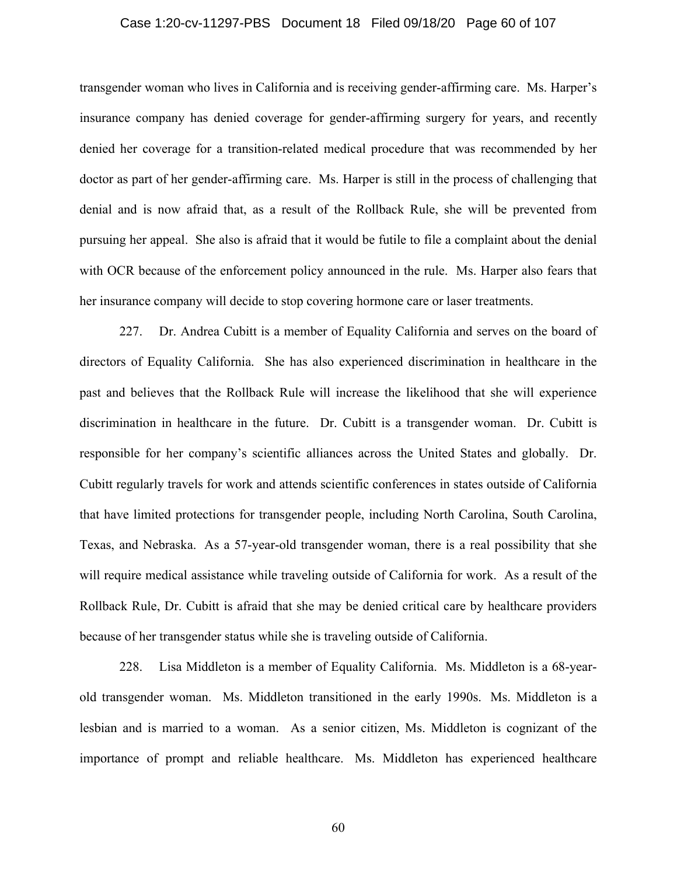## Case 1:20-cv-11297-PBS Document 18 Filed 09/18/20 Page 60 of 107

transgender woman who lives in California and is receiving gender-affirming care. Ms. Harper's insurance company has denied coverage for gender-affirming surgery for years, and recently denied her coverage for a transition-related medical procedure that was recommended by her doctor as part of her gender-affirming care. Ms. Harper is still in the process of challenging that denial and is now afraid that, as a result of the Rollback Rule, she will be prevented from pursuing her appeal. She also is afraid that it would be futile to file a complaint about the denial with OCR because of the enforcement policy announced in the rule. Ms. Harper also fears that her insurance company will decide to stop covering hormone care or laser treatments.

227. Dr. Andrea Cubitt is a member of Equality California and serves on the board of directors of Equality California. She has also experienced discrimination in healthcare in the past and believes that the Rollback Rule will increase the likelihood that she will experience discrimination in healthcare in the future. Dr. Cubitt is a transgender woman. Dr. Cubitt is responsible for her company's scientific alliances across the United States and globally. Dr. Cubitt regularly travels for work and attends scientific conferences in states outside of California that have limited protections for transgender people, including North Carolina, South Carolina, Texas, and Nebraska. As a 57-year-old transgender woman, there is a real possibility that she will require medical assistance while traveling outside of California for work. As a result of the Rollback Rule, Dr. Cubitt is afraid that she may be denied critical care by healthcare providers because of her transgender status while she is traveling outside of California.

228. Lisa Middleton is a member of Equality California. Ms. Middleton is a 68-yearold transgender woman. Ms. Middleton transitioned in the early 1990s. Ms. Middleton is a lesbian and is married to a woman. As a senior citizen, Ms. Middleton is cognizant of the importance of prompt and reliable healthcare. Ms. Middleton has experienced healthcare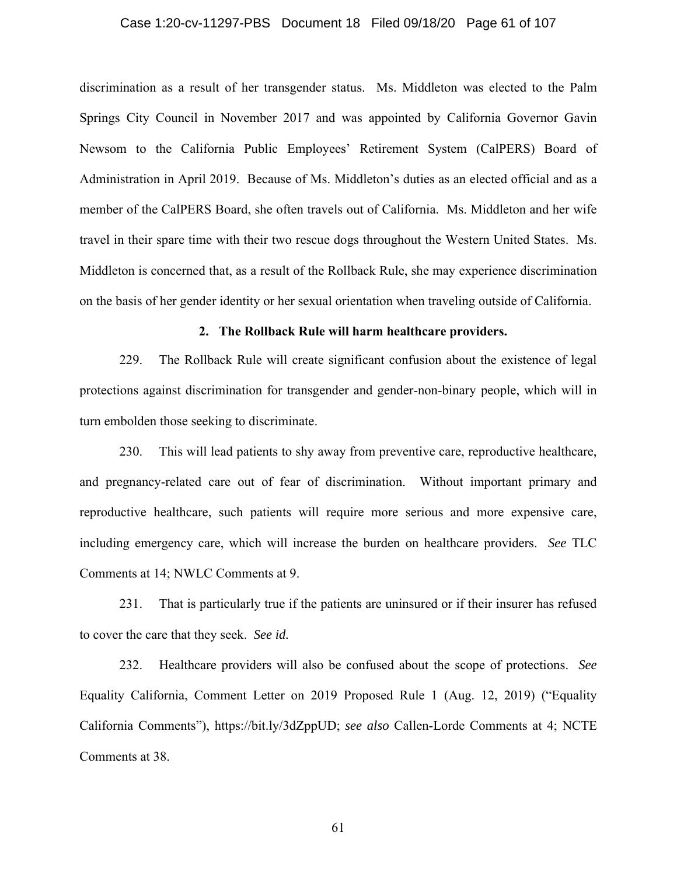## Case 1:20-cv-11297-PBS Document 18 Filed 09/18/20 Page 61 of 107

discrimination as a result of her transgender status. Ms. Middleton was elected to the Palm Springs City Council in November 2017 and was appointed by California Governor Gavin Newsom to the California Public Employees' Retirement System (CalPERS) Board of Administration in April 2019. Because of Ms. Middleton's duties as an elected official and as a member of the CalPERS Board, she often travels out of California. Ms. Middleton and her wife travel in their spare time with their two rescue dogs throughout the Western United States. Ms. Middleton is concerned that, as a result of the Rollback Rule, she may experience discrimination on the basis of her gender identity or her sexual orientation when traveling outside of California.

# **2. The Rollback Rule will harm healthcare providers.**

229. The Rollback Rule will create significant confusion about the existence of legal protections against discrimination for transgender and gender-non-binary people, which will in turn embolden those seeking to discriminate.

230. This will lead patients to shy away from preventive care, reproductive healthcare, and pregnancy-related care out of fear of discrimination. Without important primary and reproductive healthcare, such patients will require more serious and more expensive care, including emergency care, which will increase the burden on healthcare providers. *See* TLC Comments at 14; NWLC Comments at 9.

231. That is particularly true if the patients are uninsured or if their insurer has refused to cover the care that they seek. *See id.*

232. Healthcare providers will also be confused about the scope of protections. *See* Equality California, Comment Letter on 2019 Proposed Rule 1 (Aug. 12, 2019) ("Equality California Comments"), https://bit.ly/3dZppUD; *see also* Callen-Lorde Comments at 4; NCTE Comments at 38.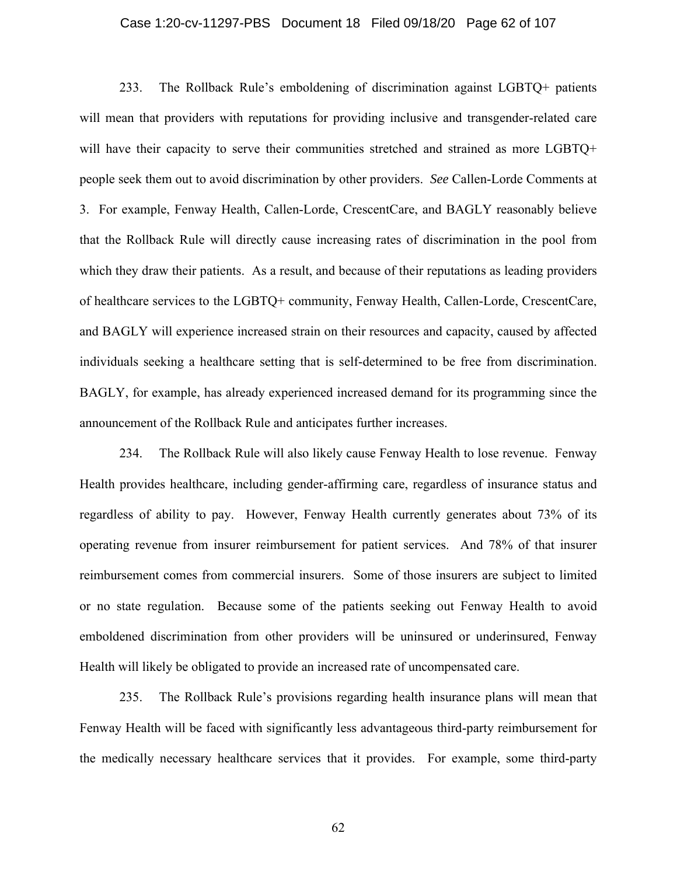## Case 1:20-cv-11297-PBS Document 18 Filed 09/18/20 Page 62 of 107

233. The Rollback Rule's emboldening of discrimination against LGBTQ+ patients will mean that providers with reputations for providing inclusive and transgender-related care will have their capacity to serve their communities stretched and strained as more LGBTO+ people seek them out to avoid discrimination by other providers. *See* Callen-Lorde Comments at 3. For example, Fenway Health, Callen-Lorde, CrescentCare, and BAGLY reasonably believe that the Rollback Rule will directly cause increasing rates of discrimination in the pool from which they draw their patients. As a result, and because of their reputations as leading providers of healthcare services to the LGBTQ+ community, Fenway Health, Callen-Lorde, CrescentCare, and BAGLY will experience increased strain on their resources and capacity, caused by affected individuals seeking a healthcare setting that is self-determined to be free from discrimination. BAGLY, for example, has already experienced increased demand for its programming since the announcement of the Rollback Rule and anticipates further increases.

234. The Rollback Rule will also likely cause Fenway Health to lose revenue. Fenway Health provides healthcare, including gender-affirming care, regardless of insurance status and regardless of ability to pay. However, Fenway Health currently generates about 73% of its operating revenue from insurer reimbursement for patient services. And 78% of that insurer reimbursement comes from commercial insurers. Some of those insurers are subject to limited or no state regulation. Because some of the patients seeking out Fenway Health to avoid emboldened discrimination from other providers will be uninsured or underinsured, Fenway Health will likely be obligated to provide an increased rate of uncompensated care.

235. The Rollback Rule's provisions regarding health insurance plans will mean that Fenway Health will be faced with significantly less advantageous third-party reimbursement for the medically necessary healthcare services that it provides. For example, some third-party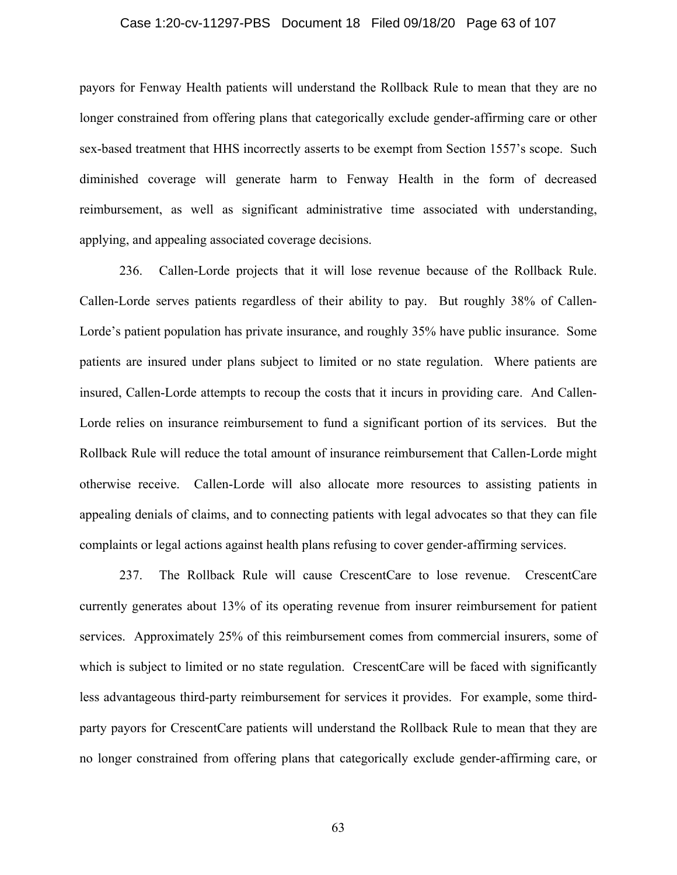## Case 1:20-cv-11297-PBS Document 18 Filed 09/18/20 Page 63 of 107

payors for Fenway Health patients will understand the Rollback Rule to mean that they are no longer constrained from offering plans that categorically exclude gender-affirming care or other sex-based treatment that HHS incorrectly asserts to be exempt from Section 1557's scope. Such diminished coverage will generate harm to Fenway Health in the form of decreased reimbursement, as well as significant administrative time associated with understanding, applying, and appealing associated coverage decisions.

236. Callen-Lorde projects that it will lose revenue because of the Rollback Rule. Callen-Lorde serves patients regardless of their ability to pay. But roughly 38% of Callen-Lorde's patient population has private insurance, and roughly 35% have public insurance. Some patients are insured under plans subject to limited or no state regulation. Where patients are insured, Callen-Lorde attempts to recoup the costs that it incurs in providing care. And Callen-Lorde relies on insurance reimbursement to fund a significant portion of its services. But the Rollback Rule will reduce the total amount of insurance reimbursement that Callen-Lorde might otherwise receive. Callen-Lorde will also allocate more resources to assisting patients in appealing denials of claims, and to connecting patients with legal advocates so that they can file complaints or legal actions against health plans refusing to cover gender-affirming services.

237. The Rollback Rule will cause CrescentCare to lose revenue. CrescentCare currently generates about 13% of its operating revenue from insurer reimbursement for patient services. Approximately 25% of this reimbursement comes from commercial insurers, some of which is subject to limited or no state regulation. CrescentCare will be faced with significantly less advantageous third-party reimbursement for services it provides. For example, some thirdparty payors for CrescentCare patients will understand the Rollback Rule to mean that they are no longer constrained from offering plans that categorically exclude gender-affirming care, or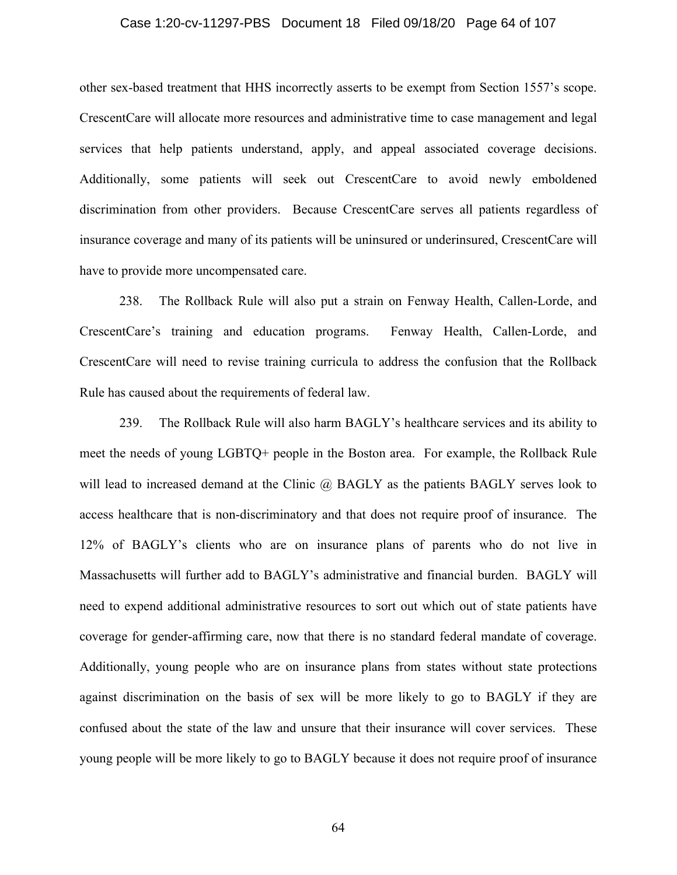## Case 1:20-cv-11297-PBS Document 18 Filed 09/18/20 Page 64 of 107

other sex-based treatment that HHS incorrectly asserts to be exempt from Section 1557's scope. CrescentCare will allocate more resources and administrative time to case management and legal services that help patients understand, apply, and appeal associated coverage decisions. Additionally, some patients will seek out CrescentCare to avoid newly emboldened discrimination from other providers. Because CrescentCare serves all patients regardless of insurance coverage and many of its patients will be uninsured or underinsured, CrescentCare will have to provide more uncompensated care.

238. The Rollback Rule will also put a strain on Fenway Health, Callen-Lorde, and CrescentCare's training and education programs. Fenway Health, Callen-Lorde, and CrescentCare will need to revise training curricula to address the confusion that the Rollback Rule has caused about the requirements of federal law.

239. The Rollback Rule will also harm BAGLY's healthcare services and its ability to meet the needs of young LGBTQ+ people in the Boston area. For example, the Rollback Rule will lead to increased demand at the Clinic @ BAGLY as the patients BAGLY serves look to access healthcare that is non-discriminatory and that does not require proof of insurance. The 12% of BAGLY's clients who are on insurance plans of parents who do not live in Massachusetts will further add to BAGLY's administrative and financial burden. BAGLY will need to expend additional administrative resources to sort out which out of state patients have coverage for gender-affirming care, now that there is no standard federal mandate of coverage. Additionally, young people who are on insurance plans from states without state protections against discrimination on the basis of sex will be more likely to go to BAGLY if they are confused about the state of the law and unsure that their insurance will cover services. These young people will be more likely to go to BAGLY because it does not require proof of insurance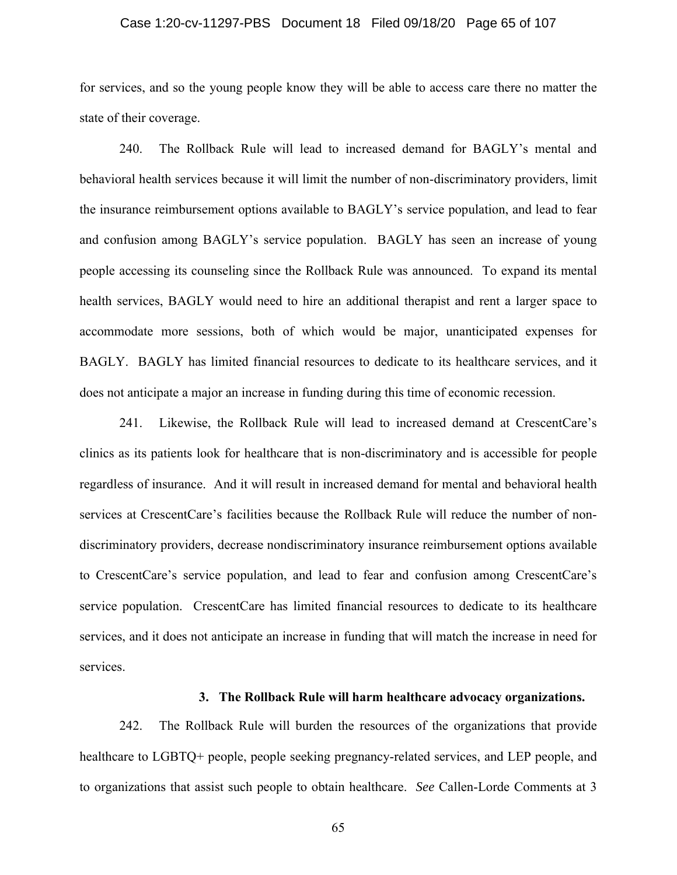## Case 1:20-cv-11297-PBS Document 18 Filed 09/18/20 Page 65 of 107

for services, and so the young people know they will be able to access care there no matter the state of their coverage.

240. The Rollback Rule will lead to increased demand for BAGLY's mental and behavioral health services because it will limit the number of non-discriminatory providers, limit the insurance reimbursement options available to BAGLY's service population, and lead to fear and confusion among BAGLY's service population. BAGLY has seen an increase of young people accessing its counseling since the Rollback Rule was announced. To expand its mental health services, BAGLY would need to hire an additional therapist and rent a larger space to accommodate more sessions, both of which would be major, unanticipated expenses for BAGLY. BAGLY has limited financial resources to dedicate to its healthcare services, and it does not anticipate a major an increase in funding during this time of economic recession.

241. Likewise, the Rollback Rule will lead to increased demand at CrescentCare's clinics as its patients look for healthcare that is non-discriminatory and is accessible for people regardless of insurance. And it will result in increased demand for mental and behavioral health services at CrescentCare's facilities because the Rollback Rule will reduce the number of nondiscriminatory providers, decrease nondiscriminatory insurance reimbursement options available to CrescentCare's service population, and lead to fear and confusion among CrescentCare's service population. CrescentCare has limited financial resources to dedicate to its healthcare services, and it does not anticipate an increase in funding that will match the increase in need for services.

# **3. The Rollback Rule will harm healthcare advocacy organizations.**

242. The Rollback Rule will burden the resources of the organizations that provide healthcare to LGBTQ+ people, people seeking pregnancy-related services, and LEP people, and to organizations that assist such people to obtain healthcare. *See* Callen-Lorde Comments at 3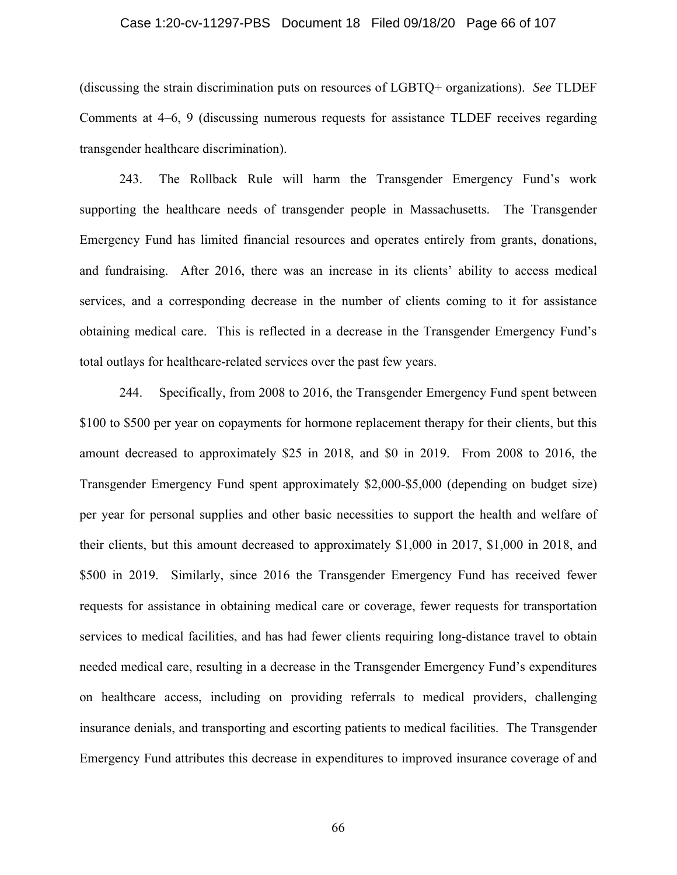## Case 1:20-cv-11297-PBS Document 18 Filed 09/18/20 Page 66 of 107

(discussing the strain discrimination puts on resources of LGBTQ+ organizations). *See* TLDEF Comments at 4–6, 9 (discussing numerous requests for assistance TLDEF receives regarding transgender healthcare discrimination).

243. The Rollback Rule will harm the Transgender Emergency Fund's work supporting the healthcare needs of transgender people in Massachusetts. The Transgender Emergency Fund has limited financial resources and operates entirely from grants, donations, and fundraising. After 2016, there was an increase in its clients' ability to access medical services, and a corresponding decrease in the number of clients coming to it for assistance obtaining medical care. This is reflected in a decrease in the Transgender Emergency Fund's total outlays for healthcare-related services over the past few years.

244. Specifically, from 2008 to 2016, the Transgender Emergency Fund spent between \$100 to \$500 per year on copayments for hormone replacement therapy for their clients, but this amount decreased to approximately \$25 in 2018, and \$0 in 2019. From 2008 to 2016, the Transgender Emergency Fund spent approximately \$2,000-\$5,000 (depending on budget size) per year for personal supplies and other basic necessities to support the health and welfare of their clients, but this amount decreased to approximately \$1,000 in 2017, \$1,000 in 2018, and \$500 in 2019. Similarly, since 2016 the Transgender Emergency Fund has received fewer requests for assistance in obtaining medical care or coverage, fewer requests for transportation services to medical facilities, and has had fewer clients requiring long-distance travel to obtain needed medical care, resulting in a decrease in the Transgender Emergency Fund's expenditures on healthcare access, including on providing referrals to medical providers, challenging insurance denials, and transporting and escorting patients to medical facilities. The Transgender Emergency Fund attributes this decrease in expenditures to improved insurance coverage of and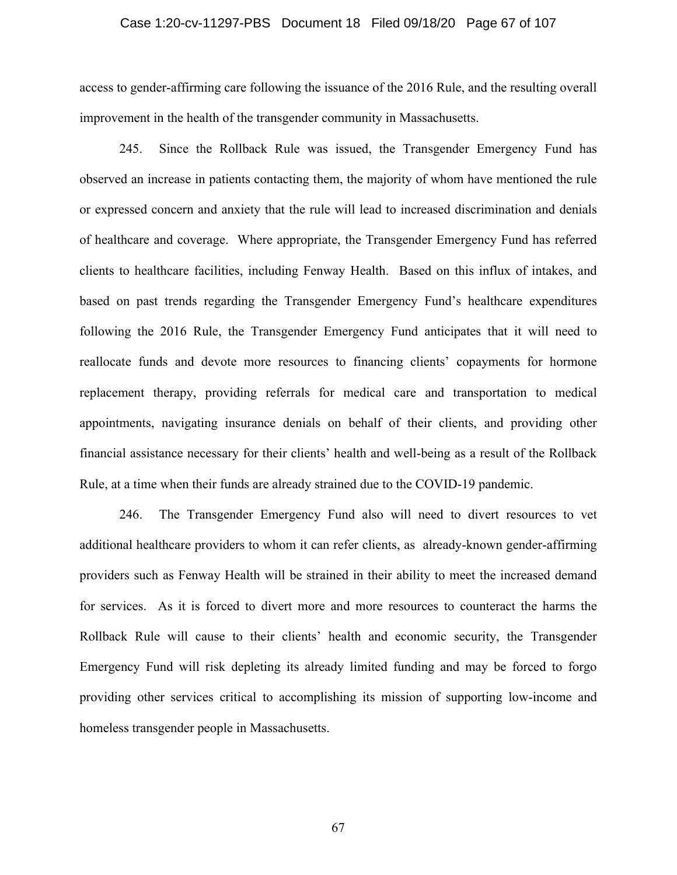## Case 1:20-cv-11297-PBS Document 18 Filed 09/18/20 Page 67 of 107

access to gender-affirming care following the issuance of the 2016 Rule, and the resulting overall improvement in the health of the transgender community in Massachusetts.

245. Since the Rollback Rule was issued, the Transgender Emergency Fund has observed an increase in patients contacting them, the majority of whom have mentioned the rule or expressed concern and anxiety that the rule will lead to increased discrimination and denials of healthcare and coverage. Where appropriate, the Transgender Emergency Fund has referred clients to healthcare facilities, including Fenway Health. Based on this influx of intakes, and based on past trends regarding the Transgender Emergency Fund's healthcare expenditures following the 2016 Rule, the Transgender Emergency Fund anticipates that it will need to reallocate funds and devote more resources to financing clients' copayments for hormone replacement therapy, providing referrals for medical care and transportation to medical appointments, navigating insurance denials on behalf of their clients, and providing other financial assistance necessary for their clients' health and well-being as a result of the Rollback Rule, at a time when their funds are already strained due to the COVID-19 pandemic.

246. The Transgender Emergency Fund also will need to divert resources to vet additional healthcare providers to whom it can refer clients, as already-known gender-affirming providers such as Fenway Health will be strained in their ability to meet the increased demand for services. As it is forced to divert more and more resources to counteract the harms the Rollback Rule will cause to their clients' health and economic security, the Transgender Emergency Fund will risk depleting its already limited funding and may be forced to forgo providing other services critical to accomplishing its mission of supporting low-income and homeless transgender people in Massachusetts.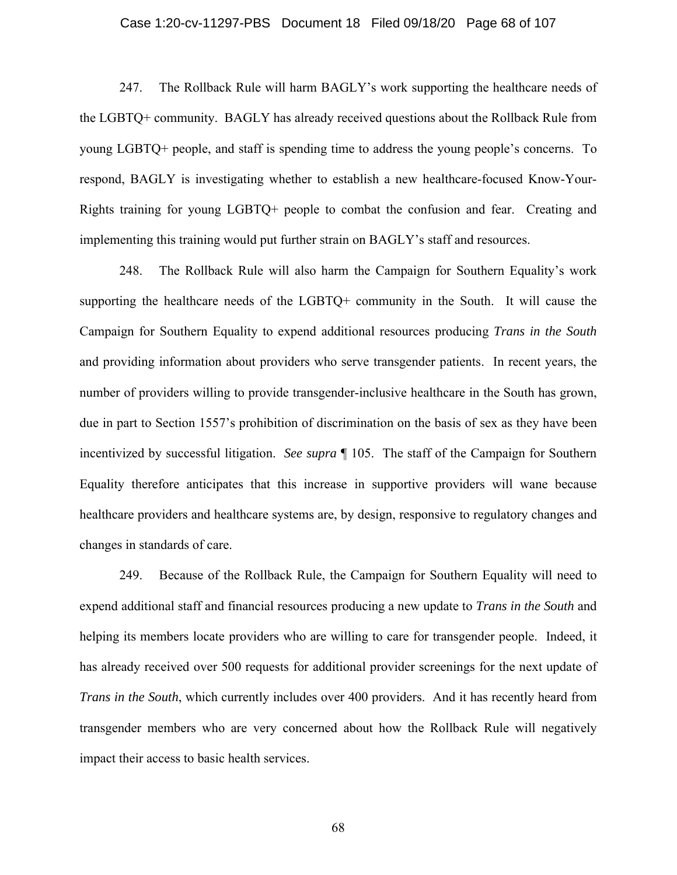## Case 1:20-cv-11297-PBS Document 18 Filed 09/18/20 Page 68 of 107

247. The Rollback Rule will harm BAGLY's work supporting the healthcare needs of the LGBTQ+ community. BAGLY has already received questions about the Rollback Rule from young LGBTQ+ people, and staff is spending time to address the young people's concerns. To respond, BAGLY is investigating whether to establish a new healthcare-focused Know-Your-Rights training for young LGBTQ+ people to combat the confusion and fear. Creating and implementing this training would put further strain on BAGLY's staff and resources.

248. The Rollback Rule will also harm the Campaign for Southern Equality's work supporting the healthcare needs of the LGBTQ+ community in the South. It will cause the Campaign for Southern Equality to expend additional resources producing *Trans in the South*  and providing information about providers who serve transgender patients. In recent years, the number of providers willing to provide transgender-inclusive healthcare in the South has grown, due in part to Section 1557's prohibition of discrimination on the basis of sex as they have been incentivized by successful litigation. *See supra* ¶ 105. The staff of the Campaign for Southern Equality therefore anticipates that this increase in supportive providers will wane because healthcare providers and healthcare systems are, by design, responsive to regulatory changes and changes in standards of care.

249. Because of the Rollback Rule, the Campaign for Southern Equality will need to expend additional staff and financial resources producing a new update to *Trans in the South* and helping its members locate providers who are willing to care for transgender people. Indeed, it has already received over 500 requests for additional provider screenings for the next update of *Trans in the South*, which currently includes over 400 providers. And it has recently heard from transgender members who are very concerned about how the Rollback Rule will negatively impact their access to basic health services.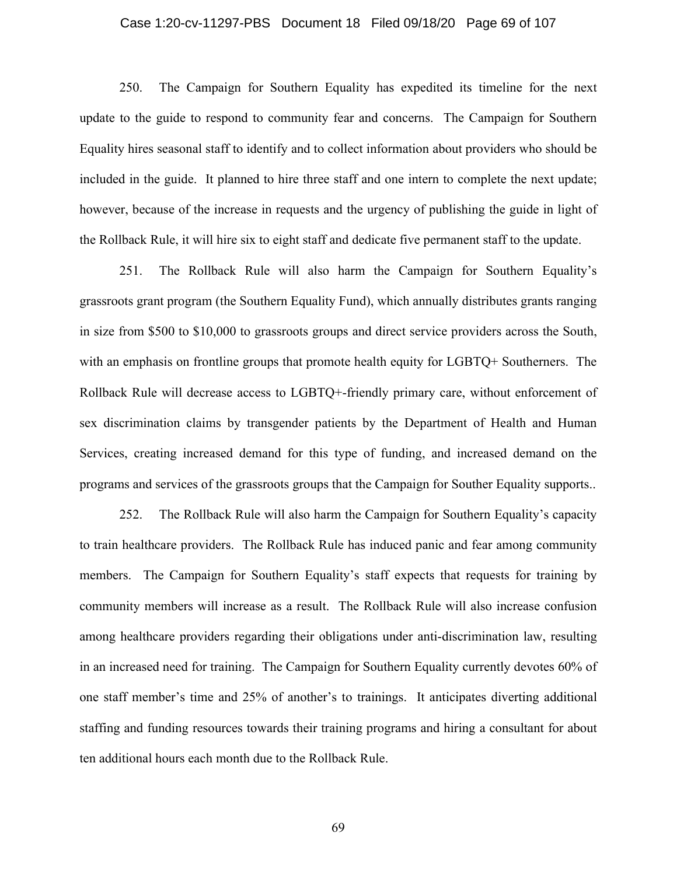## Case 1:20-cv-11297-PBS Document 18 Filed 09/18/20 Page 69 of 107

250. The Campaign for Southern Equality has expedited its timeline for the next update to the guide to respond to community fear and concerns. The Campaign for Southern Equality hires seasonal staff to identify and to collect information about providers who should be included in the guide. It planned to hire three staff and one intern to complete the next update; however, because of the increase in requests and the urgency of publishing the guide in light of the Rollback Rule, it will hire six to eight staff and dedicate five permanent staff to the update.

251. The Rollback Rule will also harm the Campaign for Southern Equality's grassroots grant program (the Southern Equality Fund), which annually distributes grants ranging in size from \$500 to \$10,000 to grassroots groups and direct service providers across the South, with an emphasis on frontline groups that promote health equity for LGBTQ+ Southerners. The Rollback Rule will decrease access to LGBTQ+-friendly primary care, without enforcement of sex discrimination claims by transgender patients by the Department of Health and Human Services, creating increased demand for this type of funding, and increased demand on the programs and services of the grassroots groups that the Campaign for Souther Equality supports..

252. The Rollback Rule will also harm the Campaign for Southern Equality's capacity to train healthcare providers. The Rollback Rule has induced panic and fear among community members. The Campaign for Southern Equality's staff expects that requests for training by community members will increase as a result. The Rollback Rule will also increase confusion among healthcare providers regarding their obligations under anti-discrimination law, resulting in an increased need for training. The Campaign for Southern Equality currently devotes 60% of one staff member's time and 25% of another's to trainings. It anticipates diverting additional staffing and funding resources towards their training programs and hiring a consultant for about ten additional hours each month due to the Rollback Rule.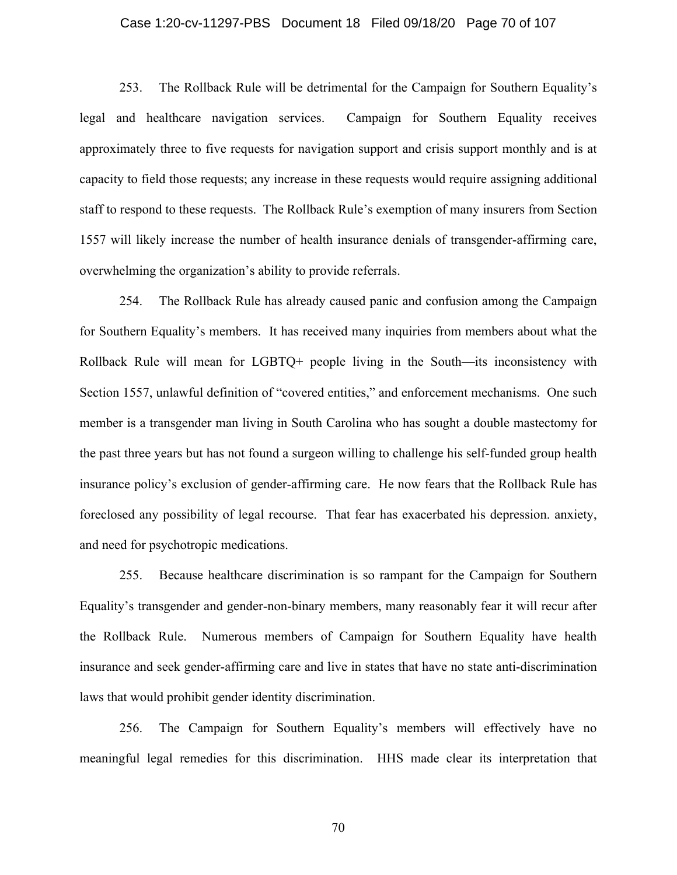## Case 1:20-cv-11297-PBS Document 18 Filed 09/18/20 Page 70 of 107

253. The Rollback Rule will be detrimental for the Campaign for Southern Equality's legal and healthcare navigation services. Campaign for Southern Equality receives approximately three to five requests for navigation support and crisis support monthly and is at capacity to field those requests; any increase in these requests would require assigning additional staff to respond to these requests. The Rollback Rule's exemption of many insurers from Section 1557 will likely increase the number of health insurance denials of transgender-affirming care, overwhelming the organization's ability to provide referrals.

254. The Rollback Rule has already caused panic and confusion among the Campaign for Southern Equality's members. It has received many inquiries from members about what the Rollback Rule will mean for LGBTQ+ people living in the South—its inconsistency with Section 1557, unlawful definition of "covered entities," and enforcement mechanisms. One such member is a transgender man living in South Carolina who has sought a double mastectomy for the past three years but has not found a surgeon willing to challenge his self-funded group health insurance policy's exclusion of gender-affirming care. He now fears that the Rollback Rule has foreclosed any possibility of legal recourse. That fear has exacerbated his depression. anxiety, and need for psychotropic medications.

255. Because healthcare discrimination is so rampant for the Campaign for Southern Equality's transgender and gender-non-binary members, many reasonably fear it will recur after the Rollback Rule. Numerous members of Campaign for Southern Equality have health insurance and seek gender-affirming care and live in states that have no state anti-discrimination laws that would prohibit gender identity discrimination.

256. The Campaign for Southern Equality's members will effectively have no meaningful legal remedies for this discrimination. HHS made clear its interpretation that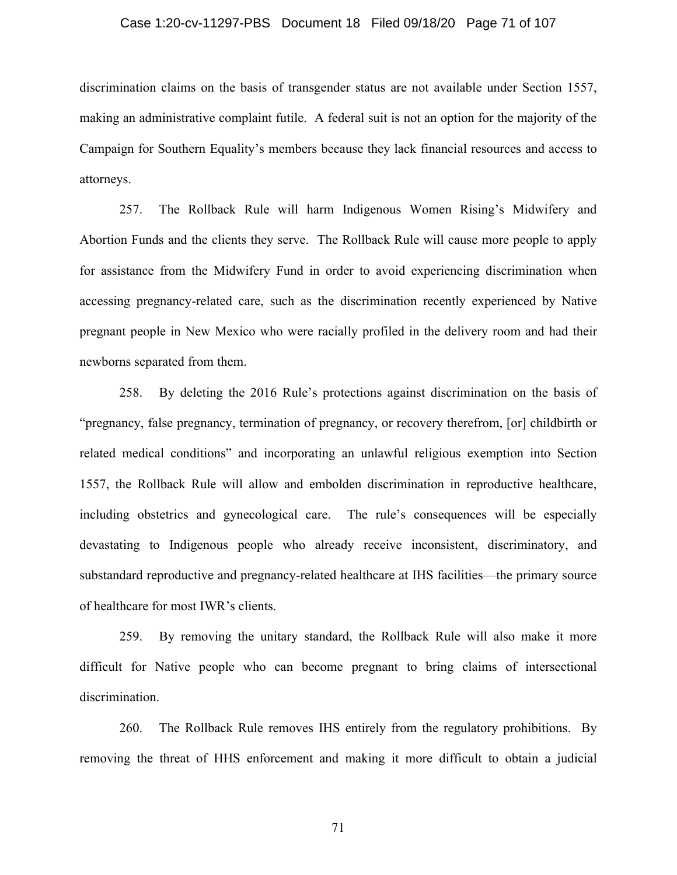## Case 1:20-cv-11297-PBS Document 18 Filed 09/18/20 Page 71 of 107

discrimination claims on the basis of transgender status are not available under Section 1557, making an administrative complaint futile. A federal suit is not an option for the majority of the Campaign for Southern Equality's members because they lack financial resources and access to attorneys.

257. The Rollback Rule will harm Indigenous Women Rising's Midwifery and Abortion Funds and the clients they serve. The Rollback Rule will cause more people to apply for assistance from the Midwifery Fund in order to avoid experiencing discrimination when accessing pregnancy-related care, such as the discrimination recently experienced by Native pregnant people in New Mexico who were racially profiled in the delivery room and had their newborns separated from them.

258. By deleting the 2016 Rule's protections against discrimination on the basis of "pregnancy, false pregnancy, termination of pregnancy, or recovery therefrom, [or] childbirth or related medical conditions" and incorporating an unlawful religious exemption into Section 1557, the Rollback Rule will allow and embolden discrimination in reproductive healthcare, including obstetrics and gynecological care. The rule's consequences will be especially devastating to Indigenous people who already receive inconsistent, discriminatory, and substandard reproductive and pregnancy-related healthcare at IHS facilities—the primary source of healthcare for most IWR's clients.

259. By removing the unitary standard, the Rollback Rule will also make it more difficult for Native people who can become pregnant to bring claims of intersectional discrimination.

260. The Rollback Rule removes IHS entirely from the regulatory prohibitions. By removing the threat of HHS enforcement and making it more difficult to obtain a judicial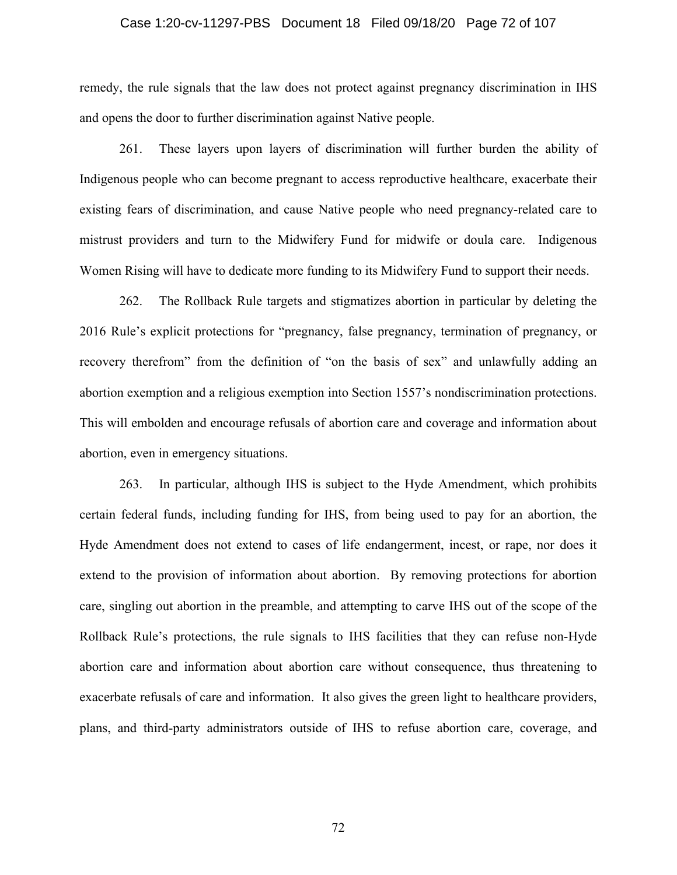## Case 1:20-cv-11297-PBS Document 18 Filed 09/18/20 Page 72 of 107

remedy, the rule signals that the law does not protect against pregnancy discrimination in IHS and opens the door to further discrimination against Native people.

261. These layers upon layers of discrimination will further burden the ability of Indigenous people who can become pregnant to access reproductive healthcare, exacerbate their existing fears of discrimination, and cause Native people who need pregnancy-related care to mistrust providers and turn to the Midwifery Fund for midwife or doula care. Indigenous Women Rising will have to dedicate more funding to its Midwifery Fund to support their needs.

262. The Rollback Rule targets and stigmatizes abortion in particular by deleting the 2016 Rule's explicit protections for "pregnancy, false pregnancy, termination of pregnancy, or recovery therefrom" from the definition of "on the basis of sex" and unlawfully adding an abortion exemption and a religious exemption into Section 1557's nondiscrimination protections. This will embolden and encourage refusals of abortion care and coverage and information about abortion, even in emergency situations.

263. In particular, although IHS is subject to the Hyde Amendment, which prohibits certain federal funds, including funding for IHS, from being used to pay for an abortion, the Hyde Amendment does not extend to cases of life endangerment, incest, or rape, nor does it extend to the provision of information about abortion. By removing protections for abortion care, singling out abortion in the preamble, and attempting to carve IHS out of the scope of the Rollback Rule's protections, the rule signals to IHS facilities that they can refuse non-Hyde abortion care and information about abortion care without consequence, thus threatening to exacerbate refusals of care and information. It also gives the green light to healthcare providers, plans, and third-party administrators outside of IHS to refuse abortion care, coverage, and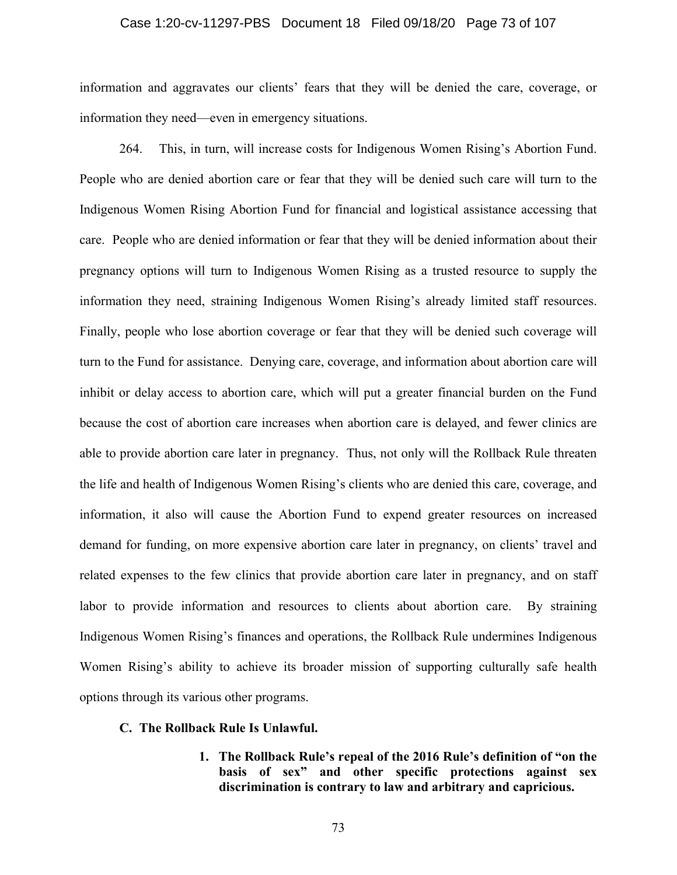#### Case 1:20-cv-11297-PBS Document 18 Filed 09/18/20 Page 73 of 107

information and aggravates our clients' fears that they will be denied the care, coverage, or information they need––even in emergency situations.

264. This, in turn, will increase costs for Indigenous Women Rising's Abortion Fund. People who are denied abortion care or fear that they will be denied such care will turn to the Indigenous Women Rising Abortion Fund for financial and logistical assistance accessing that care. People who are denied information or fear that they will be denied information about their pregnancy options will turn to Indigenous Women Rising as a trusted resource to supply the information they need, straining Indigenous Women Rising's already limited staff resources. Finally, people who lose abortion coverage or fear that they will be denied such coverage will turn to the Fund for assistance. Denying care, coverage, and information about abortion care will inhibit or delay access to abortion care, which will put a greater financial burden on the Fund because the cost of abortion care increases when abortion care is delayed, and fewer clinics are able to provide abortion care later in pregnancy. Thus, not only will the Rollback Rule threaten the life and health of Indigenous Women Rising's clients who are denied this care, coverage, and information, it also will cause the Abortion Fund to expend greater resources on increased demand for funding, on more expensive abortion care later in pregnancy, on clients' travel and related expenses to the few clinics that provide abortion care later in pregnancy, and on staff labor to provide information and resources to clients about abortion care. By straining Indigenous Women Rising's finances and operations, the Rollback Rule undermines Indigenous Women Rising's ability to achieve its broader mission of supporting culturally safe health options through its various other programs.

### **C. The Rollback Rule Is Unlawful.**

**1. The Rollback Rule's repeal of the 2016 Rule's definition of "on the basis of sex" and other specific protections against sex discrimination is contrary to law and arbitrary and capricious.**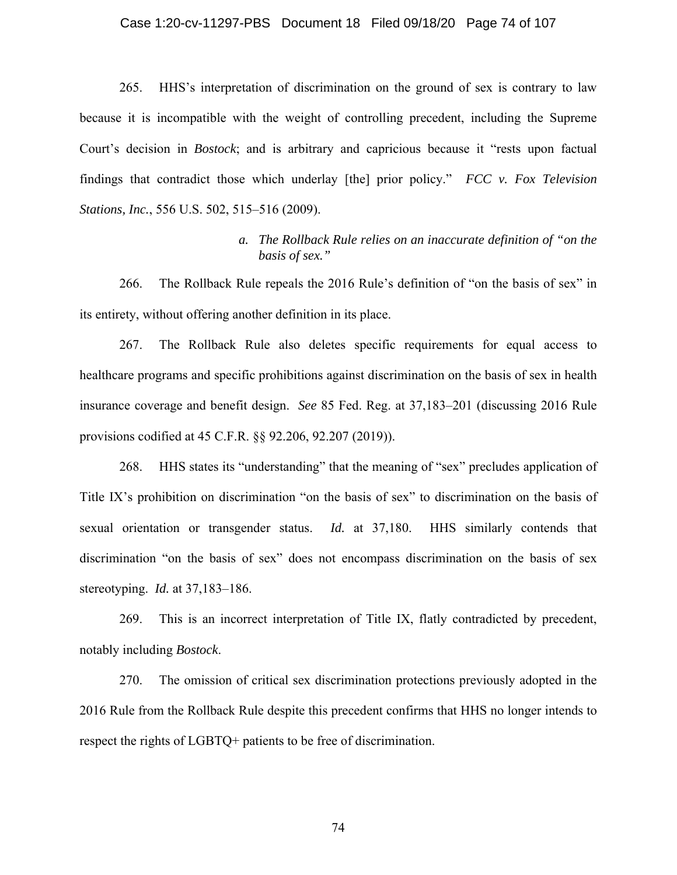#### Case 1:20-cv-11297-PBS Document 18 Filed 09/18/20 Page 74 of 107

265. HHS's interpretation of discrimination on the ground of sex is contrary to law because it is incompatible with the weight of controlling precedent, including the Supreme Court's decision in *Bostock*; and is arbitrary and capricious because it "rests upon factual findings that contradict those which underlay [the] prior policy." *FCC v. Fox Television Stations, Inc.*, 556 U.S. 502, 515–516 (2009).

## *a. The Rollback Rule relies on an inaccurate definition of "on the basis of sex."*

266. The Rollback Rule repeals the 2016 Rule's definition of "on the basis of sex" in its entirety, without offering another definition in its place.

267. The Rollback Rule also deletes specific requirements for equal access to healthcare programs and specific prohibitions against discrimination on the basis of sex in health insurance coverage and benefit design. *See* 85 Fed. Reg. at 37,183–201 (discussing 2016 Rule provisions codified at 45 C.F.R. §§ 92.206, 92.207 (2019)).

268. HHS states its "understanding" that the meaning of "sex" precludes application of Title IX's prohibition on discrimination "on the basis of sex" to discrimination on the basis of sexual orientation or transgender status. *Id.* at 37,180. HHS similarly contends that discrimination "on the basis of sex" does not encompass discrimination on the basis of sex stereotyping. *Id.* at 37,183–186.

269. This is an incorrect interpretation of Title IX, flatly contradicted by precedent, notably including *Bostock*.

270. The omission of critical sex discrimination protections previously adopted in the 2016 Rule from the Rollback Rule despite this precedent confirms that HHS no longer intends to respect the rights of LGBTQ+ patients to be free of discrimination.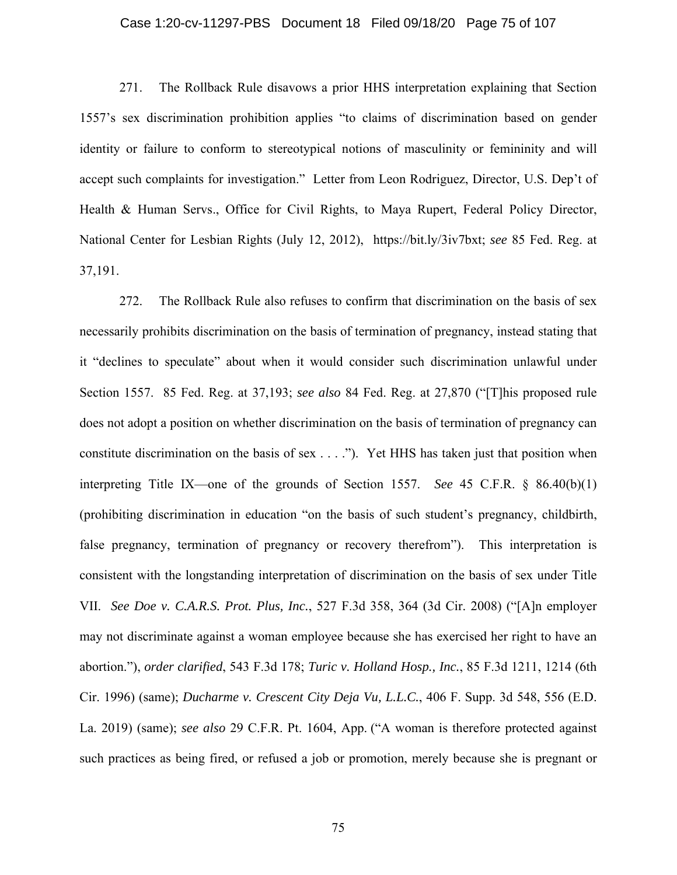#### Case 1:20-cv-11297-PBS Document 18 Filed 09/18/20 Page 75 of 107

271. The Rollback Rule disavows a prior HHS interpretation explaining that Section 1557's sex discrimination prohibition applies "to claims of discrimination based on gender identity or failure to conform to stereotypical notions of masculinity or femininity and will accept such complaints for investigation." Letter from Leon Rodriguez, Director, U.S. Dep't of Health & Human Servs., Office for Civil Rights, to Maya Rupert, Federal Policy Director, National Center for Lesbian Rights (July 12, 2012), https://bit.ly/3iv7bxt; *see* 85 Fed. Reg. at 37,191.

272. The Rollback Rule also refuses to confirm that discrimination on the basis of sex necessarily prohibits discrimination on the basis of termination of pregnancy, instead stating that it "declines to speculate" about when it would consider such discrimination unlawful under Section 1557. 85 Fed. Reg. at 37,193; *see also* 84 Fed. Reg. at 27,870 ("[T]his proposed rule does not adopt a position on whether discrimination on the basis of termination of pregnancy can constitute discrimination on the basis of sex . . . ."). Yet HHS has taken just that position when interpreting Title IX—one of the grounds of Section 1557. *See* 45 C.F.R. § 86.40(b)(1) (prohibiting discrimination in education "on the basis of such student's pregnancy, childbirth, false pregnancy, termination of pregnancy or recovery therefrom"). This interpretation is consistent with the longstanding interpretation of discrimination on the basis of sex under Title VII. *See Doe v. C.A.R.S. Prot. Plus, Inc.*, 527 F.3d 358, 364 (3d Cir. 2008) ("[A]n employer may not discriminate against a woman employee because she has exercised her right to have an abortion."), *order clarified*, 543 F.3d 178; *Turic v. Holland Hosp., Inc.*, 85 F.3d 1211, 1214 (6th Cir. 1996) (same); *Ducharme v. Crescent City Deja Vu, L.L.C.*, 406 F. Supp. 3d 548, 556 (E.D. La. 2019) (same); *see also* 29 C.F.R. Pt. 1604, App. ("A woman is therefore protected against such practices as being fired, or refused a job or promotion, merely because she is pregnant or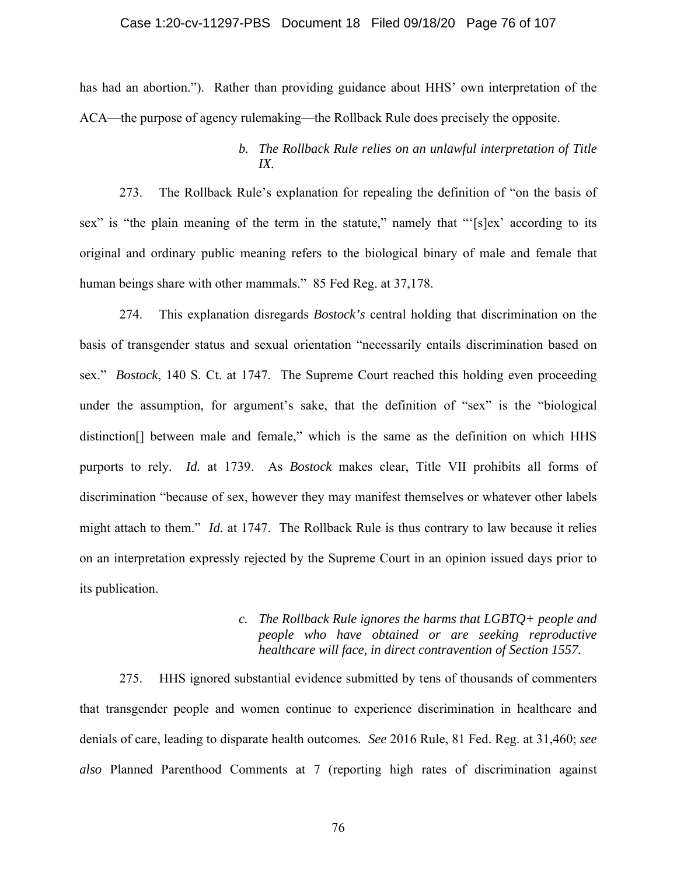#### Case 1:20-cv-11297-PBS Document 18 Filed 09/18/20 Page 76 of 107

has had an abortion."). Rather than providing guidance about HHS' own interpretation of the ACA—the purpose of agency rulemaking—the Rollback Rule does precisely the opposite.

## *b. The Rollback Rule relies on an unlawful interpretation of Title IX.*

273. The Rollback Rule's explanation for repealing the definition of "on the basis of sex" is "the plain meaning of the term in the statute," namely that "'[s]ex' according to its original and ordinary public meaning refers to the biological binary of male and female that human beings share with other mammals." 85 Fed Reg. at 37,178.

274. This explanation disregards *Bostock's* central holding that discrimination on the basis of transgender status and sexual orientation "necessarily entails discrimination based on sex." *Bostock*, 140 S. Ct. at 1747. The Supreme Court reached this holding even proceeding under the assumption, for argument's sake, that the definition of "sex" is the "biological distinction[] between male and female," which is the same as the definition on which HHS purports to rely. *Id.* at 1739. As *Bostock* makes clear, Title VII prohibits all forms of discrimination "because of sex, however they may manifest themselves or whatever other labels might attach to them." *Id.* at 1747. The Rollback Rule is thus contrary to law because it relies on an interpretation expressly rejected by the Supreme Court in an opinion issued days prior to its publication.

## *c. The Rollback Rule ignores the harms that LGBTQ+ people and people who have obtained or are seeking reproductive healthcare will face, in direct contravention of Section 1557.*

275. HHS ignored substantial evidence submitted by tens of thousands of commenters that transgender people and women continue to experience discrimination in healthcare and denials of care, leading to disparate health outcomes*. See* 2016 Rule, 81 Fed. Reg. at 31,460; *see also* Planned Parenthood Comments at 7 (reporting high rates of discrimination against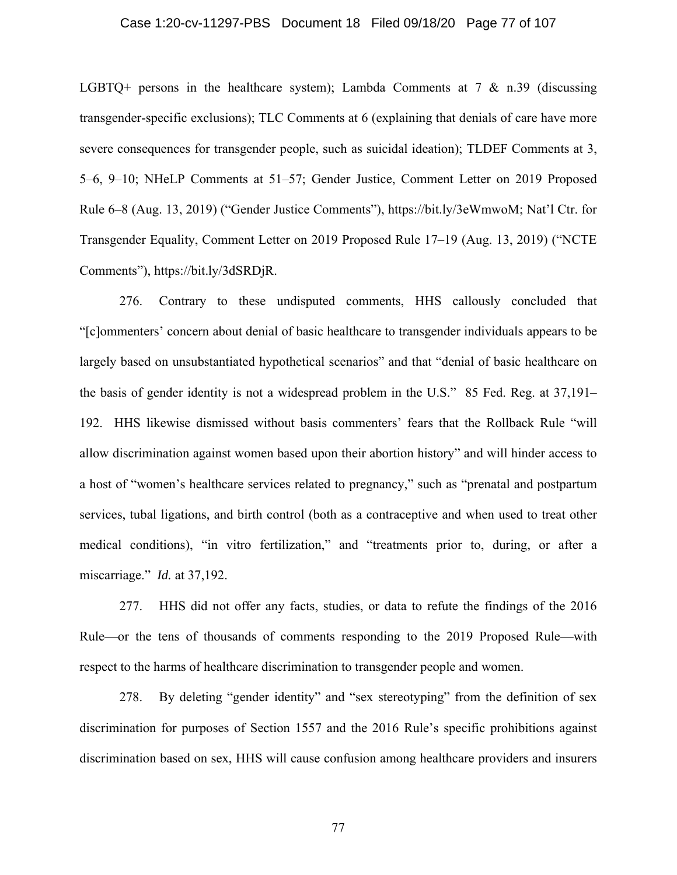#### Case 1:20-cv-11297-PBS Document 18 Filed 09/18/20 Page 77 of 107

LGBTQ+ persons in the healthcare system); Lambda Comments at  $7 \& n.39$  (discussing transgender-specific exclusions); TLC Comments at 6 (explaining that denials of care have more severe consequences for transgender people, such as suicidal ideation); TLDEF Comments at 3, 5–6, 9–10; NHeLP Comments at 51–57; Gender Justice, Comment Letter on 2019 Proposed Rule 6–8 (Aug. 13, 2019) ("Gender Justice Comments"), https://bit.ly/3eWmwoM; Nat'l Ctr. for Transgender Equality, Comment Letter on 2019 Proposed Rule 17–19 (Aug. 13, 2019) ("NCTE Comments"), https://bit.ly/3dSRDjR.

276. Contrary to these undisputed comments, HHS callously concluded that "[c]ommenters' concern about denial of basic healthcare to transgender individuals appears to be largely based on unsubstantiated hypothetical scenarios" and that "denial of basic healthcare on the basis of gender identity is not a widespread problem in the U.S." 85 Fed. Reg. at 37,191– 192. HHS likewise dismissed without basis commenters' fears that the Rollback Rule "will allow discrimination against women based upon their abortion history" and will hinder access to a host of "women's healthcare services related to pregnancy," such as "prenatal and postpartum services, tubal ligations, and birth control (both as a contraceptive and when used to treat other medical conditions), "in vitro fertilization," and "treatments prior to, during, or after a miscarriage." *Id.* at 37,192.

277. HHS did not offer any facts, studies, or data to refute the findings of the 2016 Rule—or the tens of thousands of comments responding to the 2019 Proposed Rule—with respect to the harms of healthcare discrimination to transgender people and women.

278. By deleting "gender identity" and "sex stereotyping" from the definition of sex discrimination for purposes of Section 1557 and the 2016 Rule's specific prohibitions against discrimination based on sex, HHS will cause confusion among healthcare providers and insurers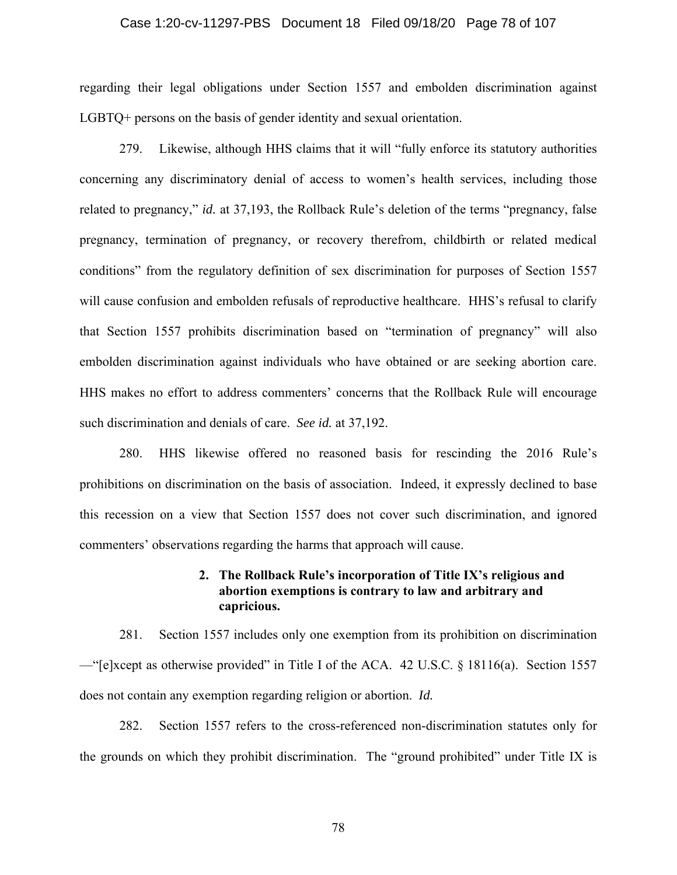#### Case 1:20-cv-11297-PBS Document 18 Filed 09/18/20 Page 78 of 107

regarding their legal obligations under Section 1557 and embolden discrimination against LGBTQ+ persons on the basis of gender identity and sexual orientation.

279. Likewise, although HHS claims that it will "fully enforce its statutory authorities concerning any discriminatory denial of access to women's health services, including those related to pregnancy," *id.* at 37,193, the Rollback Rule's deletion of the terms "pregnancy, false pregnancy, termination of pregnancy, or recovery therefrom, childbirth or related medical conditions" from the regulatory definition of sex discrimination for purposes of Section 1557 will cause confusion and embolden refusals of reproductive healthcare. HHS's refusal to clarify that Section 1557 prohibits discrimination based on "termination of pregnancy" will also embolden discrimination against individuals who have obtained or are seeking abortion care. HHS makes no effort to address commenters' concerns that the Rollback Rule will encourage such discrimination and denials of care. *See id.* at 37,192.

280. HHS likewise offered no reasoned basis for rescinding the 2016 Rule's prohibitions on discrimination on the basis of association. Indeed, it expressly declined to base this recession on a view that Section 1557 does not cover such discrimination, and ignored commenters' observations regarding the harms that approach will cause.

### **2. The Rollback Rule's incorporation of Title IX's religious and abortion exemptions is contrary to law and arbitrary and capricious.**

281. Section 1557 includes only one exemption from its prohibition on discrimination —"[e]xcept as otherwise provided" in Title I of the ACA. 42 U.S.C. § 18116(a). Section 1557 does not contain any exemption regarding religion or abortion. *Id.*

282. Section 1557 refers to the cross-referenced non-discrimination statutes only for the grounds on which they prohibit discrimination. The "ground prohibited" under Title IX is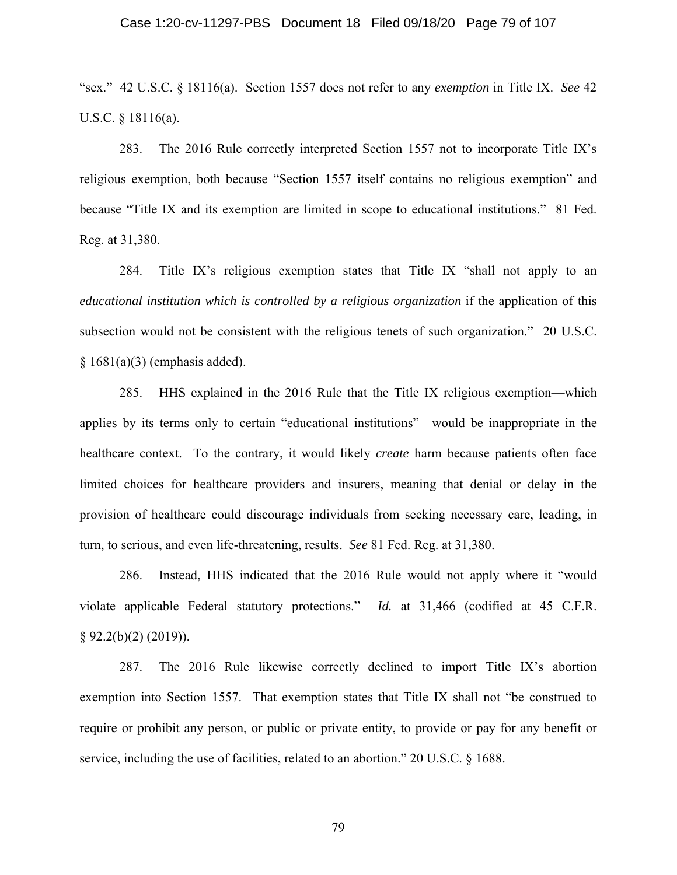#### Case 1:20-cv-11297-PBS Document 18 Filed 09/18/20 Page 79 of 107

"sex." 42 U.S.C. § 18116(a). Section 1557 does not refer to any *exemption* in Title IX. *See* 42 U.S.C.  $\S$  18116(a).

283. The 2016 Rule correctly interpreted Section 1557 not to incorporate Title IX's religious exemption, both because "Section 1557 itself contains no religious exemption" and because "Title IX and its exemption are limited in scope to educational institutions." 81 Fed. Reg. at 31,380.

284. Title IX's religious exemption states that Title IX "shall not apply to an *educational institution which is controlled by a religious organization* if the application of this subsection would not be consistent with the religious tenets of such organization." 20 U.S.C.  $§ 1681(a)(3)$  (emphasis added).

285. HHS explained in the 2016 Rule that the Title IX religious exemption—which applies by its terms only to certain "educational institutions"—would be inappropriate in the healthcare context. To the contrary, it would likely *create* harm because patients often face limited choices for healthcare providers and insurers, meaning that denial or delay in the provision of healthcare could discourage individuals from seeking necessary care, leading, in turn, to serious, and even life-threatening, results. *See* 81 Fed. Reg. at 31,380.

286. Instead, HHS indicated that the 2016 Rule would not apply where it "would violate applicable Federal statutory protections." *Id.* at 31,466 (codified at 45 C.F.R.  $§ 92.2(b)(2) (2019)$ .

287. The 2016 Rule likewise correctly declined to import Title IX's abortion exemption into Section 1557. That exemption states that Title IX shall not "be construed to require or prohibit any person, or public or private entity, to provide or pay for any benefit or service, including the use of facilities, related to an abortion." 20 U.S.C. § 1688.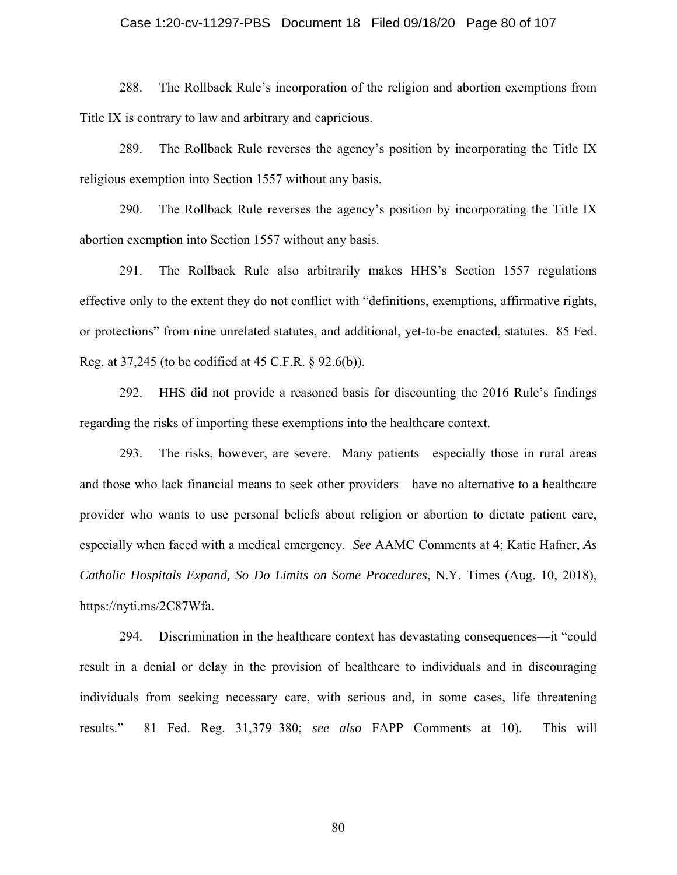#### Case 1:20-cv-11297-PBS Document 18 Filed 09/18/20 Page 80 of 107

288. The Rollback Rule's incorporation of the religion and abortion exemptions from Title IX is contrary to law and arbitrary and capricious.

289. The Rollback Rule reverses the agency's position by incorporating the Title IX religious exemption into Section 1557 without any basis.

290. The Rollback Rule reverses the agency's position by incorporating the Title IX abortion exemption into Section 1557 without any basis.

291. The Rollback Rule also arbitrarily makes HHS's Section 1557 regulations effective only to the extent they do not conflict with "definitions, exemptions, affirmative rights, or protections" from nine unrelated statutes, and additional, yet-to-be enacted, statutes. 85 Fed. Reg. at 37,245 (to be codified at 45 C.F.R. § 92.6(b)).

292. HHS did not provide a reasoned basis for discounting the 2016 Rule's findings regarding the risks of importing these exemptions into the healthcare context.

293. The risks, however, are severe. Many patients—especially those in rural areas and those who lack financial means to seek other providers—have no alternative to a healthcare provider who wants to use personal beliefs about religion or abortion to dictate patient care, especially when faced with a medical emergency. *See* AAMC Comments at 4; Katie Hafner, *As Catholic Hospitals Expand, So Do Limits on Some Procedures*, N.Y. Times (Aug. 10, 2018), https://nyti.ms/2C87Wfa.

294. Discrimination in the healthcare context has devastating consequences—it "could result in a denial or delay in the provision of healthcare to individuals and in discouraging individuals from seeking necessary care, with serious and, in some cases, life threatening results." 81 Fed. Reg. 31,379–380; *see also* FAPP Comments at 10). This will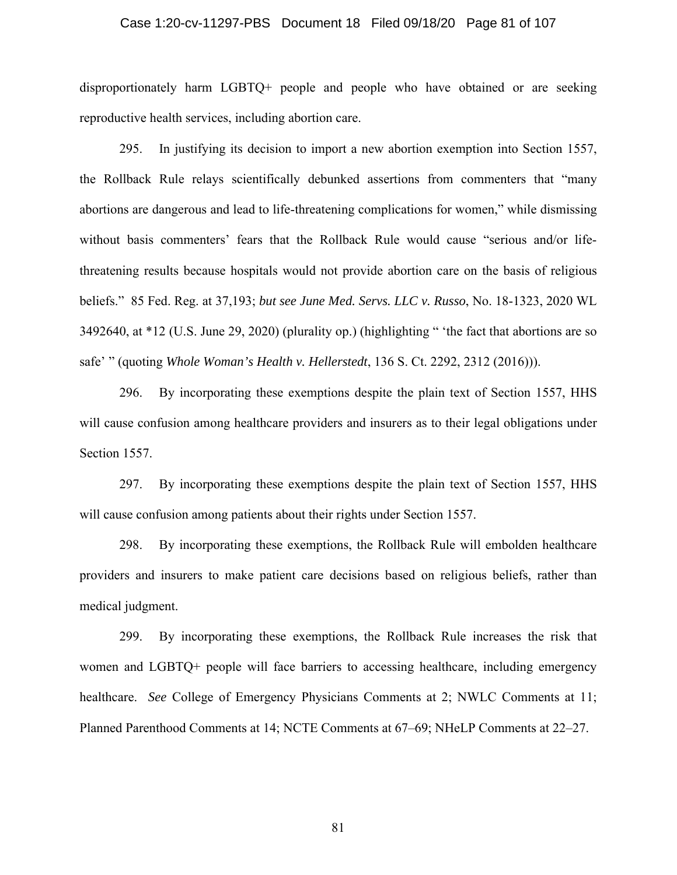#### Case 1:20-cv-11297-PBS Document 18 Filed 09/18/20 Page 81 of 107

disproportionately harm LGBTQ+ people and people who have obtained or are seeking reproductive health services, including abortion care.

295. In justifying its decision to import a new abortion exemption into Section 1557, the Rollback Rule relays scientifically debunked assertions from commenters that "many abortions are dangerous and lead to life-threatening complications for women," while dismissing without basis commenters' fears that the Rollback Rule would cause "serious and/or lifethreatening results because hospitals would not provide abortion care on the basis of religious beliefs." 85 Fed. Reg. at 37,193; *but see June Med. Servs. LLC v. Russo*, No. 18-1323, 2020 WL 3492640, at \*12 (U.S. June 29, 2020) (plurality op.) (highlighting " 'the fact that abortions are so safe' " (quoting *Whole Woman's Health v. Hellerstedt*, 136 S. Ct. 2292, 2312 (2016))).

296. By incorporating these exemptions despite the plain text of Section 1557, HHS will cause confusion among healthcare providers and insurers as to their legal obligations under Section 1557.

297. By incorporating these exemptions despite the plain text of Section 1557, HHS will cause confusion among patients about their rights under Section 1557.

298. By incorporating these exemptions, the Rollback Rule will embolden healthcare providers and insurers to make patient care decisions based on religious beliefs, rather than medical judgment.

299. By incorporating these exemptions, the Rollback Rule increases the risk that women and LGBTQ+ people will face barriers to accessing healthcare, including emergency healthcare. *See* College of Emergency Physicians Comments at 2; NWLC Comments at 11; Planned Parenthood Comments at 14; NCTE Comments at 67–69; NHeLP Comments at 22–27.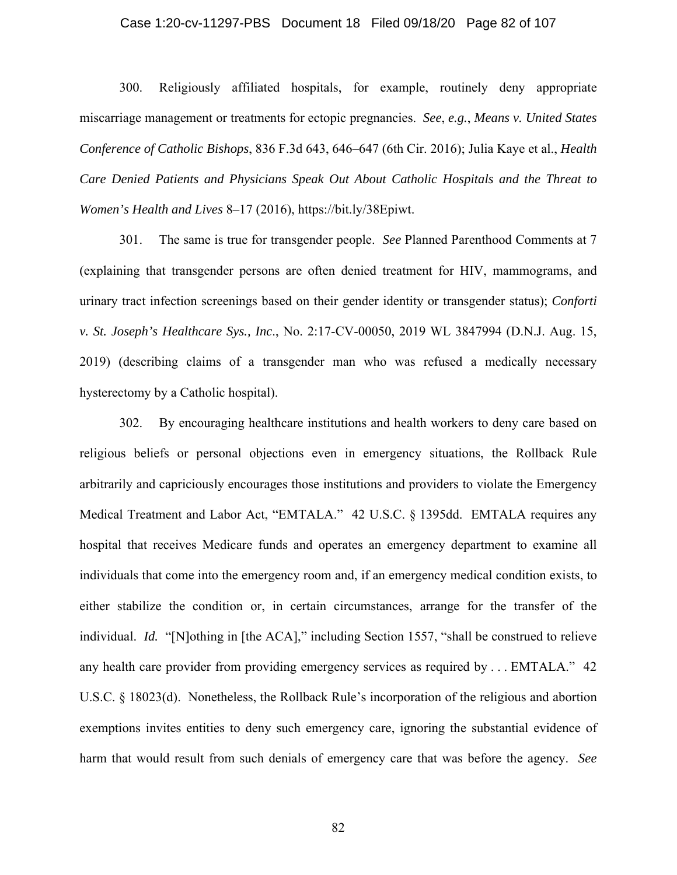#### Case 1:20-cv-11297-PBS Document 18 Filed 09/18/20 Page 82 of 107

300. Religiously affiliated hospitals, for example, routinely deny appropriate miscarriage management or treatments for ectopic pregnancies. *See*, *e.g.*, *Means v. United States Conference of Catholic Bishops*, 836 F.3d 643, 646–647 (6th Cir. 2016); Julia Kaye et al., *Health Care Denied Patients and Physicians Speak Out About Catholic Hospitals and the Threat to Women's Health and Lives* 8–17 (2016), https://bit.ly/38Epiwt.

301. The same is true for transgender people. *See* Planned Parenthood Comments at 7 (explaining that transgender persons are often denied treatment for HIV, mammograms, and urinary tract infection screenings based on their gender identity or transgender status); *Conforti v. St. Joseph's Healthcare Sys., Inc*., No. 2:17-CV-00050, 2019 WL 3847994 (D.N.J. Aug. 15, 2019) (describing claims of a transgender man who was refused a medically necessary hysterectomy by a Catholic hospital).

302. By encouraging healthcare institutions and health workers to deny care based on religious beliefs or personal objections even in emergency situations, the Rollback Rule arbitrarily and capriciously encourages those institutions and providers to violate the Emergency Medical Treatment and Labor Act, "EMTALA." 42 U.S.C. § 1395dd. EMTALA requires any hospital that receives Medicare funds and operates an emergency department to examine all individuals that come into the emergency room and, if an emergency medical condition exists, to either stabilize the condition or, in certain circumstances, arrange for the transfer of the individual. *Id.* "[N]othing in [the ACA]," including Section 1557, "shall be construed to relieve any health care provider from providing emergency services as required by . . . EMTALA." 42 U.S.C. § 18023(d). Nonetheless, the Rollback Rule's incorporation of the religious and abortion exemptions invites entities to deny such emergency care, ignoring the substantial evidence of harm that would result from such denials of emergency care that was before the agency. *See*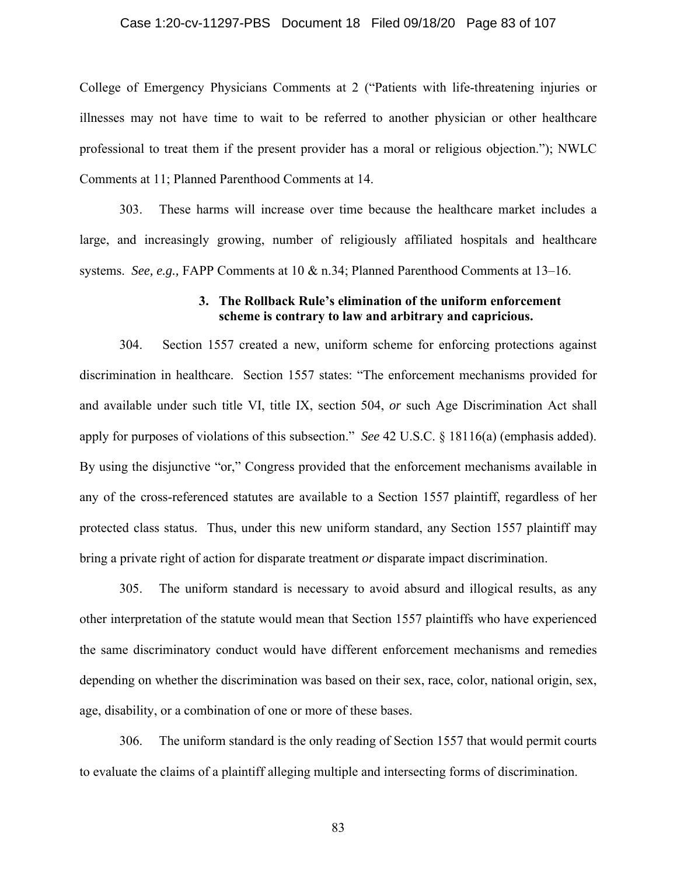#### Case 1:20-cv-11297-PBS Document 18 Filed 09/18/20 Page 83 of 107

College of Emergency Physicians Comments at 2 ("Patients with life-threatening injuries or illnesses may not have time to wait to be referred to another physician or other healthcare professional to treat them if the present provider has a moral or religious objection."); NWLC Comments at 11; Planned Parenthood Comments at 14.

303. These harms will increase over time because the healthcare market includes a large, and increasingly growing, number of religiously affiliated hospitals and healthcare systems. *See, e.g.,* FAPP Comments at 10 & n.34; Planned Parenthood Comments at 13–16.

### **3. The Rollback Rule's elimination of the uniform enforcement scheme is contrary to law and arbitrary and capricious.**

304. Section 1557 created a new, uniform scheme for enforcing protections against discrimination in healthcare. Section 1557 states: "The enforcement mechanisms provided for and available under such title VI, title IX, section 504, *or* such Age Discrimination Act shall apply for purposes of violations of this subsection." *See* 42 U.S.C. § 18116(a) (emphasis added). By using the disjunctive "or," Congress provided that the enforcement mechanisms available in any of the cross-referenced statutes are available to a Section 1557 plaintiff, regardless of her protected class status. Thus, under this new uniform standard, any Section 1557 plaintiff may bring a private right of action for disparate treatment *or* disparate impact discrimination.

305. The uniform standard is necessary to avoid absurd and illogical results, as any other interpretation of the statute would mean that Section 1557 plaintiffs who have experienced the same discriminatory conduct would have different enforcement mechanisms and remedies depending on whether the discrimination was based on their sex, race, color, national origin, sex, age, disability, or a combination of one or more of these bases.

306. The uniform standard is the only reading of Section 1557 that would permit courts to evaluate the claims of a plaintiff alleging multiple and intersecting forms of discrimination.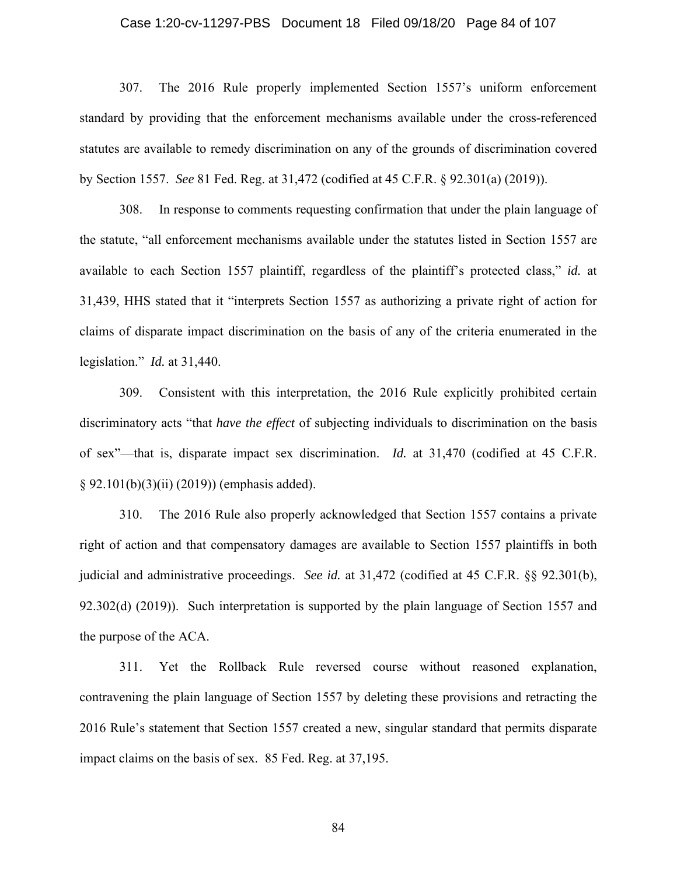#### Case 1:20-cv-11297-PBS Document 18 Filed 09/18/20 Page 84 of 107

307. The 2016 Rule properly implemented Section 1557's uniform enforcement standard by providing that the enforcement mechanisms available under the cross-referenced statutes are available to remedy discrimination on any of the grounds of discrimination covered by Section 1557. *See* 81 Fed. Reg. at 31,472 (codified at 45 C.F.R. § 92.301(a) (2019)).

308. In response to comments requesting confirmation that under the plain language of the statute, "all enforcement mechanisms available under the statutes listed in Section 1557 are available to each Section 1557 plaintiff, regardless of the plaintiff's protected class," *id.* at 31,439, HHS stated that it "interprets Section 1557 as authorizing a private right of action for claims of disparate impact discrimination on the basis of any of the criteria enumerated in the legislation." *Id.* at 31,440.

309. Consistent with this interpretation, the 2016 Rule explicitly prohibited certain discriminatory acts "that *have the effect* of subjecting individuals to discrimination on the basis of sex"—that is, disparate impact sex discrimination. *Id.* at 31,470 (codified at 45 C.F.R. § 92.101(b)(3)(ii) (2019)) (emphasis added).

310. The 2016 Rule also properly acknowledged that Section 1557 contains a private right of action and that compensatory damages are available to Section 1557 plaintiffs in both judicial and administrative proceedings. *See id.* at 31,472 (codified at 45 C.F.R. §§ 92.301(b), 92.302(d) (2019)). Such interpretation is supported by the plain language of Section 1557 and the purpose of the ACA.

311. Yet the Rollback Rule reversed course without reasoned explanation, contravening the plain language of Section 1557 by deleting these provisions and retracting the 2016 Rule's statement that Section 1557 created a new, singular standard that permits disparate impact claims on the basis of sex. 85 Fed. Reg. at 37,195.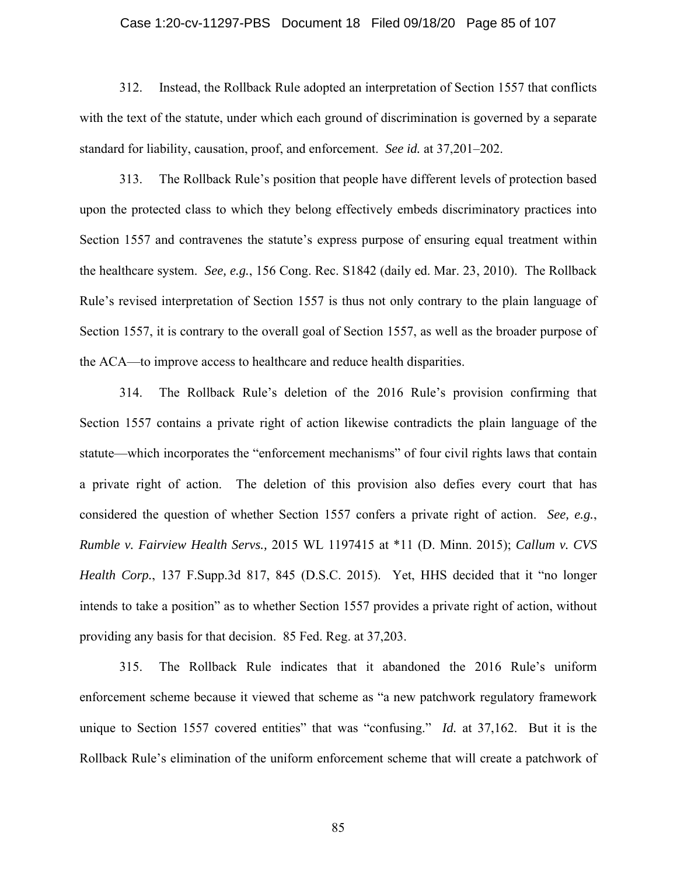#### Case 1:20-cv-11297-PBS Document 18 Filed 09/18/20 Page 85 of 107

312. Instead, the Rollback Rule adopted an interpretation of Section 1557 that conflicts with the text of the statute, under which each ground of discrimination is governed by a separate standard for liability, causation, proof, and enforcement. *See id.* at 37,201–202.

313. The Rollback Rule's position that people have different levels of protection based upon the protected class to which they belong effectively embeds discriminatory practices into Section 1557 and contravenes the statute's express purpose of ensuring equal treatment within the healthcare system. *See, e.g.*, 156 Cong. Rec. S1842 (daily ed. Mar. 23, 2010). The Rollback Rule's revised interpretation of Section 1557 is thus not only contrary to the plain language of Section 1557, it is contrary to the overall goal of Section 1557, as well as the broader purpose of the ACA—to improve access to healthcare and reduce health disparities.

314. The Rollback Rule's deletion of the 2016 Rule's provision confirming that Section 1557 contains a private right of action likewise contradicts the plain language of the statute—which incorporates the "enforcement mechanisms" of four civil rights laws that contain a private right of action. The deletion of this provision also defies every court that has considered the question of whether Section 1557 confers a private right of action. *See, e.g.*, *Rumble v. Fairview Health Servs.,* 2015 WL 1197415 at \*11 (D. Minn. 2015); *Callum v. CVS Health Corp.*, 137 F.Supp.3d 817, 845 (D.S.C. 2015). Yet, HHS decided that it "no longer intends to take a position" as to whether Section 1557 provides a private right of action, without providing any basis for that decision. 85 Fed. Reg. at 37,203.

315. The Rollback Rule indicates that it abandoned the 2016 Rule's uniform enforcement scheme because it viewed that scheme as "a new patchwork regulatory framework unique to Section 1557 covered entities" that was "confusing." *Id.* at 37,162. But it is the Rollback Rule's elimination of the uniform enforcement scheme that will create a patchwork of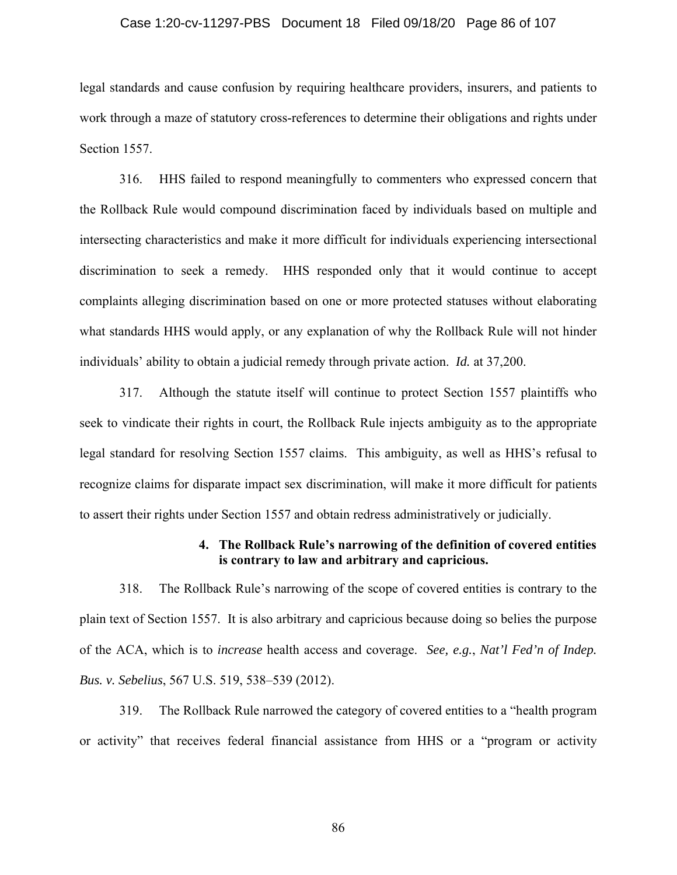#### Case 1:20-cv-11297-PBS Document 18 Filed 09/18/20 Page 86 of 107

legal standards and cause confusion by requiring healthcare providers, insurers, and patients to work through a maze of statutory cross-references to determine their obligations and rights under Section 1557.

316. HHS failed to respond meaningfully to commenters who expressed concern that the Rollback Rule would compound discrimination faced by individuals based on multiple and intersecting characteristics and make it more difficult for individuals experiencing intersectional discrimination to seek a remedy. HHS responded only that it would continue to accept complaints alleging discrimination based on one or more protected statuses without elaborating what standards HHS would apply, or any explanation of why the Rollback Rule will not hinder individuals' ability to obtain a judicial remedy through private action. *Id.* at 37,200.

317. Although the statute itself will continue to protect Section 1557 plaintiffs who seek to vindicate their rights in court, the Rollback Rule injects ambiguity as to the appropriate legal standard for resolving Section 1557 claims. This ambiguity, as well as HHS's refusal to recognize claims for disparate impact sex discrimination, will make it more difficult for patients to assert their rights under Section 1557 and obtain redress administratively or judicially.

### **4. The Rollback Rule's narrowing of the definition of covered entities is contrary to law and arbitrary and capricious.**

318. The Rollback Rule's narrowing of the scope of covered entities is contrary to the plain text of Section 1557. It is also arbitrary and capricious because doing so belies the purpose of the ACA, which is to *increase* health access and coverage. *See, e.g.*, *Nat'l Fed'n of Indep. Bus. v. Sebelius*, 567 U.S. 519, 538–539 (2012).

319. The Rollback Rule narrowed the category of covered entities to a "health program or activity" that receives federal financial assistance from HHS or a "program or activity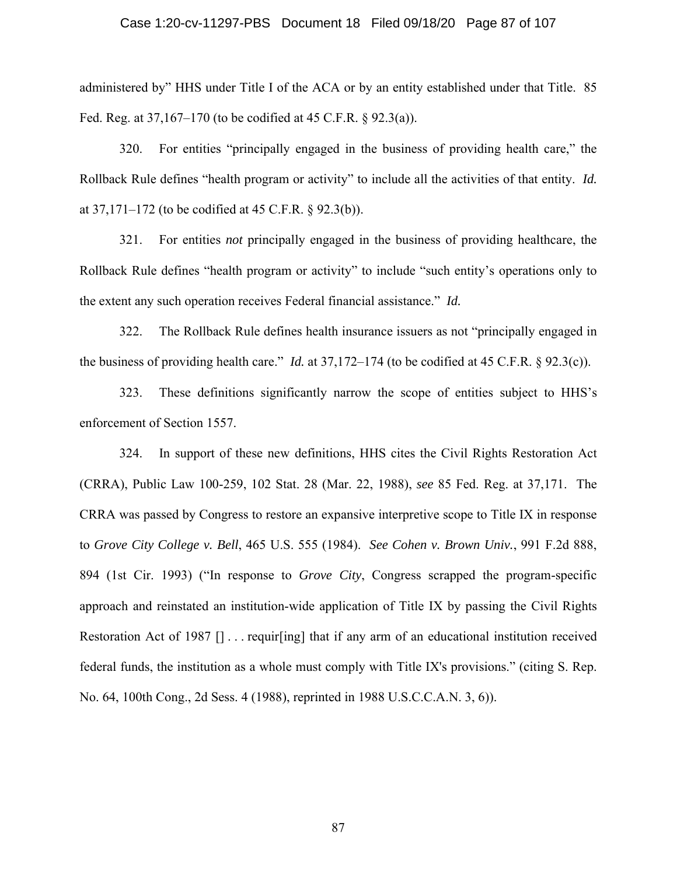#### Case 1:20-cv-11297-PBS Document 18 Filed 09/18/20 Page 87 of 107

administered by" HHS under Title I of the ACA or by an entity established under that Title. 85 Fed. Reg. at 37,167–170 (to be codified at 45 C.F.R. § 92.3(a)).

320. For entities "principally engaged in the business of providing health care," the Rollback Rule defines "health program or activity" to include all the activities of that entity. *Id.*  at 37,171–172 (to be codified at 45 C.F.R. § 92.3(b)).

321. For entities *not* principally engaged in the business of providing healthcare, the Rollback Rule defines "health program or activity" to include "such entity's operations only to the extent any such operation receives Federal financial assistance." *Id.*

322. The Rollback Rule defines health insurance issuers as not "principally engaged in the business of providing health care." *Id.* at 37,172–174 (to be codified at 45 C.F.R. § 92.3(c)).

323. These definitions significantly narrow the scope of entities subject to HHS's enforcement of Section 1557.

324. In support of these new definitions, HHS cites the Civil Rights Restoration Act (CRRA), Public Law 100-259, 102 Stat. 28 (Mar. 22, 1988), *see* 85 Fed. Reg. at 37,171. The CRRA was passed by Congress to restore an expansive interpretive scope to Title IX in response to *Grove City College v. Bell*, 465 U.S. 555 (1984). *See Cohen v. Brown Univ.*, 991 F.2d 888, 894 (1st Cir. 1993) ("In response to *Grove City*, Congress scrapped the program-specific approach and reinstated an institution-wide application of Title IX by passing the Civil Rights Restoration Act of 1987 [] ... requir[ing] that if any arm of an educational institution received federal funds, the institution as a whole must comply with Title IX's provisions." (citing S. Rep. No. 64, 100th Cong., 2d Sess. 4 (1988), reprinted in 1988 U.S.C.C.A.N. 3, 6)).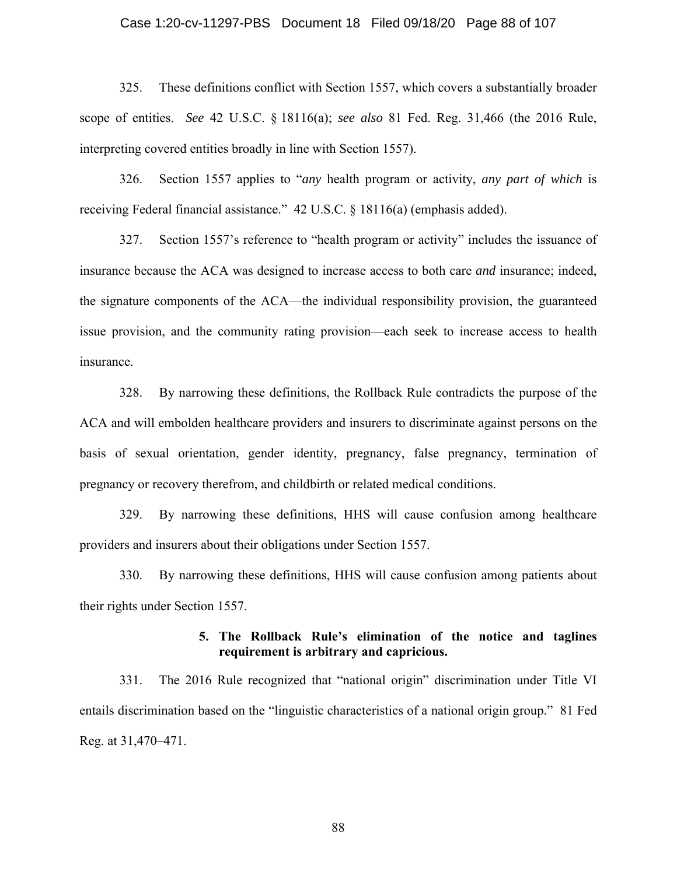#### Case 1:20-cv-11297-PBS Document 18 Filed 09/18/20 Page 88 of 107

325. These definitions conflict with Section 1557, which covers a substantially broader scope of entities. *See* 42 U.S.C. § 18116(a); *see also* 81 Fed. Reg. 31,466 (the 2016 Rule, interpreting covered entities broadly in line with Section 1557).

326. Section 1557 applies to "*any* health program or activity, *any part of which* is receiving Federal financial assistance." 42 U.S.C. § 18116(a) (emphasis added).

327. Section 1557's reference to "health program or activity" includes the issuance of insurance because the ACA was designed to increase access to both care *and* insurance; indeed, the signature components of the ACA—the individual responsibility provision, the guaranteed issue provision, and the community rating provision—each seek to increase access to health insurance.

328. By narrowing these definitions, the Rollback Rule contradicts the purpose of the ACA and will embolden healthcare providers and insurers to discriminate against persons on the basis of sexual orientation, gender identity, pregnancy, false pregnancy, termination of pregnancy or recovery therefrom, and childbirth or related medical conditions.

329. By narrowing these definitions, HHS will cause confusion among healthcare providers and insurers about their obligations under Section 1557.

330. By narrowing these definitions, HHS will cause confusion among patients about their rights under Section 1557.

## **5. The Rollback Rule's elimination of the notice and taglines requirement is arbitrary and capricious.**

331. The 2016 Rule recognized that "national origin" discrimination under Title VI entails discrimination based on the "linguistic characteristics of a national origin group." 81 Fed Reg. at 31,470–471.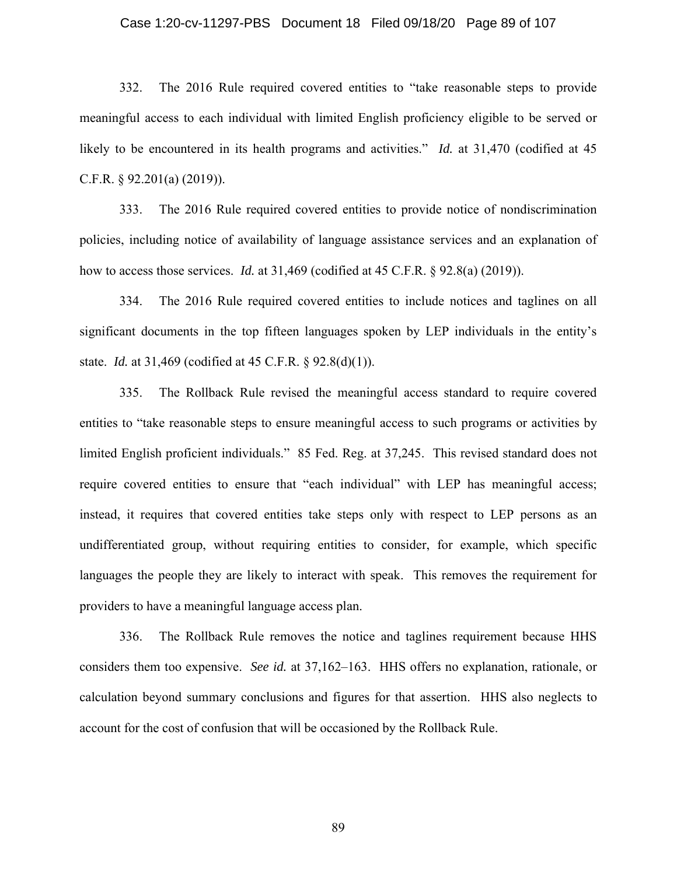#### Case 1:20-cv-11297-PBS Document 18 Filed 09/18/20 Page 89 of 107

332. The 2016 Rule required covered entities to "take reasonable steps to provide meaningful access to each individual with limited English proficiency eligible to be served or likely to be encountered in its health programs and activities." *Id.* at 31,470 (codified at 45) C.F.R. § 92.201(a) (2019)).

333. The 2016 Rule required covered entities to provide notice of nondiscrimination policies, including notice of availability of language assistance services and an explanation of how to access those services. *Id.* at 31,469 (codified at 45 C.F.R. § 92.8(a) (2019)).

334. The 2016 Rule required covered entities to include notices and taglines on all significant documents in the top fifteen languages spoken by LEP individuals in the entity's state. *Id.* at 31,469 (codified at 45 C.F.R. § 92.8(d)(1)).

335. The Rollback Rule revised the meaningful access standard to require covered entities to "take reasonable steps to ensure meaningful access to such programs or activities by limited English proficient individuals." 85 Fed. Reg. at 37,245. This revised standard does not require covered entities to ensure that "each individual" with LEP has meaningful access; instead, it requires that covered entities take steps only with respect to LEP persons as an undifferentiated group, without requiring entities to consider, for example, which specific languages the people they are likely to interact with speak. This removes the requirement for providers to have a meaningful language access plan.

336. The Rollback Rule removes the notice and taglines requirement because HHS considers them too expensive. *See id.* at 37,162–163. HHS offers no explanation, rationale, or calculation beyond summary conclusions and figures for that assertion. HHS also neglects to account for the cost of confusion that will be occasioned by the Rollback Rule.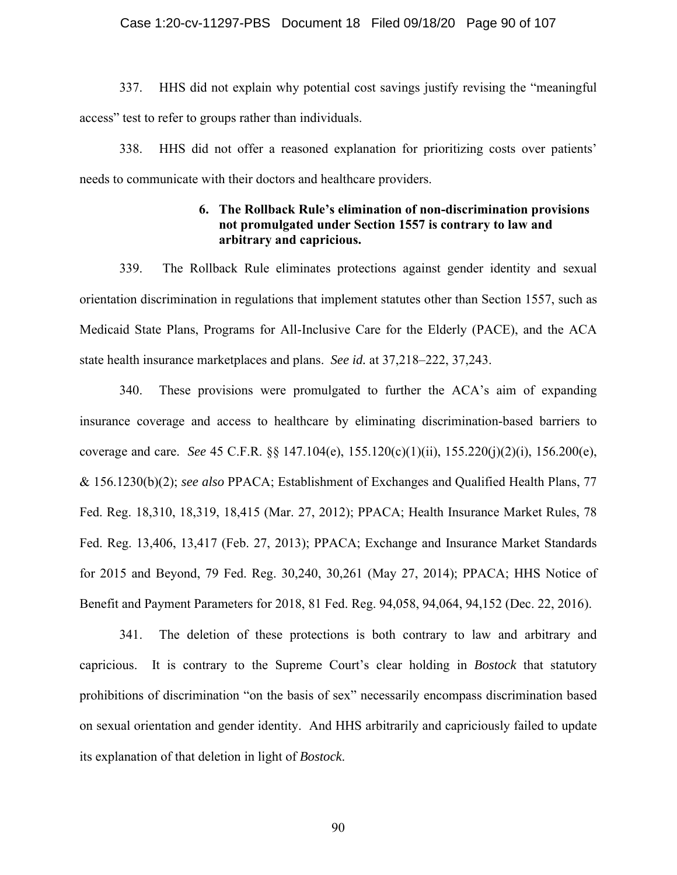#### Case 1:20-cv-11297-PBS Document 18 Filed 09/18/20 Page 90 of 107

337. HHS did not explain why potential cost savings justify revising the "meaningful access" test to refer to groups rather than individuals.

338. HHS did not offer a reasoned explanation for prioritizing costs over patients' needs to communicate with their doctors and healthcare providers.

## **6. The Rollback Rule's elimination of non-discrimination provisions not promulgated under Section 1557 is contrary to law and arbitrary and capricious.**

339. The Rollback Rule eliminates protections against gender identity and sexual orientation discrimination in regulations that implement statutes other than Section 1557, such as Medicaid State Plans, Programs for All-Inclusive Care for the Elderly (PACE), and the ACA state health insurance marketplaces and plans. *See id.* at 37,218–222, 37,243.

340. These provisions were promulgated to further the ACA's aim of expanding insurance coverage and access to healthcare by eliminating discrimination-based barriers to coverage and care. *See* 45 C.F.R. §§ 147.104(e), 155.120(c)(1)(ii), 155.220(j)(2)(i), 156.200(e), & 156.1230(b)(2); *see also* PPACA; Establishment of Exchanges and Qualified Health Plans, 77 Fed. Reg. 18,310, 18,319, 18,415 (Mar. 27, 2012); PPACA; Health Insurance Market Rules, 78 Fed. Reg. 13,406, 13,417 (Feb. 27, 2013); PPACA; Exchange and Insurance Market Standards for 2015 and Beyond, 79 Fed. Reg. 30,240, 30,261 (May 27, 2014); PPACA; HHS Notice of Benefit and Payment Parameters for 2018, 81 Fed. Reg. 94,058, 94,064, 94,152 (Dec. 22, 2016).

341. The deletion of these protections is both contrary to law and arbitrary and capricious. It is contrary to the Supreme Court's clear holding in *Bostock* that statutory prohibitions of discrimination "on the basis of sex" necessarily encompass discrimination based on sexual orientation and gender identity. And HHS arbitrarily and capriciously failed to update its explanation of that deletion in light of *Bostock*.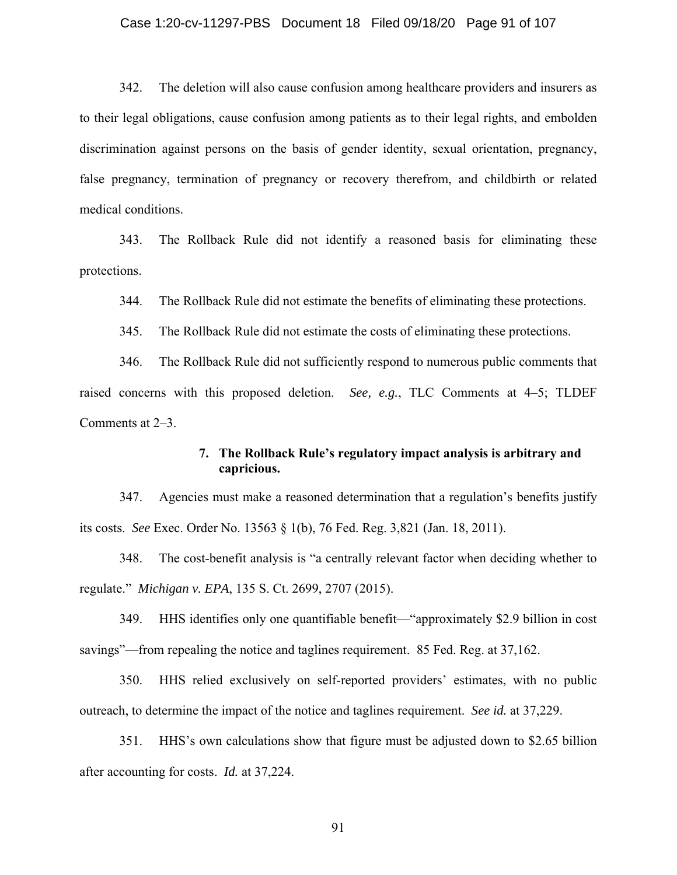#### Case 1:20-cv-11297-PBS Document 18 Filed 09/18/20 Page 91 of 107

342. The deletion will also cause confusion among healthcare providers and insurers as to their legal obligations, cause confusion among patients as to their legal rights, and embolden discrimination against persons on the basis of gender identity, sexual orientation, pregnancy, false pregnancy, termination of pregnancy or recovery therefrom, and childbirth or related medical conditions.

343. The Rollback Rule did not identify a reasoned basis for eliminating these protections.

344. The Rollback Rule did not estimate the benefits of eliminating these protections.

345. The Rollback Rule did not estimate the costs of eliminating these protections.

346. The Rollback Rule did not sufficiently respond to numerous public comments that raised concerns with this proposed deletion. *See, e.g.*, TLC Comments at 4–5; TLDEF Comments at 2–3.

## **7. The Rollback Rule's regulatory impact analysis is arbitrary and capricious.**

347. Agencies must make a reasoned determination that a regulation's benefits justify its costs. *See* Exec. Order No. 13563 § 1(b), 76 Fed. Reg. 3,821 (Jan. 18, 2011).

348. The cost-benefit analysis is "a centrally relevant factor when deciding whether to regulate." *Michigan v. EPA*, 135 S. Ct. 2699, 2707 (2015).

349. HHS identifies only one quantifiable benefit—"approximately \$2.9 billion in cost savings"—from repealing the notice and taglines requirement. 85 Fed. Reg. at 37,162.

350. HHS relied exclusively on self-reported providers' estimates, with no public outreach, to determine the impact of the notice and taglines requirement. *See id.* at 37,229.

351. HHS's own calculations show that figure must be adjusted down to \$2.65 billion after accounting for costs. *Id.* at 37,224.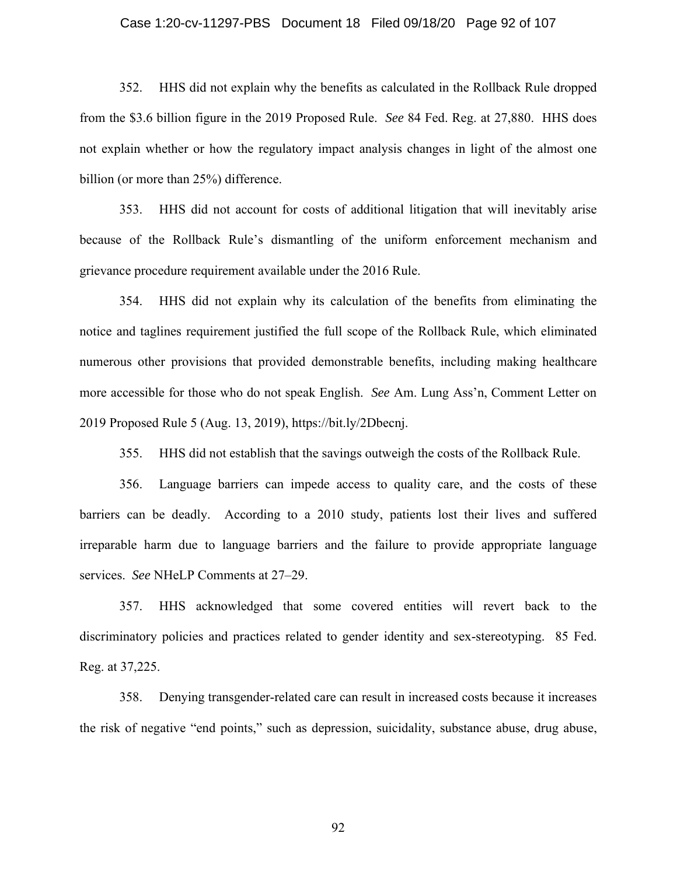#### Case 1:20-cv-11297-PBS Document 18 Filed 09/18/20 Page 92 of 107

352. HHS did not explain why the benefits as calculated in the Rollback Rule dropped from the \$3.6 billion figure in the 2019 Proposed Rule. *See* 84 Fed. Reg. at 27,880. HHS does not explain whether or how the regulatory impact analysis changes in light of the almost one billion (or more than 25%) difference.

353. HHS did not account for costs of additional litigation that will inevitably arise because of the Rollback Rule's dismantling of the uniform enforcement mechanism and grievance procedure requirement available under the 2016 Rule.

354. HHS did not explain why its calculation of the benefits from eliminating the notice and taglines requirement justified the full scope of the Rollback Rule, which eliminated numerous other provisions that provided demonstrable benefits, including making healthcare more accessible for those who do not speak English. *See* Am. Lung Ass'n, Comment Letter on 2019 Proposed Rule 5 (Aug. 13, 2019), https://bit.ly/2Dbecnj.

355. HHS did not establish that the savings outweigh the costs of the Rollback Rule.

356. Language barriers can impede access to quality care, and the costs of these barriers can be deadly. According to a 2010 study, patients lost their lives and suffered irreparable harm due to language barriers and the failure to provide appropriate language services. *See* NHeLP Comments at 27–29.

357. HHS acknowledged that some covered entities will revert back to the discriminatory policies and practices related to gender identity and sex-stereotyping. 85 Fed. Reg. at 37,225.

358. Denying transgender-related care can result in increased costs because it increases the risk of negative "end points," such as depression, suicidality, substance abuse, drug abuse,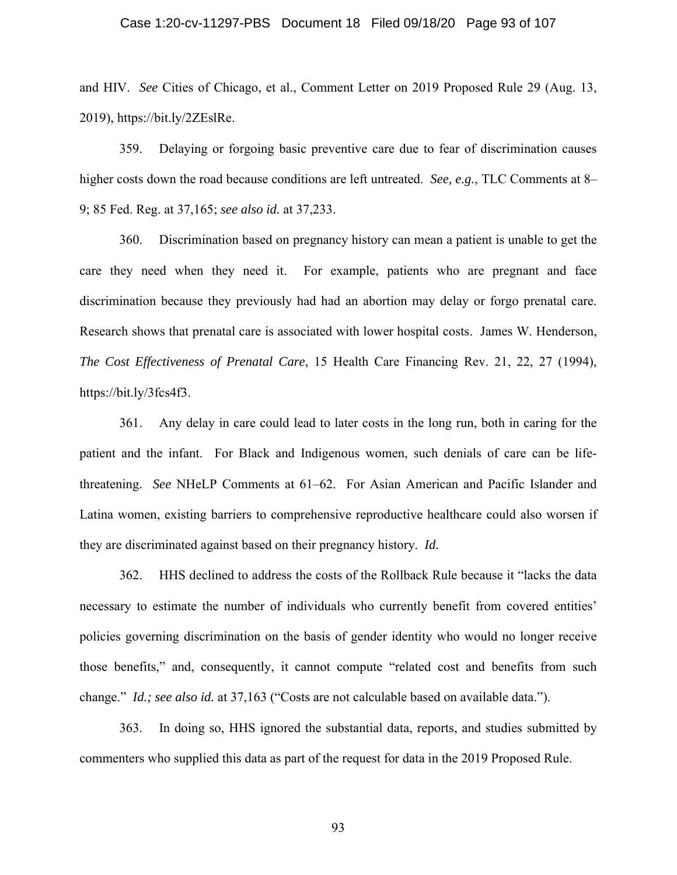#### Case 1:20-cv-11297-PBS Document 18 Filed 09/18/20 Page 93 of 107

and HIV. *See* Cities of Chicago, et al., Comment Letter on 2019 Proposed Rule 29 (Aug. 13, 2019), https://bit.ly/2ZEslRe.

359. Delaying or forgoing basic preventive care due to fear of discrimination causes higher costs down the road because conditions are left untreated. *See, e.g.*, TLC Comments at 8– 9; 85 Fed. Reg. at 37,165; *see also id.* at 37,233.

360. Discrimination based on pregnancy history can mean a patient is unable to get the care they need when they need it. For example, patients who are pregnant and face discrimination because they previously had had an abortion may delay or forgo prenatal care. Research shows that prenatal care is associated with lower hospital costs. James W. Henderson, *The Cost Effectiveness of Prenatal Care*, 15 Health Care Financing Rev. 21, 22, 27 (1994), https://bit.ly/3fcs4f3.

361. Any delay in care could lead to later costs in the long run, both in caring for the patient and the infant. For Black and Indigenous women, such denials of care can be lifethreatening. *See* NHeLP Comments at 61–62. For Asian American and Pacific Islander and Latina women, existing barriers to comprehensive reproductive healthcare could also worsen if they are discriminated against based on their pregnancy history. *Id.*

362. HHS declined to address the costs of the Rollback Rule because it "lacks the data necessary to estimate the number of individuals who currently benefit from covered entities' policies governing discrimination on the basis of gender identity who would no longer receive those benefits," and, consequently, it cannot compute "related cost and benefits from such change." *Id.; see also id.* at 37,163 ("Costs are not calculable based on available data.").

363. In doing so, HHS ignored the substantial data, reports, and studies submitted by commenters who supplied this data as part of the request for data in the 2019 Proposed Rule.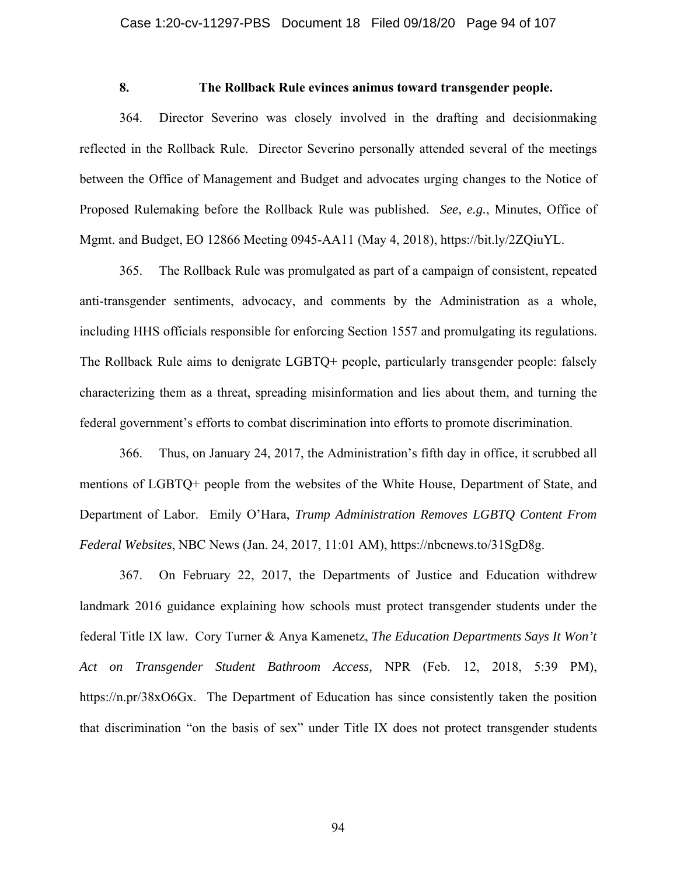### **8. The Rollback Rule evinces animus toward transgender people.**

364. Director Severino was closely involved in the drafting and decisionmaking reflected in the Rollback Rule. Director Severino personally attended several of the meetings between the Office of Management and Budget and advocates urging changes to the Notice of Proposed Rulemaking before the Rollback Rule was published. *See, e.g.*, Minutes, Office of Mgmt. and Budget, EO 12866 Meeting 0945-AA11 (May 4, 2018), https://bit.ly/2ZQiuYL.

365. The Rollback Rule was promulgated as part of a campaign of consistent, repeated anti-transgender sentiments, advocacy, and comments by the Administration as a whole, including HHS officials responsible for enforcing Section 1557 and promulgating its regulations. The Rollback Rule aims to denigrate LGBTQ+ people, particularly transgender people: falsely characterizing them as a threat, spreading misinformation and lies about them, and turning the federal government's efforts to combat discrimination into efforts to promote discrimination.

366. Thus, on January 24, 2017, the Administration's fifth day in office, it scrubbed all mentions of LGBTQ+ people from the websites of the White House, Department of State, and Department of Labor. Emily O'Hara, *Trump Administration Removes LGBTQ Content From Federal Websites*, NBC News (Jan. 24, 2017, 11:01 AM), https://nbcnews.to/31SgD8g.

367. On February 22, 2017, the Departments of Justice and Education withdrew landmark 2016 guidance explaining how schools must protect transgender students under the federal Title IX law. Cory Turner & Anya Kamenetz, *The Education Departments Says It Won't Act on Transgender Student Bathroom Access,* NPR (Feb. 12, 2018, 5:39 PM), https://n.pr/38xO6Gx. The Department of Education has since consistently taken the position that discrimination "on the basis of sex" under Title IX does not protect transgender students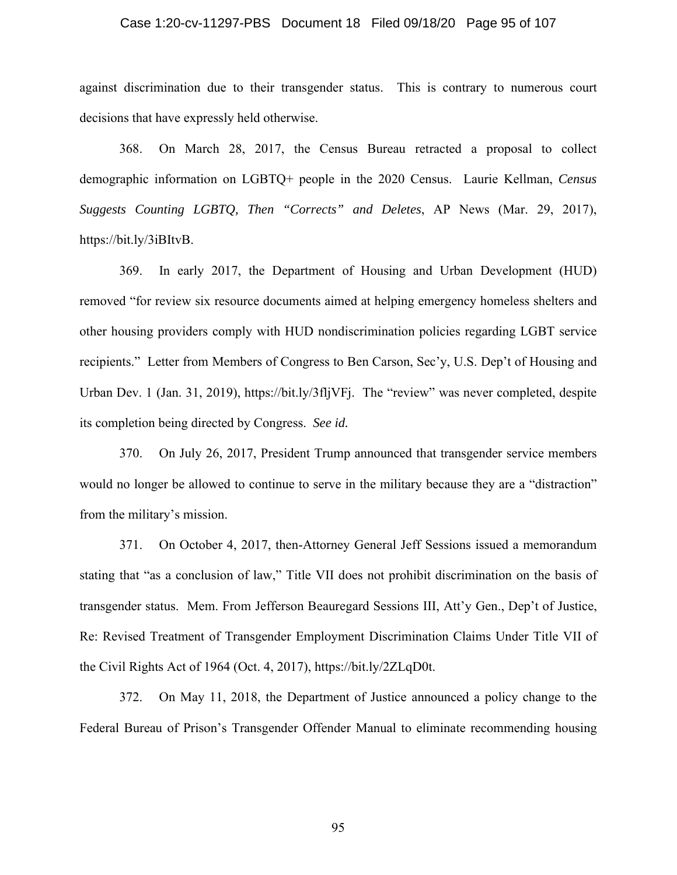#### Case 1:20-cv-11297-PBS Document 18 Filed 09/18/20 Page 95 of 107

against discrimination due to their transgender status. This is contrary to numerous court decisions that have expressly held otherwise.

368. On March 28, 2017, the Census Bureau retracted a proposal to collect demographic information on LGBTQ+ people in the 2020 Census. Laurie Kellman, *Census Suggests Counting LGBTQ, Then "Corrects" and Deletes*, AP News (Mar. 29, 2017), https://bit.ly/3iBItvB.

369. In early 2017, the Department of Housing and Urban Development (HUD) removed "for review six resource documents aimed at helping emergency homeless shelters and other housing providers comply with HUD nondiscrimination policies regarding LGBT service recipients." Letter from Members of Congress to Ben Carson, Sec'y, U.S. Dep't of Housing and Urban Dev. 1 (Jan. 31, 2019), https://bit.ly/3fljVFj. The "review" was never completed, despite its completion being directed by Congress. *See id.*

370. On July 26, 2017, President Trump announced that transgender service members would no longer be allowed to continue to serve in the military because they are a "distraction" from the military's mission.

371. On October 4, 2017, then-Attorney General Jeff Sessions issued a memorandum stating that "as a conclusion of law," Title VII does not prohibit discrimination on the basis of transgender status. Mem. From Jefferson Beauregard Sessions III, Att'y Gen., Dep't of Justice, Re: Revised Treatment of Transgender Employment Discrimination Claims Under Title VII of the Civil Rights Act of 1964 (Oct. 4, 2017), https://bit.ly/2ZLqD0t.

372. On May 11, 2018, the Department of Justice announced a policy change to the Federal Bureau of Prison's Transgender Offender Manual to eliminate recommending housing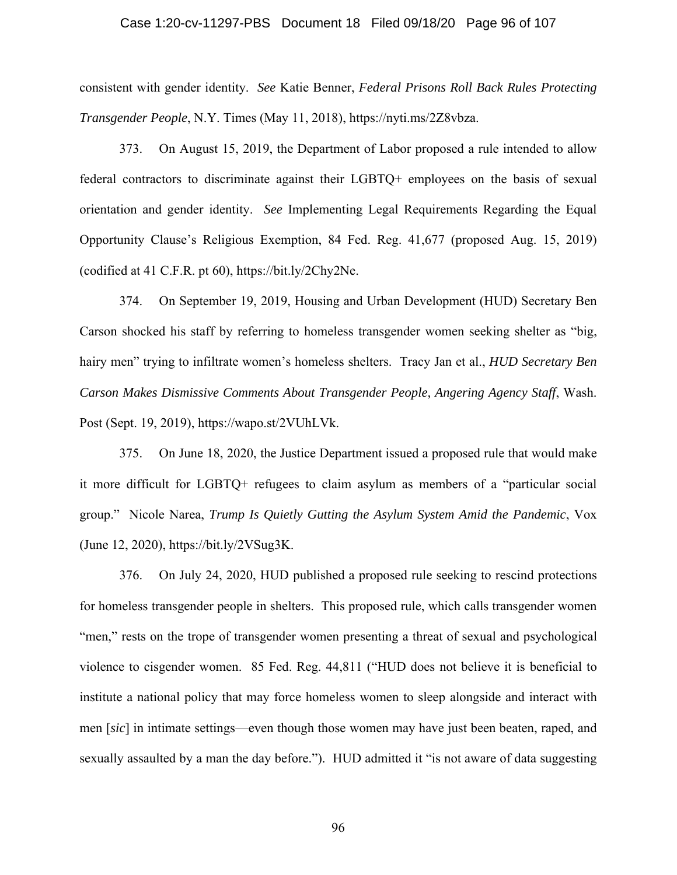#### Case 1:20-cv-11297-PBS Document 18 Filed 09/18/20 Page 96 of 107

consistent with gender identity. *See* Katie Benner, *Federal Prisons Roll Back Rules Protecting Transgender People*, N.Y. Times (May 11, 2018), https://nyti.ms/2Z8vbza.

373. On August 15, 2019, the Department of Labor proposed a rule intended to allow federal contractors to discriminate against their LGBTQ+ employees on the basis of sexual orientation and gender identity. *See* Implementing Legal Requirements Regarding the Equal Opportunity Clause's Religious Exemption, 84 Fed. Reg. 41,677 (proposed Aug. 15, 2019) (codified at 41 C.F.R. pt 60), https://bit.ly/2Chy2Ne.

374. On September 19, 2019, Housing and Urban Development (HUD) Secretary Ben Carson shocked his staff by referring to homeless transgender women seeking shelter as "big, hairy men" trying to infiltrate women's homeless shelters. Tracy Jan et al., *HUD Secretary Ben Carson Makes Dismissive Comments About Transgender People, Angering Agency Staff*, Wash. Post (Sept. 19, 2019), https://wapo.st/2VUhLVk.

375. On June 18, 2020, the Justice Department issued a proposed rule that would make it more difficult for LGBTQ+ refugees to claim asylum as members of a "particular social group." Nicole Narea, *Trump Is Quietly Gutting the Asylum System Amid the Pandemic*, Vox (June 12, 2020), https://bit.ly/2VSug3K.

376. On July 24, 2020, HUD published a proposed rule seeking to rescind protections for homeless transgender people in shelters. This proposed rule, which calls transgender women "men," rests on the trope of transgender women presenting a threat of sexual and psychological violence to cisgender women. 85 Fed. Reg. 44,811 ("HUD does not believe it is beneficial to institute a national policy that may force homeless women to sleep alongside and interact with men [*sic*] in intimate settings—even though those women may have just been beaten, raped, and sexually assaulted by a man the day before."). HUD admitted it "is not aware of data suggesting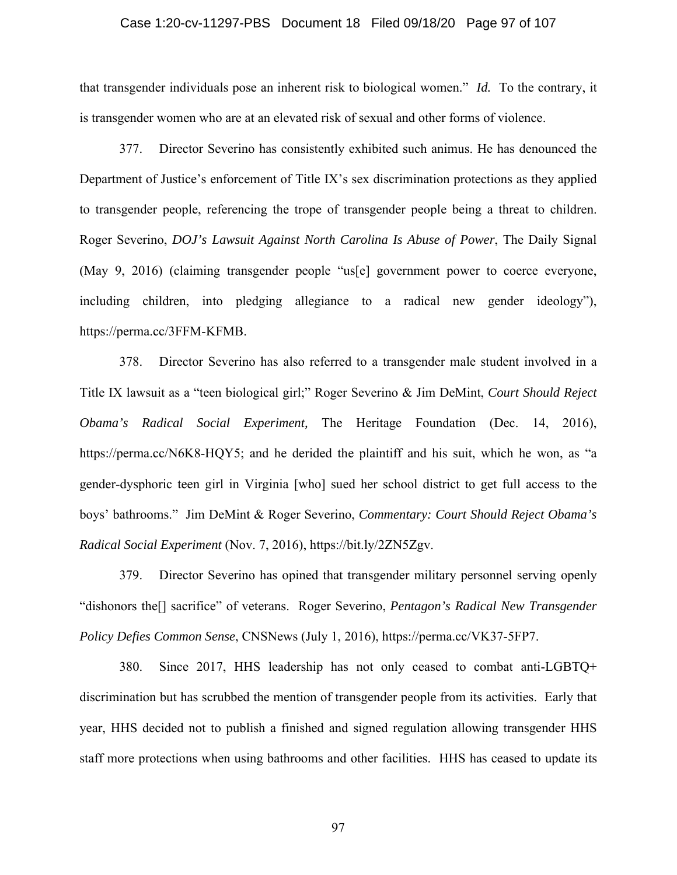#### Case 1:20-cv-11297-PBS Document 18 Filed 09/18/20 Page 97 of 107

that transgender individuals pose an inherent risk to biological women." *Id.* To the contrary, it is transgender women who are at an elevated risk of sexual and other forms of violence.

377. Director Severino has consistently exhibited such animus. He has denounced the Department of Justice's enforcement of Title IX's sex discrimination protections as they applied to transgender people, referencing the trope of transgender people being a threat to children. Roger Severino, *DOJ's Lawsuit Against North Carolina Is Abuse of Power*, The Daily Signal (May 9, 2016) (claiming transgender people "us[e] government power to coerce everyone, including children, into pledging allegiance to a radical new gender ideology"), https://perma.cc/3FFM-KFMB.

378. Director Severino has also referred to a transgender male student involved in a Title IX lawsuit as a "teen biological girl;" Roger Severino & Jim DeMint, *Court Should Reject Obama's Radical Social Experiment,* The Heritage Foundation (Dec. 14, 2016), https://perma.cc/N6K8-HQY5; and he derided the plaintiff and his suit, which he won, as "a gender-dysphoric teen girl in Virginia [who] sued her school district to get full access to the boys' bathrooms." Jim DeMint & Roger Severino, *Commentary: Court Should Reject Obama's Radical Social Experiment* (Nov. 7, 2016), https://bit.ly/2ZN5Zgv.

379. Director Severino has opined that transgender military personnel serving openly "dishonors the[] sacrifice" of veterans. Roger Severino, *Pentagon's Radical New Transgender Policy Defies Common Sense*, CNSNews (July 1, 2016), https://perma.cc/VK37-5FP7.

380. Since 2017, HHS leadership has not only ceased to combat anti-LGBTQ+ discrimination but has scrubbed the mention of transgender people from its activities. Early that year, HHS decided not to publish a finished and signed regulation allowing transgender HHS staff more protections when using bathrooms and other facilities. HHS has ceased to update its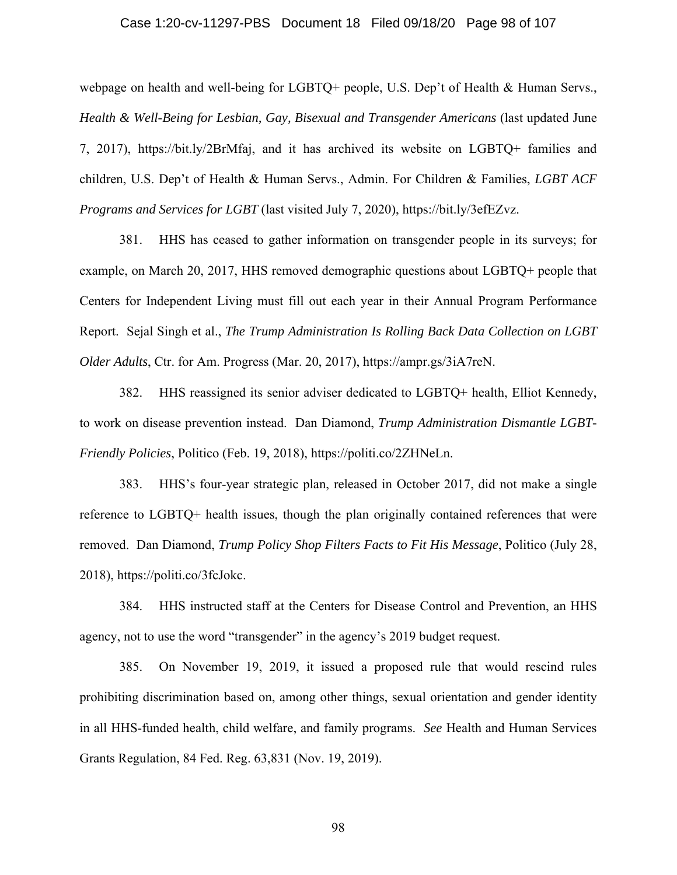#### Case 1:20-cv-11297-PBS Document 18 Filed 09/18/20 Page 98 of 107

webpage on health and well-being for LGBTQ+ people, U.S. Dep't of Health & Human Servs., *Health & Well-Being for Lesbian, Gay, Bisexual and Transgender Americans* (last updated June 7, 2017), https://bit.ly/2BrMfaj, and it has archived its website on LGBTQ+ families and children, U.S. Dep't of Health & Human Servs., Admin. For Children & Families, *LGBT ACF Programs and Services for LGBT* (last visited July 7, 2020), https://bit.ly/3efEZvz.

381. HHS has ceased to gather information on transgender people in its surveys; for example, on March 20, 2017, HHS removed demographic questions about LGBTQ+ people that Centers for Independent Living must fill out each year in their Annual Program Performance Report. Sejal Singh et al., *The Trump Administration Is Rolling Back Data Collection on LGBT Older Adults*, Ctr. for Am. Progress (Mar. 20, 2017), https://ampr.gs/3iA7reN.

382. HHS reassigned its senior adviser dedicated to LGBTQ+ health, Elliot Kennedy, to work on disease prevention instead. Dan Diamond, *Trump Administration Dismantle LGBT-Friendly Policies*, Politico (Feb. 19, 2018), https://politi.co/2ZHNeLn.

383. HHS's four-year strategic plan, released in October 2017, did not make a single reference to LGBTQ+ health issues, though the plan originally contained references that were removed. Dan Diamond, *Trump Policy Shop Filters Facts to Fit His Message*, Politico (July 28, 2018), https://politi.co/3fcJokc.

384. HHS instructed staff at the Centers for Disease Control and Prevention, an HHS agency, not to use the word "transgender" in the agency's 2019 budget request.

385. On November 19, 2019, it issued a proposed rule that would rescind rules prohibiting discrimination based on, among other things, sexual orientation and gender identity in all HHS-funded health, child welfare, and family programs. *See* Health and Human Services Grants Regulation, 84 Fed. Reg. 63,831 (Nov. 19, 2019).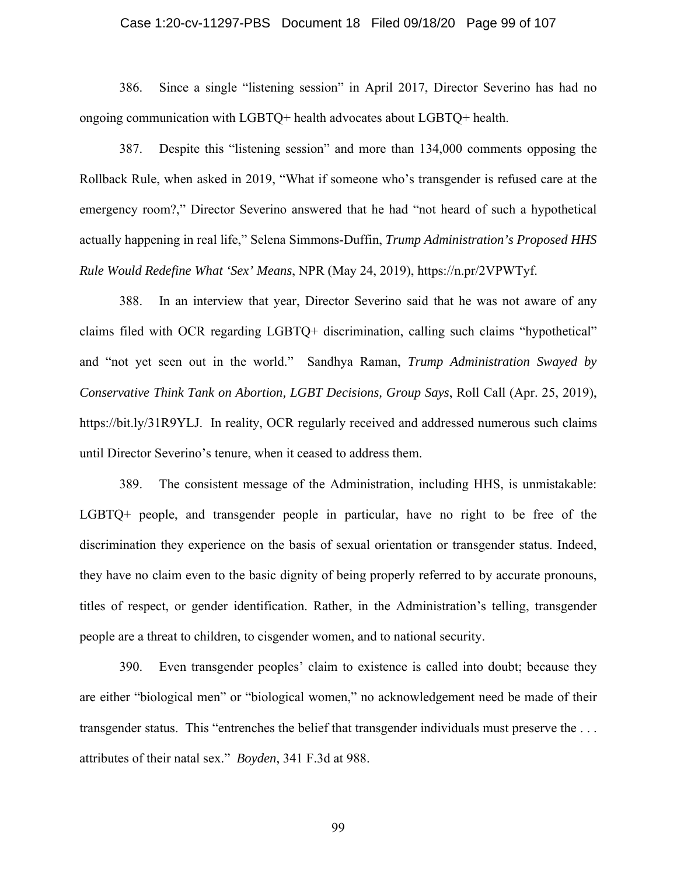#### Case 1:20-cv-11297-PBS Document 18 Filed 09/18/20 Page 99 of 107

386. Since a single "listening session" in April 2017, Director Severino has had no ongoing communication with LGBTQ+ health advocates about LGBTQ+ health.

387. Despite this "listening session" and more than 134,000 comments opposing the Rollback Rule, when asked in 2019, "What if someone who's transgender is refused care at the emergency room?," Director Severino answered that he had "not heard of such a hypothetical actually happening in real life," Selena Simmons-Duffin, *Trump Administration's Proposed HHS Rule Would Redefine What 'Sex' Means*, NPR (May 24, 2019), https://n.pr/2VPWTyf.

388. In an interview that year, Director Severino said that he was not aware of any claims filed with OCR regarding LGBTQ+ discrimination, calling such claims "hypothetical" and "not yet seen out in the world." Sandhya Raman, *Trump Administration Swayed by Conservative Think Tank on Abortion, LGBT Decisions, Group Says*, Roll Call (Apr. 25, 2019), https://bit.ly/31R9YLJ. In reality, OCR regularly received and addressed numerous such claims until Director Severino's tenure, when it ceased to address them.

389. The consistent message of the Administration, including HHS, is unmistakable: LGBTQ+ people, and transgender people in particular, have no right to be free of the discrimination they experience on the basis of sexual orientation or transgender status. Indeed, they have no claim even to the basic dignity of being properly referred to by accurate pronouns, titles of respect, or gender identification. Rather, in the Administration's telling, transgender people are a threat to children, to cisgender women, and to national security.

390. Even transgender peoples' claim to existence is called into doubt; because they are either "biological men" or "biological women," no acknowledgement need be made of their transgender status. This "entrenches the belief that transgender individuals must preserve the . . . attributes of their natal sex." *Boyden*, 341 F.3d at 988.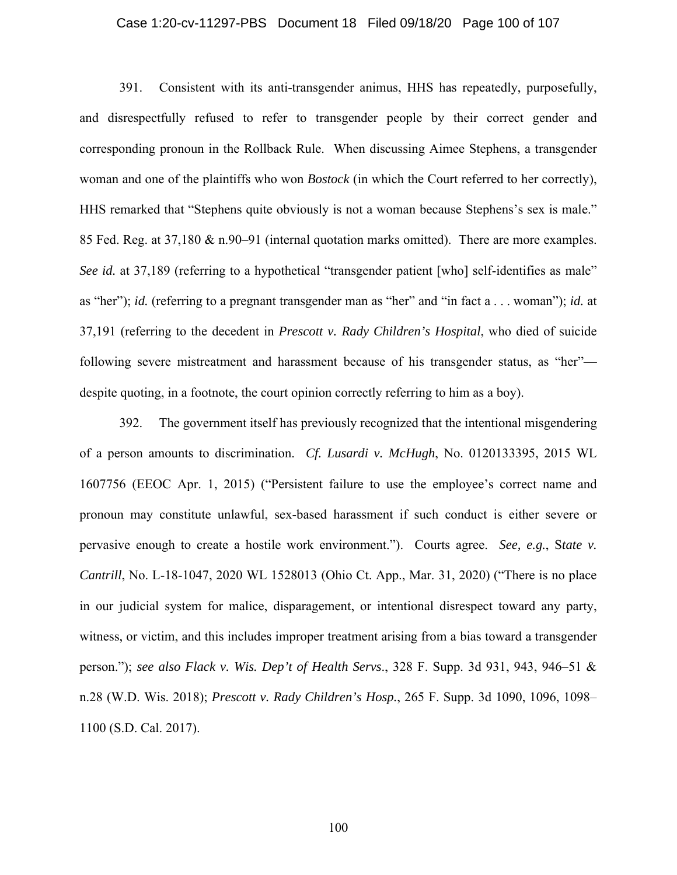#### Case 1:20-cv-11297-PBS Document 18 Filed 09/18/20 Page 100 of 107

391. Consistent with its anti-transgender animus, HHS has repeatedly, purposefully, and disrespectfully refused to refer to transgender people by their correct gender and corresponding pronoun in the Rollback Rule. When discussing Aimee Stephens, a transgender woman and one of the plaintiffs who won *Bostock* (in which the Court referred to her correctly), HHS remarked that "Stephens quite obviously is not a woman because Stephens's sex is male." 85 Fed. Reg. at 37,180 & n.90–91 (internal quotation marks omitted). There are more examples. *See id.* at 37,189 (referring to a hypothetical "transgender patient [who] self-identifies as male" as "her"); *id.* (referring to a pregnant transgender man as "her" and "in fact a . . . woman"); *id.* at 37,191 (referring to the decedent in *Prescott v. Rady Children's Hospital*, who died of suicide following severe mistreatment and harassment because of his transgender status, as "her" despite quoting, in a footnote, the court opinion correctly referring to him as a boy).

392. The government itself has previously recognized that the intentional misgendering of a person amounts to discrimination. *Cf. Lusardi v. McHugh*, No. 0120133395, 2015 WL 1607756 (EEOC Apr. 1, 2015) ("Persistent failure to use the employee's correct name and pronoun may constitute unlawful, sex-based harassment if such conduct is either severe or pervasive enough to create a hostile work environment."). Courts agree. *See, e.g.*, S*tate v. Cantrill*, No. L-18-1047, 2020 WL 1528013 (Ohio Ct. App., Mar. 31, 2020) ("There is no place in our judicial system for malice, disparagement, or intentional disrespect toward any party, witness, or victim, and this includes improper treatment arising from a bias toward a transgender person."); *see also Flack v. Wis. Dep't of Health Servs*., 328 F. Supp. 3d 931, 943, 946–51 & n.28 (W.D. Wis. 2018); *Prescott v. Rady Children's Hosp.*, 265 F. Supp. 3d 1090, 1096, 1098– 1100 (S.D. Cal. 2017).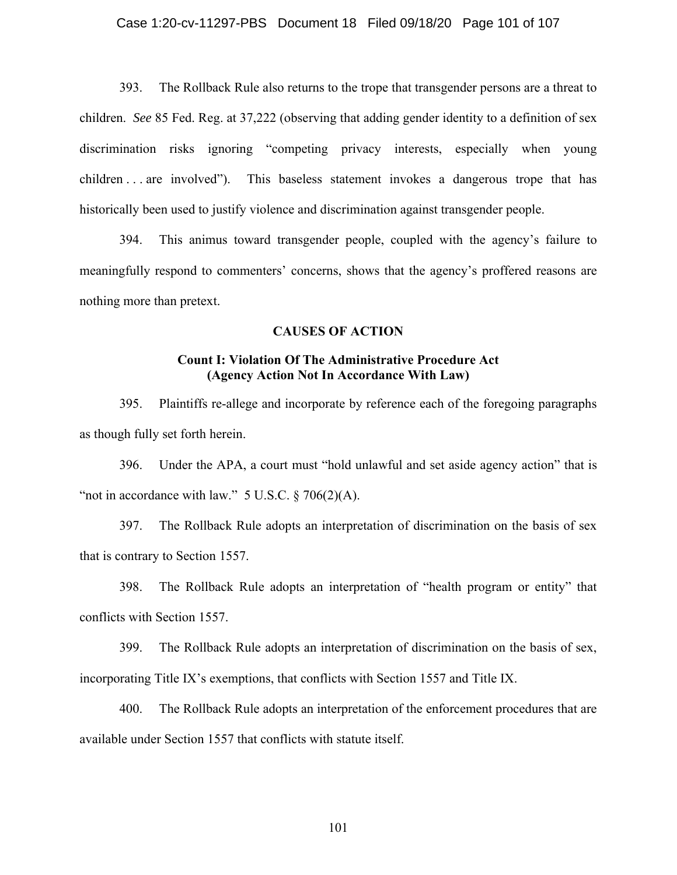393. The Rollback Rule also returns to the trope that transgender persons are a threat to children. *See* 85 Fed. Reg. at 37,222 (observing that adding gender identity to a definition of sex discrimination risks ignoring "competing privacy interests, especially when young children . . . are involved"). This baseless statement invokes a dangerous trope that has historically been used to justify violence and discrimination against transgender people.

394. This animus toward transgender people, coupled with the agency's failure to meaningfully respond to commenters' concerns, shows that the agency's proffered reasons are nothing more than pretext.

## **CAUSES OF ACTION**

### **Count I: Violation Of The Administrative Procedure Act (Agency Action Not In Accordance With Law)**

395. Plaintiffs re-allege and incorporate by reference each of the foregoing paragraphs as though fully set forth herein.

396. Under the APA, a court must "hold unlawful and set aside agency action" that is "not in accordance with law."  $5$  U.S.C.  $\S$  706(2)(A).

397. The Rollback Rule adopts an interpretation of discrimination on the basis of sex that is contrary to Section 1557.

398. The Rollback Rule adopts an interpretation of "health program or entity" that conflicts with Section 1557.

399. The Rollback Rule adopts an interpretation of discrimination on the basis of sex, incorporating Title IX's exemptions, that conflicts with Section 1557 and Title IX.

400. The Rollback Rule adopts an interpretation of the enforcement procedures that are available under Section 1557 that conflicts with statute itself.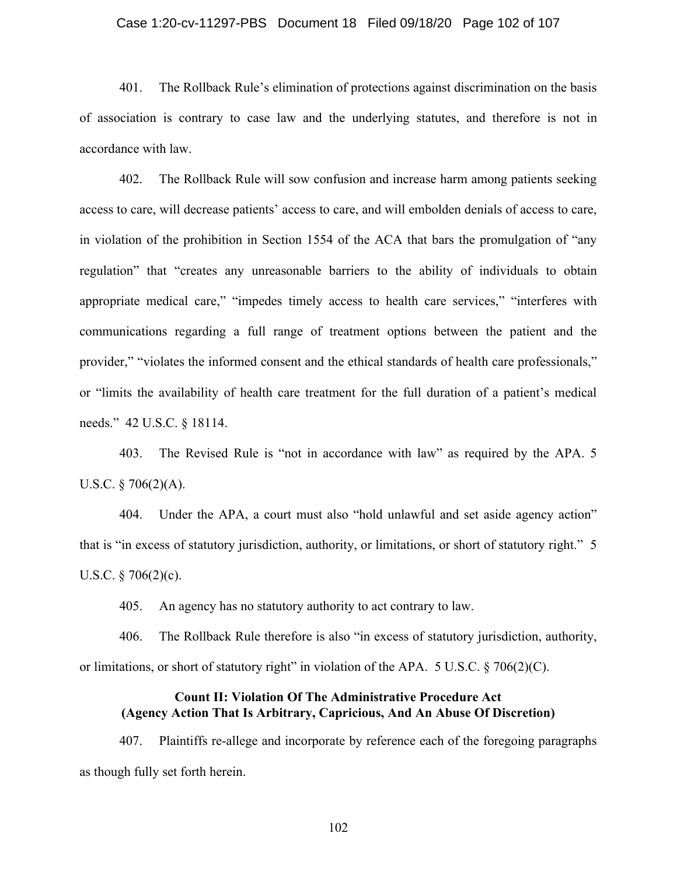#### Case 1:20-cv-11297-PBS Document 18 Filed 09/18/20 Page 102 of 107

401. The Rollback Rule's elimination of protections against discrimination on the basis of association is contrary to case law and the underlying statutes, and therefore is not in accordance with law.

402. The Rollback Rule will sow confusion and increase harm among patients seeking access to care, will decrease patients' access to care, and will embolden denials of access to care, in violation of the prohibition in Section 1554 of the ACA that bars the promulgation of "any regulation" that "creates any unreasonable barriers to the ability of individuals to obtain appropriate medical care," "impedes timely access to health care services," "interferes with communications regarding a full range of treatment options between the patient and the provider," "violates the informed consent and the ethical standards of health care professionals," or "limits the availability of health care treatment for the full duration of a patient's medical needs." 42 U.S.C. § 18114.

403. The Revised Rule is "not in accordance with law" as required by the APA. 5 U.S.C.  $\S$  706(2)(A).

404. Under the APA, a court must also "hold unlawful and set aside agency action" that is "in excess of statutory jurisdiction, authority, or limitations, or short of statutory right." 5 U.S.C.  $\S 706(2)(c)$ .

405. An agency has no statutory authority to act contrary to law.

406. The Rollback Rule therefore is also "in excess of statutory jurisdiction, authority, or limitations, or short of statutory right" in violation of the APA. 5 U.S.C. § 706(2)(C).

### **Count II: Violation Of The Administrative Procedure Act (Agency Action That Is Arbitrary, Capricious, And An Abuse Of Discretion)**

407. Plaintiffs re-allege and incorporate by reference each of the foregoing paragraphs as though fully set forth herein.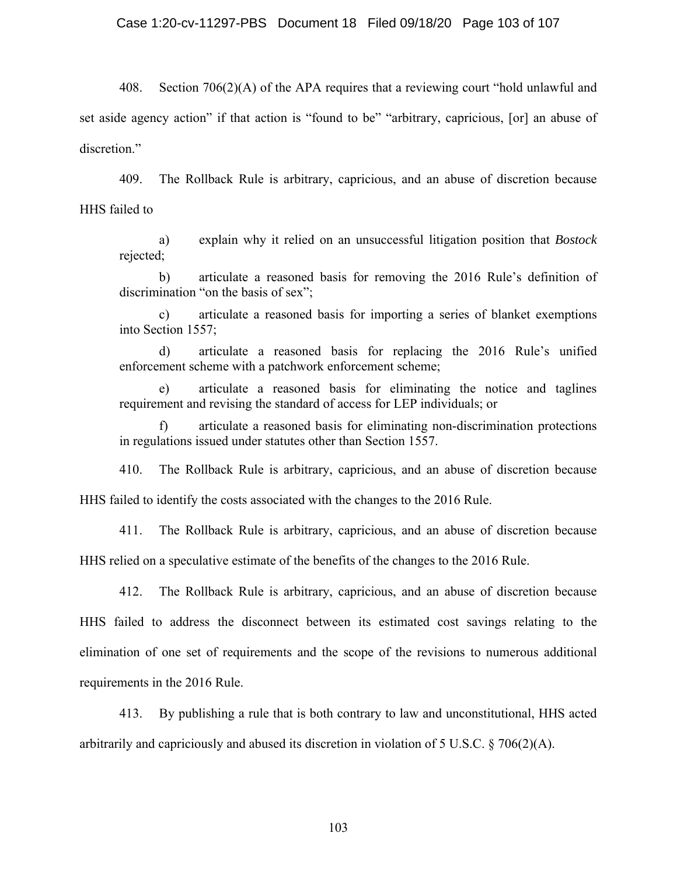408. Section 706(2)(A) of the APA requires that a reviewing court "hold unlawful and set aside agency action" if that action is "found to be" "arbitrary, capricious, [or] an abuse of discretion."

409. The Rollback Rule is arbitrary, capricious, and an abuse of discretion because HHS failed to

a) explain why it relied on an unsuccessful litigation position that *Bostock* rejected;

b) articulate a reasoned basis for removing the 2016 Rule's definition of discrimination "on the basis of sex";

c) articulate a reasoned basis for importing a series of blanket exemptions into Section 1557;

d) articulate a reasoned basis for replacing the 2016 Rule's unified enforcement scheme with a patchwork enforcement scheme;

e) articulate a reasoned basis for eliminating the notice and taglines requirement and revising the standard of access for LEP individuals; or

f) articulate a reasoned basis for eliminating non-discrimination protections in regulations issued under statutes other than Section 1557.

410. The Rollback Rule is arbitrary, capricious, and an abuse of discretion because HHS failed to identify the costs associated with the changes to the 2016 Rule.

411. The Rollback Rule is arbitrary, capricious, and an abuse of discretion because HHS relied on a speculative estimate of the benefits of the changes to the 2016 Rule.

412. The Rollback Rule is arbitrary, capricious, and an abuse of discretion because HHS failed to address the disconnect between its estimated cost savings relating to the elimination of one set of requirements and the scope of the revisions to numerous additional requirements in the 2016 Rule.

413. By publishing a rule that is both contrary to law and unconstitutional, HHS acted arbitrarily and capriciously and abused its discretion in violation of 5 U.S.C. § 706(2)(A).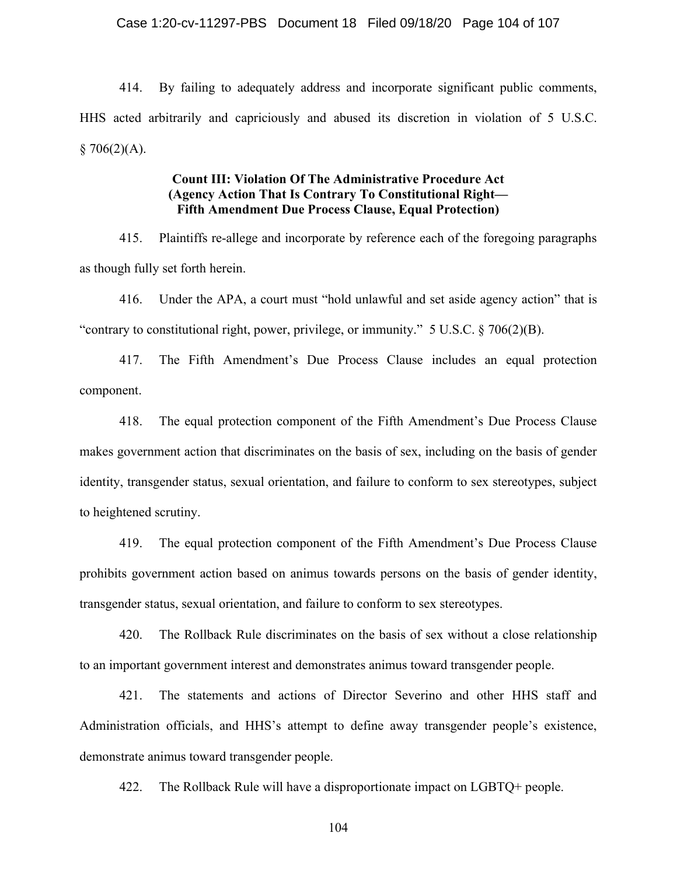414. By failing to adequately address and incorporate significant public comments, HHS acted arbitrarily and capriciously and abused its discretion in violation of 5 U.S.C.  $§ 706(2)(A).$ 

## **Count III: Violation Of The Administrative Procedure Act (Agency Action That Is Contrary To Constitutional Right— Fifth Amendment Due Process Clause, Equal Protection)**

415. Plaintiffs re-allege and incorporate by reference each of the foregoing paragraphs as though fully set forth herein.

416. Under the APA, a court must "hold unlawful and set aside agency action" that is "contrary to constitutional right, power, privilege, or immunity." 5 U.S.C.  $\S$  706(2)(B).

417. The Fifth Amendment's Due Process Clause includes an equal protection component.

418. The equal protection component of the Fifth Amendment's Due Process Clause makes government action that discriminates on the basis of sex, including on the basis of gender identity, transgender status, sexual orientation, and failure to conform to sex stereotypes, subject to heightened scrutiny.

419. The equal protection component of the Fifth Amendment's Due Process Clause prohibits government action based on animus towards persons on the basis of gender identity, transgender status, sexual orientation, and failure to conform to sex stereotypes.

420. The Rollback Rule discriminates on the basis of sex without a close relationship to an important government interest and demonstrates animus toward transgender people.

421. The statements and actions of Director Severino and other HHS staff and Administration officials, and HHS's attempt to define away transgender people's existence, demonstrate animus toward transgender people.

422. The Rollback Rule will have a disproportionate impact on LGBTQ+ people.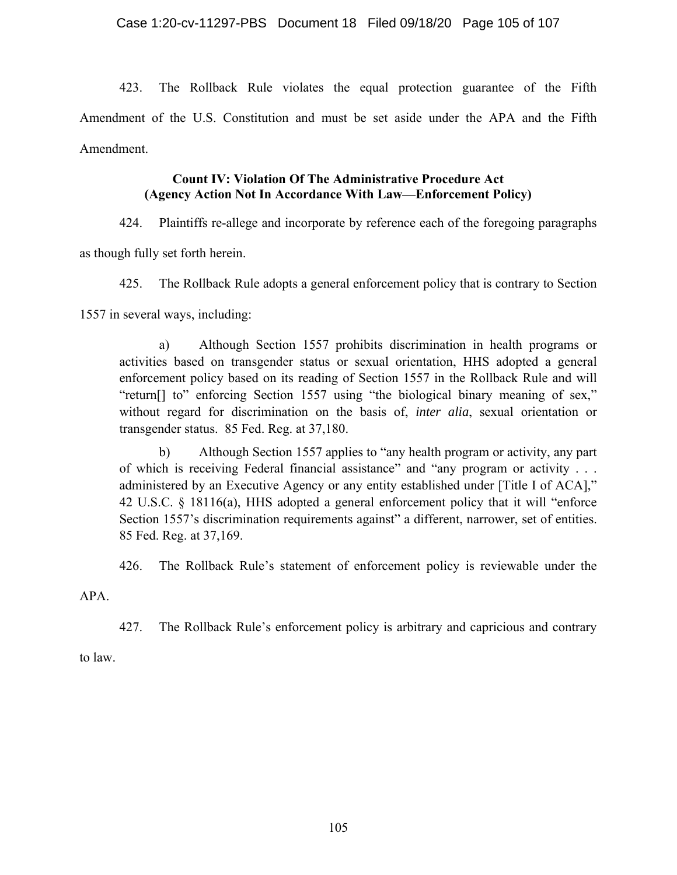423. The Rollback Rule violates the equal protection guarantee of the Fifth Amendment of the U.S. Constitution and must be set aside under the APA and the Fifth Amendment.

# **Count IV: Violation Of The Administrative Procedure Act (Agency Action Not In Accordance With Law—Enforcement Policy)**

424. Plaintiffs re-allege and incorporate by reference each of the foregoing paragraphs

as though fully set forth herein.

425. The Rollback Rule adopts a general enforcement policy that is contrary to Section

1557 in several ways, including:

a) Although Section 1557 prohibits discrimination in health programs or activities based on transgender status or sexual orientation, HHS adopted a general enforcement policy based on its reading of Section 1557 in the Rollback Rule and will "return[] to" enforcing Section 1557 using "the biological binary meaning of sex," without regard for discrimination on the basis of, *inter alia*, sexual orientation or transgender status. 85 Fed. Reg. at 37,180.

b) Although Section 1557 applies to "any health program or activity, any part of which is receiving Federal financial assistance" and "any program or activity . . . administered by an Executive Agency or any entity established under [Title I of ACA]," 42 U.S.C. § 18116(a), HHS adopted a general enforcement policy that it will "enforce Section 1557's discrimination requirements against" a different, narrower, set of entities. 85 Fed. Reg. at 37,169.

426. The Rollback Rule's statement of enforcement policy is reviewable under the

APA.

427. The Rollback Rule's enforcement policy is arbitrary and capricious and contrary

to law.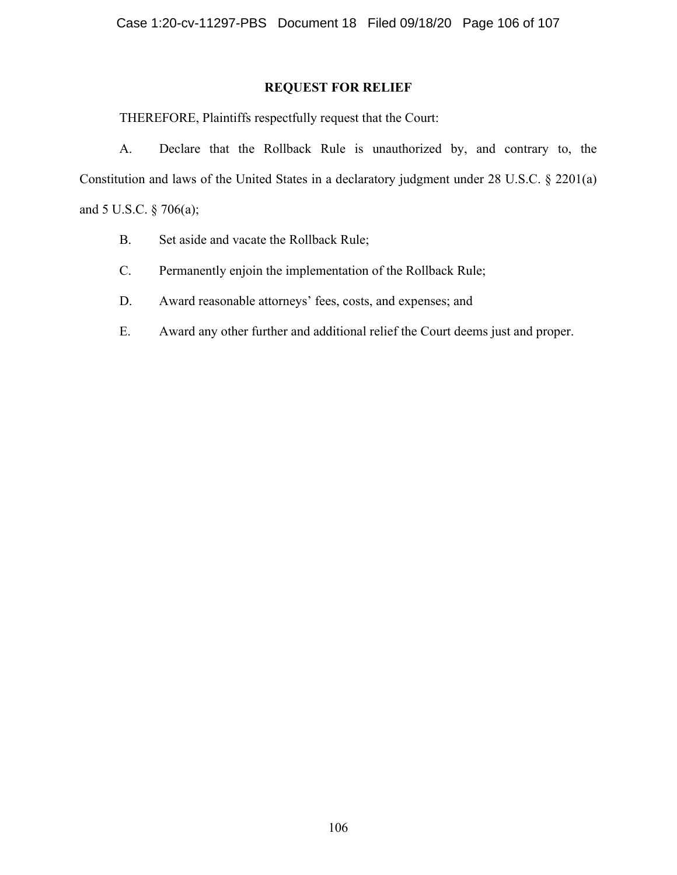## **REQUEST FOR RELIEF**

THEREFORE, Plaintiffs respectfully request that the Court:

A. Declare that the Rollback Rule is unauthorized by, and contrary to, the Constitution and laws of the United States in a declaratory judgment under 28 U.S.C. § 2201(a) and 5 U.S.C. § 706(a);

- B. Set aside and vacate the Rollback Rule;
- C. Permanently enjoin the implementation of the Rollback Rule;
- D. Award reasonable attorneys' fees, costs, and expenses; and
- E. Award any other further and additional relief the Court deems just and proper.